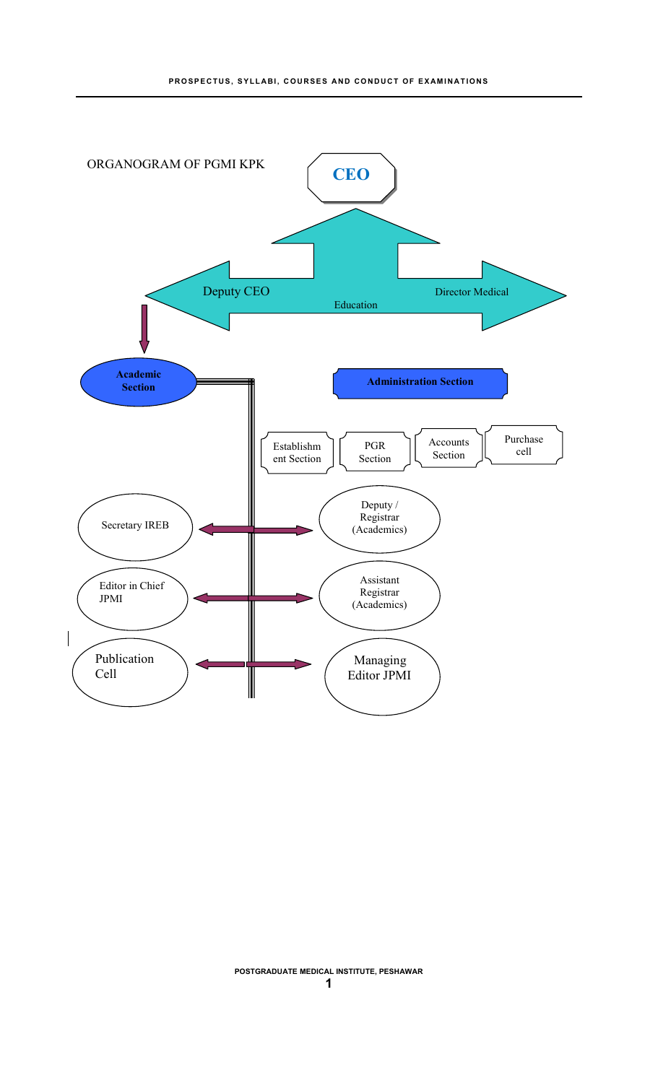

**POSTGRADUATE MEDICAL INSTITUTE, PESHAWAR**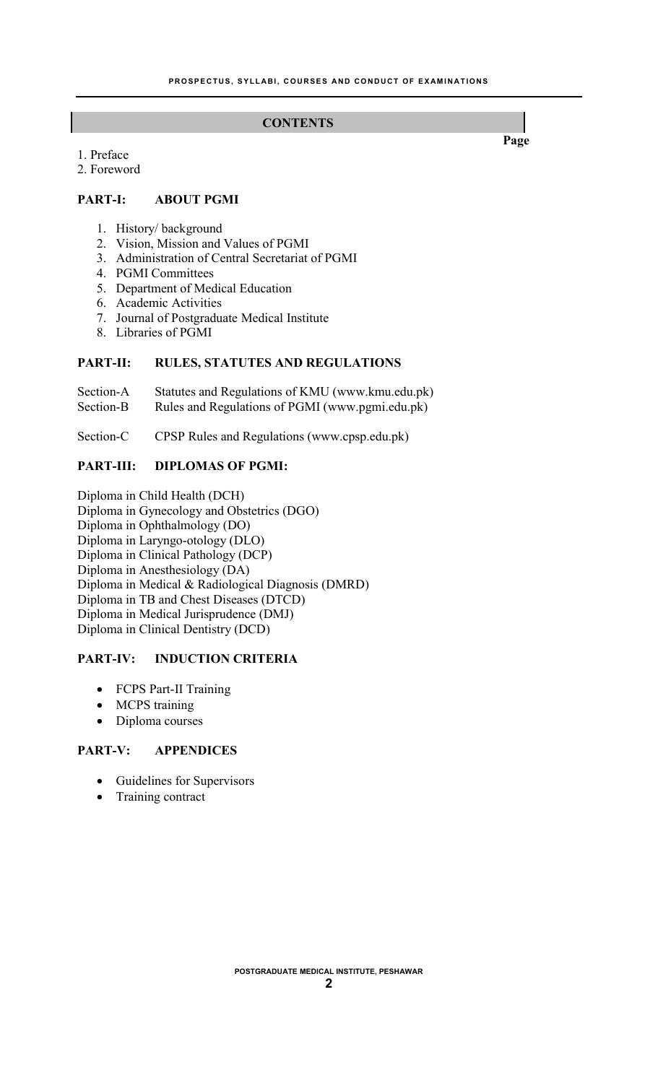#### **CONTENTS**

1. Preface

2. Foreword

## **PART-I: ABOUT PGMI**

- 1. History/ background
- 2. Vision, Mission and Values of PGMI
- 3. Administration of Central Secretariat of PGMI
- 4. PGMI Committees
- 5. Department of Medical Education
- 6. Academic Activities
- 7. Journal of Postgraduate Medical Institute
- 8. Libraries of PGMI

## **PART-II: RULES, STATUTES AND REGULATIONS**

| Section-A | Statutes and Regulations of KMU (www.kmu.edu.pk) |
|-----------|--------------------------------------------------|
| Section-B | Rules and Regulations of PGMI (www.pgmi.edu.pk)  |

Section-C CPSP Rules and Regulations (www.cpsp.edu.pk)

## **PART-III: DIPLOMAS OF PGMI:**

Diploma in Child Health (DCH) Diploma in Gynecology and Obstetrics (DGO) Diploma in Ophthalmology (DO) Diploma in Laryngo-otology (DLO) Diploma in Clinical Pathology (DCP) Diploma in Anesthesiology (DA) Diploma in Medical & Radiological Diagnosis (DMRD) Diploma in TB and Chest Diseases (DTCD) Diploma in Medical Jurisprudence (DMJ) Diploma in Clinical Dentistry (DCD)

## **PART-IV: INDUCTION CRITERIA**

- FCPS Part-II Training
- MCPS training
- Diploma courses

## **PART-V: APPENDICES**

- Guidelines for Supervisors
- Training contract

**Page**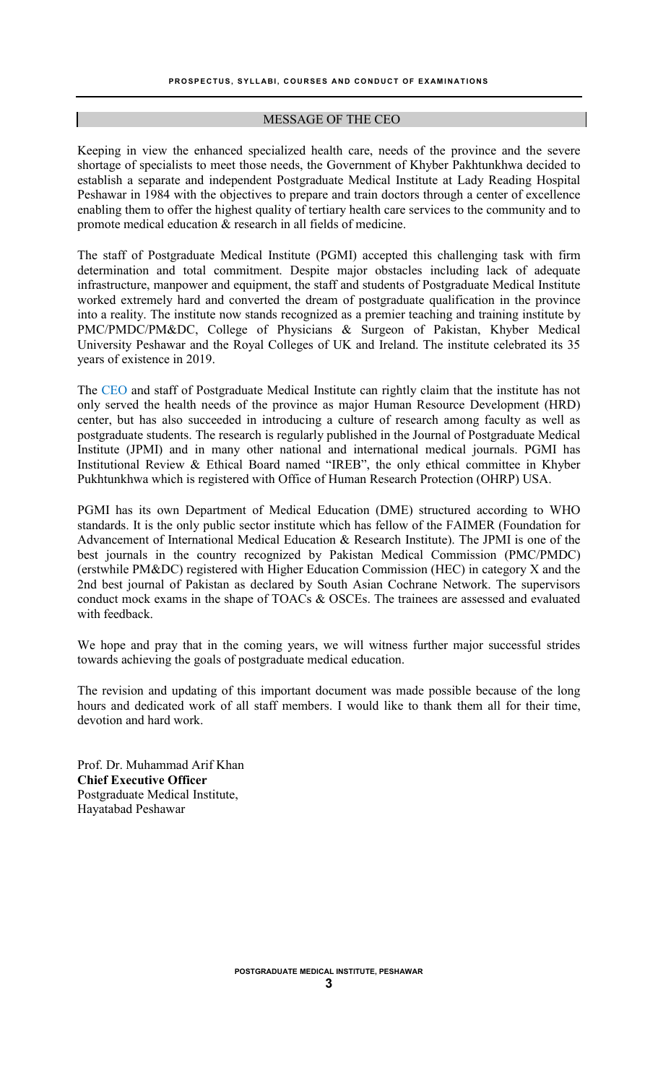#### MESSAGE OF THE CEO

Keeping in view the enhanced specialized health care, needs of the province and the severe shortage of specialists to meet those needs, the Government of Khyber Pakhtunkhwa decided to establish a separate and independent Postgraduate Medical Institute at Lady Reading Hospital Peshawar in 1984 with the objectives to prepare and train doctors through a center of excellence enabling them to offer the highest quality of tertiary health care services to the community and to promote medical education & research in all fields of medicine.

The staff of Postgraduate Medical Institute (PGMI) accepted this challenging task with firm determination and total commitment. Despite major obstacles including lack of adequate infrastructure, manpower and equipment, the staff and students of Postgraduate Medical Institute worked extremely hard and converted the dream of postgraduate qualification in the province into a reality. The institute now stands recognized as a premier teaching and training institute by PMC/PMDC/PM&DC, College of Physicians & Surgeon of Pakistan, Khyber Medical University Peshawar and the Royal Colleges of UK and Ireland. The institute celebrated its 35 years of existence in 2019.

The CEO and staff of Postgraduate Medical Institute can rightly claim that the institute has not only served the health needs of the province as major Human Resource Development (HRD) center, but has also succeeded in introducing a culture of research among faculty as well as postgraduate students. The research is regularly published in the Journal of Postgraduate Medical Institute (JPMI) and in many other national and international medical journals. PGMI has Institutional Review & Ethical Board named "IREB", the only ethical committee in Khyber Pukhtunkhwa which is registered with Office of Human Research Protection (OHRP) USA.

PGMI has its own Department of Medical Education (DME) structured according to WHO standards. It is the only public sector institute which has fellow of the FAIMER (Foundation for Advancement of International Medical Education & Research Institute). The JPMI is one of the best journals in the country recognized by Pakistan Medical Commission (PMC/PMDC) (erstwhile PM&DC) registered with Higher Education Commission (HEC) in category X and the 2nd best journal of Pakistan as declared by South Asian Cochrane Network. The supervisors conduct mock exams in the shape of TOACs & OSCEs. The trainees are assessed and evaluated with feedback.

We hope and pray that in the coming years, we will witness further major successful strides towards achieving the goals of postgraduate medical education.

The revision and updating of this important document was made possible because of the long hours and dedicated work of all staff members. I would like to thank them all for their time, devotion and hard work.

Prof. Dr. Muhammad Arif Khan **Chief Executive Officer** Postgraduate Medical Institute, Hayatabad Peshawar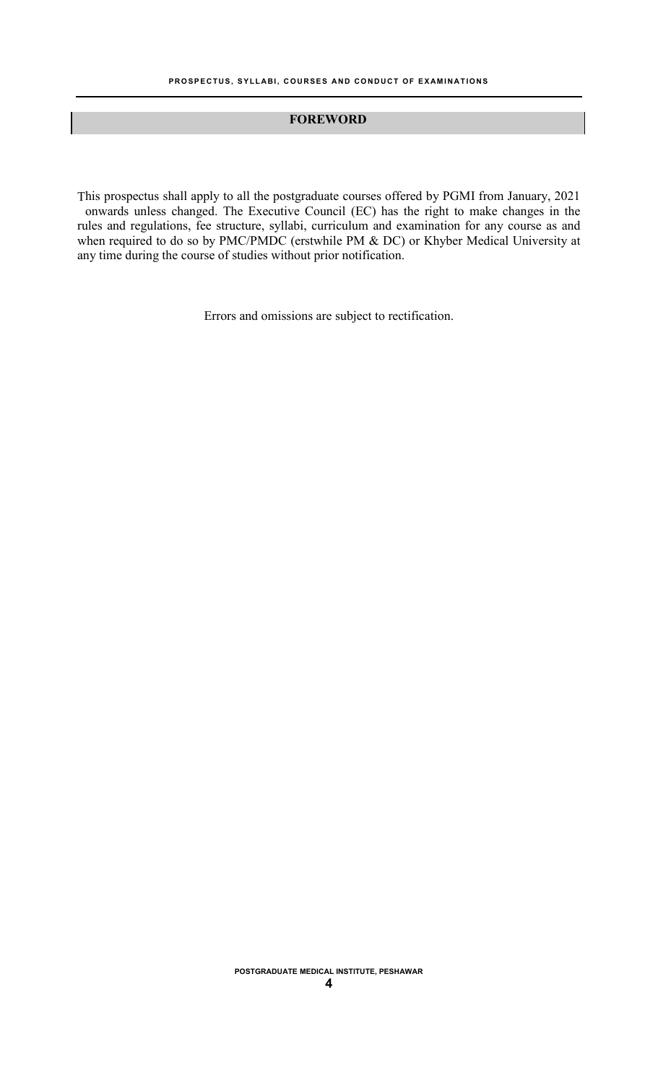#### **FOREWORD**

This prospectus shall apply to all the postgraduate courses offered by PGMI from January, 2021 onwards unless changed. The Executive Council (EC) has the right to make changes in the rules and regulations, fee structure, syllabi, curriculum and examination for any course as and when required to do so by PMC/PMDC (erstwhile PM & DC) or Khyber Medical University at any time during the course of studies without prior notification.

Errors and omissions are subject to rectification.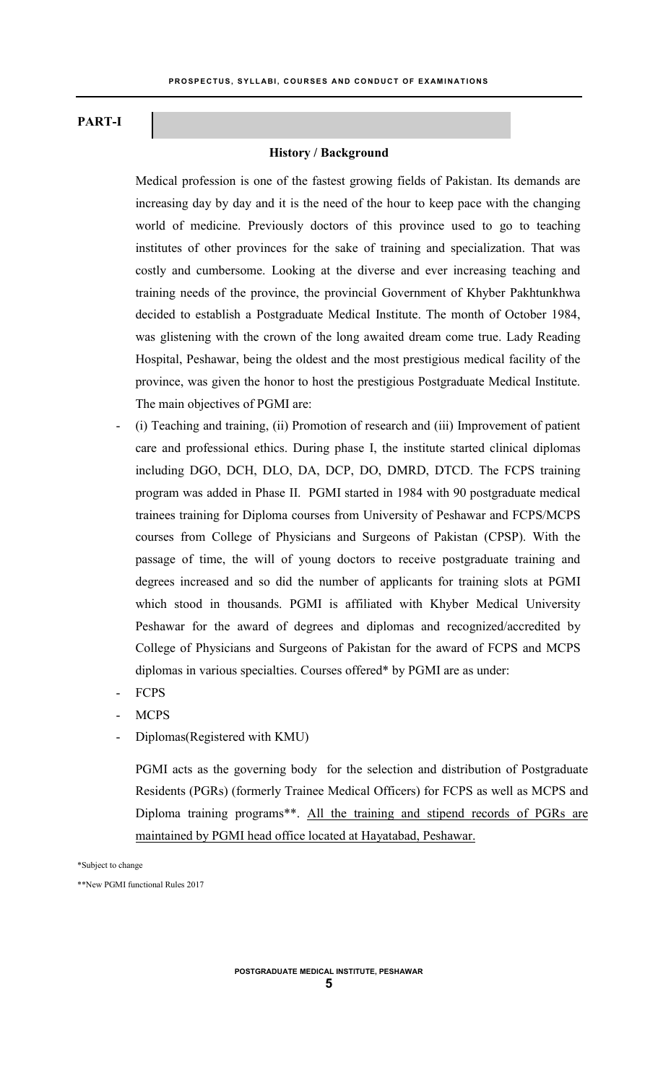## **PART-I**

#### **History / Background**

Medical profession is one of the fastest growing fields of Pakistan. Its demands are increasing day by day and it is the need of the hour to keep pace with the changing world of medicine. Previously doctors of this province used to go to teaching institutes of other provinces for the sake of training and specialization. That was costly and cumbersome. Looking at the diverse and ever increasing teaching and training needs of the province, the provincial Government of Khyber Pakhtunkhwa decided to establish a Postgraduate Medical Institute. The month of October 1984, was glistening with the crown of the long awaited dream come true. Lady Reading Hospital, Peshawar, being the oldest and the most prestigious medical facility of the province, was given the honor to host the prestigious Postgraduate Medical Institute. The main objectives of PGMI are:

- (i) Teaching and training, (ii) Promotion of research and (iii) Improvement of patient care and professional ethics. During phase I, the institute started clinical diplomas including DGO, DCH, DLO, DA, DCP, DO, DMRD, DTCD. The FCPS training program was added in Phase II. PGMI started in 1984 with 90 postgraduate medical trainees training for Diploma courses from University of Peshawar and FCPS/MCPS courses from College of Physicians and Surgeons of Pakistan (CPSP). With the passage of time, the will of young doctors to receive postgraduate training and degrees increased and so did the number of applicants for training slots at PGMI which stood in thousands. PGMI is affiliated with Khyber Medical University Peshawar for the award of degrees and diplomas and recognized/accredited by College of Physicians and Surgeons of Pakistan for the award of FCPS and MCPS diplomas in various specialties. Courses offered\* by PGMI are as under:
- FCPS
- MCPS
- Diplomas(Registered with KMU)

PGMI acts as the governing body for the selection and distribution of Postgraduate Residents (PGRs) (formerly Trainee Medical Officers) for FCPS as well as MCPS and Diploma training programs\*\*. All the training and stipend records of PGRs are maintained by PGMI head office located at Hayatabad, Peshawar.

\*Subject to change

\*\*New PGMI functional Rules 2017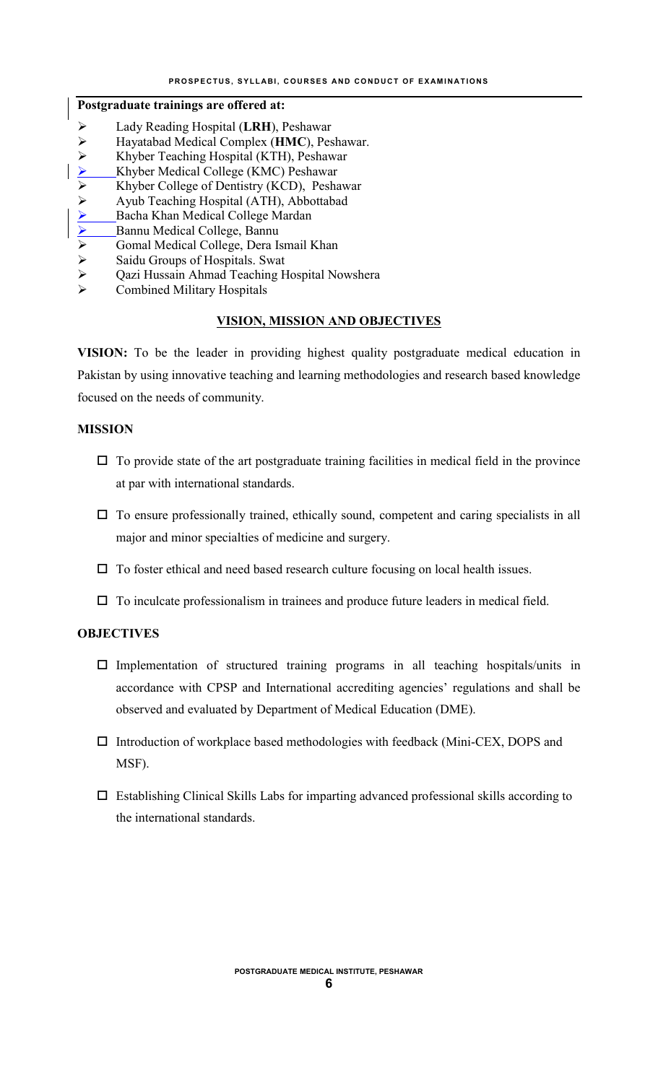#### **Postgraduate trainings are offered at:**

- Lady Reading Hospital (**LRH**), Peshawar
- Hayatabad Medical Complex (**HMC**), Peshawar.
- 
- ► Khyber Teaching Hospital (KTH), Peshawar<br>
► Khyber Medical College (KMC) Peshawar<br>
► Khyber College of Dentistry (KCD). Peshaw Khyber Medical College (KMC) Peshawar
- $\triangleright$  Khyber College of Dentistry (KCD), Peshawar<br>  $\triangleright$  Ayub Teaching Hospital (ATH), Abbottabad
- Ayub Teaching Hospital (ATH), Abbottabad<br>
Alberta Bacha Khan Medical College Mardan<br>
Alberta Bannu Medical College, Bannu<br>
Alberta Gomal Medical College, Dera Ismail Khan
- Bacha Khan Medical College Mardan
- Bannu Medical College, Bannu
- $\triangleright$  Gomal Medical College, Dera Ismail Khan<br> $\triangleright$  Saidu Groups of Hospitals. Swat
- $\geq$  Saidu Groups of Hospitals. Swat<br>  $\geq$  Qazi Hussain Ahmad Teaching H
- $\geq$  Qazi Hussain Ahmad Teaching Hospital Nowshera<br>  $\geq$  Combined Military Hospitals
- Combined Military Hospitals

#### **VISION, MISSION AND OBJECTIVES**

**VISION:** To be the leader in providing highest quality postgraduate medical education in Pakistan by using innovative teaching and learning methodologies and research based knowledge focused on the needs of community.

#### **MISSION**

- $\Box$  To provide state of the art postgraduate training facilities in medical field in the province at par with international standards.
- $\Box$  To ensure professionally trained, ethically sound, competent and caring specialists in all major and minor specialties of medicine and surgery.
- $\Box$  To foster ethical and need based research culture focusing on local health issues.
- $\Box$  To inculcate professionalism in trainees and produce future leaders in medical field.

## **OBJECTIVES**

- $\square$  Implementation of structured training programs in all teaching hospitals/units in accordance with CPSP and International accrediting agencies' regulations and shall be observed and evaluated by Department of Medical Education (DME).
- Introduction of workplace based methodologies with feedback (Mini-CEX, DOPS and MSF).
- $\Box$  Establishing Clinical Skills Labs for imparting advanced professional skills according to the international standards.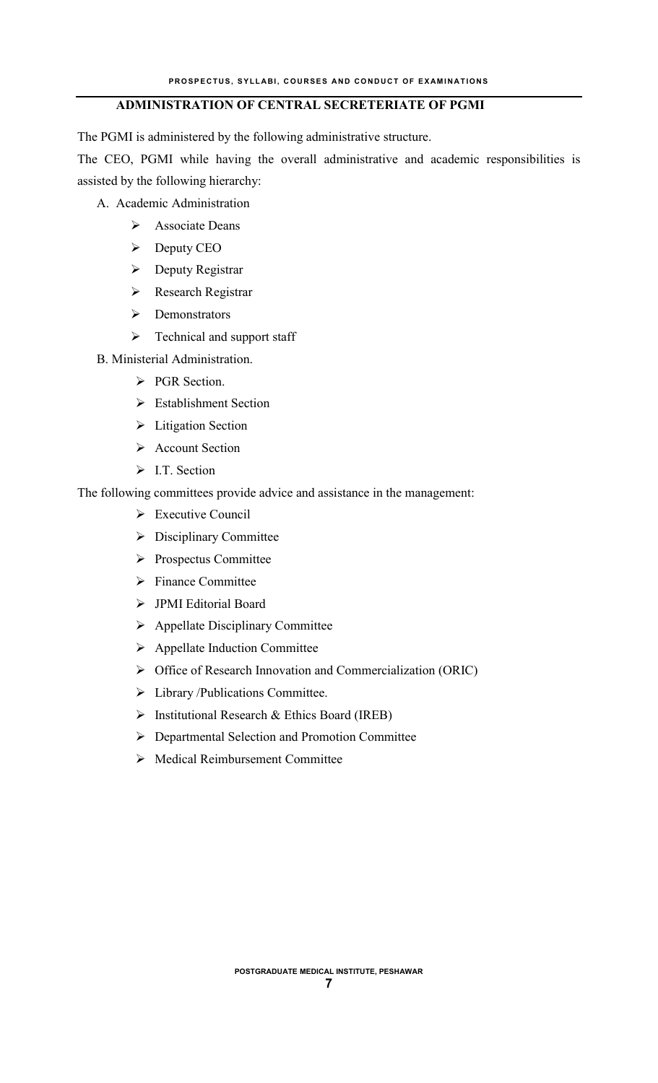## **ADMINISTRATION OF CENTRAL SECRETERIATE OF PGMI**

The PGMI is administered by the following administrative structure.

The CEO, PGMI while having the overall administrative and academic responsibilities is assisted by the following hierarchy:

- A. Academic Administration
	- > Associate Deans
	- $\triangleright$  Deputy CEO
	- **Deputy Registrar**
	- **EXECUTE:** Research Registrar
	- $\triangleright$  Demonstrators
	- $\triangleright$  Technical and support staff
- B. Ministerial Administration.
	- PGR Section.
	- **Establishment Section**
	- > Litigation Section
	- Account Section
	- $\triangleright$  I.T. Section

The following committees provide advice and assistance in the management:

- Executive Council
- $\triangleright$  Disciplinary Committee
- Prospectus Committee
- $\triangleright$  Finance Committee
- JPMI Editorial Board
- $\triangleright$  Appellate Disciplinary Committee
- $\triangleright$  Appellate Induction Committee
- Office of Research Innovation and Commercialization (ORIC)
- > Library /Publications Committee.
- $\triangleright$  Institutional Research & Ethics Board (IREB)
- Departmental Selection and Promotion Committee
- Medical Reimbursement Committee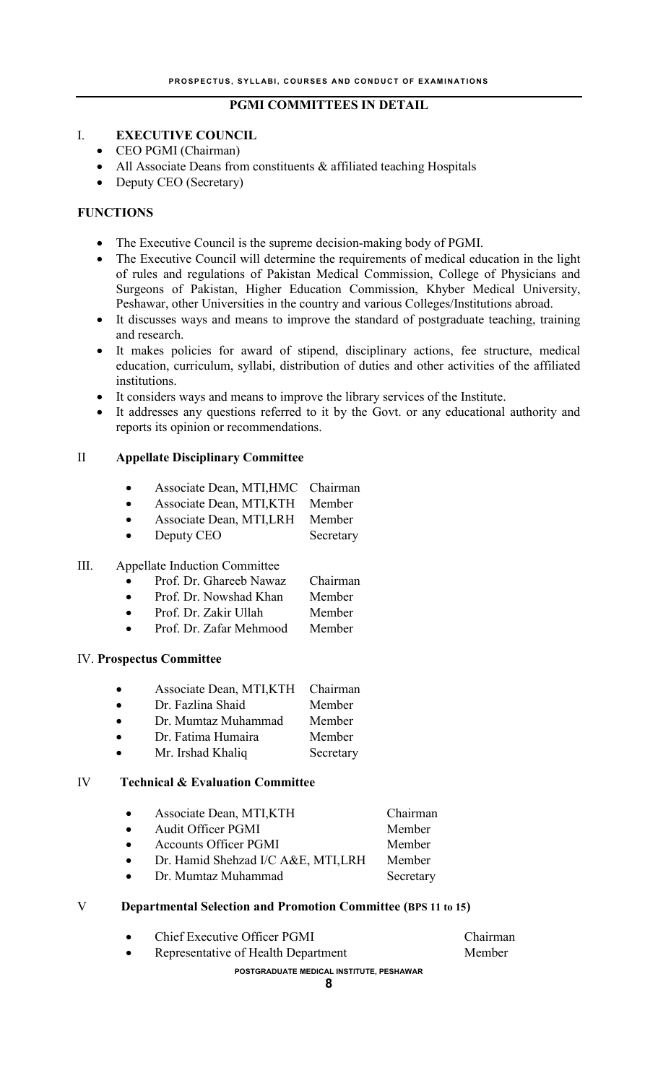## **PGMI COMMITTEES IN DETAIL**

## I. **EXECUTIVE COUNCIL**

- CEO PGMI (Chairman)
- All Associate Deans from constituents & affiliated teaching Hospitals
- Deputy CEO (Secretary)

#### **FUNCTIONS**

- The Executive Council is the supreme decision-making body of PGMI.
- The Executive Council will determine the requirements of medical education in the light of rules and regulations of Pakistan Medical Commission, College of Physicians and Surgeons of Pakistan, Higher Education Commission, Khyber Medical University, Peshawar, other Universities in the country and various Colleges/Institutions abroad.
- It discusses ways and means to improve the standard of postgraduate teaching, training and research.
- It makes policies for award of stipend, disciplinary actions, fee structure, medical education, curriculum, syllabi, distribution of duties and other activities of the affiliated institutions.
- It considers ways and means to improve the library services of the Institute.
- It addresses any questions referred to it by the Govt. or any educational authority and reports its opinion or recommendations.

#### II **Appellate Disciplinary Committee**

- Associate Dean, MTI,HMC Chairman
- Associate Dean, MTI,KTH Member
- Associate Dean, MTI,LRH Member
- Deputy CEO Secretary

#### III. Appellate Induction Committee

- Prof. Dr. Ghareeb Nawaz Chairman
- Prof. Dr. Nowshad Khan Member
- Prof. Dr. Zakir Ullah Member
- Prof. Dr. Zafar Mehmood Member

#### IV. **Prospectus Committee**

- Associate Dean, MTI,KTH Chairman
- Dr. Fazlina Shaid Member
- Dr. Mumtaz Muhammad Member
- Dr. Fatima Humaira Member
- Mr. Irshad Khaliq Secretary

#### IV **Technical & Evaluation Committee**

| $\bullet$ | Associate Dean, MTI, KTH            | Chairman  |
|-----------|-------------------------------------|-----------|
| $\bullet$ | <b>Audit Officer PGMI</b>           | Member    |
| $\bullet$ | <b>Accounts Officer PGMI</b>        | Member    |
| $\bullet$ | Dr. Hamid Shehzad I/C A&E, MTI, LRH | Member    |
| $\bullet$ | Dr. Mumtaz Muhammad                 | Secretary |
|           |                                     |           |

#### V **Departmental Selection and Promotion Committee (BPS 11 to 15)**

|           | POSTGRADUATE MEDICAL INSTITUTE, PESHAWAR |          |
|-----------|------------------------------------------|----------|
| $\bullet$ | Representative of Health Department      | Member   |
| $\bullet$ | Chief Executive Officer PGMI             | Chairman |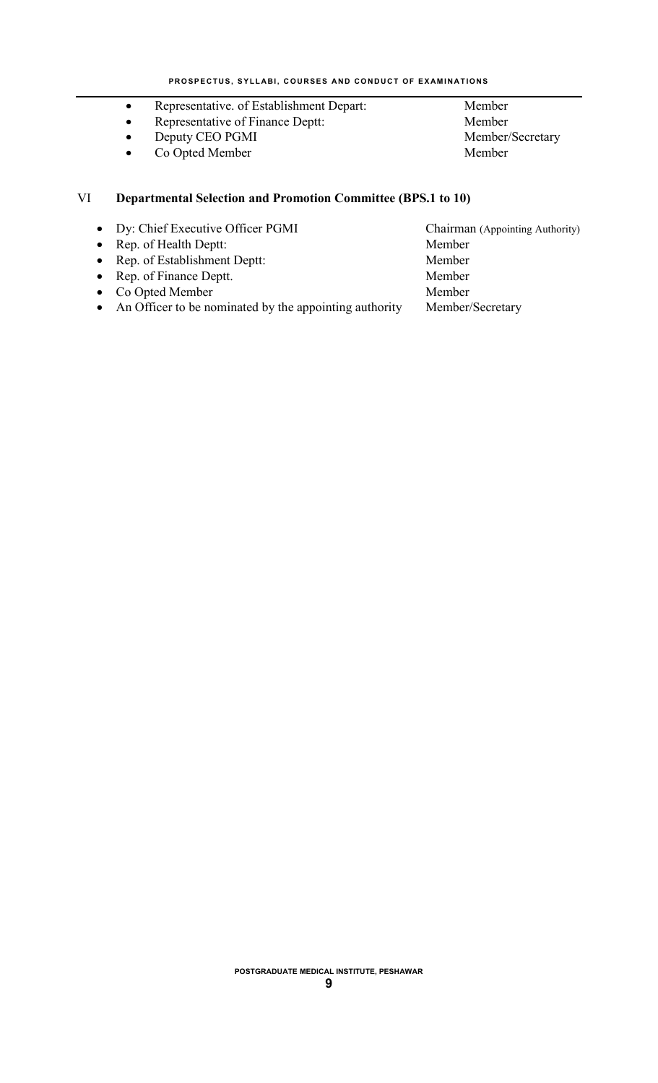- Representative. of Establishment Depart: Member
- Representative of Finance Deptt: Member
- Deputy CEO PGMI Member/Secretary
- Co Opted Member Member

## VI **Departmental Selection and Promotion Committee (BPS.1 to 10)**

- Dy: Chief Executive Officer PGMI Chairman (Appointing Authority)
- Rep. of Health Deptt: Member
- Rep. of Establishment Deptt: Member<br>
Rep. of Finance Deptt. Member<br>
Member
- $\bullet$  Rep. of Finance Deptt.
- Co Opted Member Member
- An Officer to be nominated by the appointing authority Member/Secretary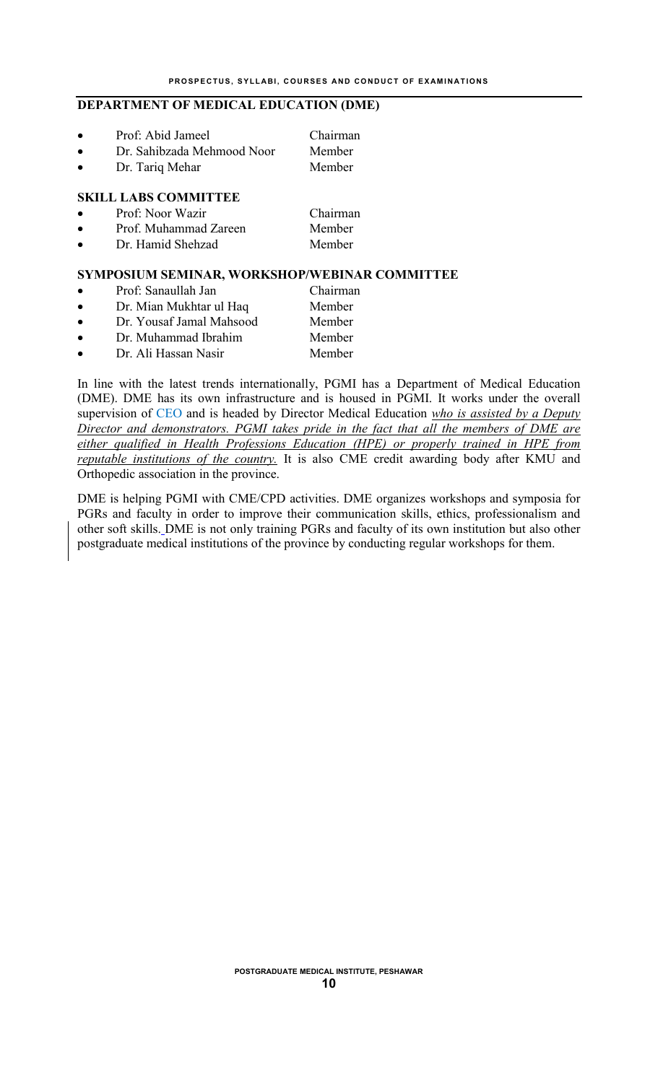#### **DEPARTMENT OF MEDICAL EDUCATION (DME)**

| $\bullet$ | Prof: Abid Jameel           | Chairman |
|-----------|-----------------------------|----------|
| $\bullet$ | Dr. Sahibzada Mehmood Noor  | Member   |
| $\bullet$ | Dr. Tariq Mehar             | Member   |
|           | <b>SKILL LABS COMMITTEE</b> |          |
| $\bullet$ | Prof: Noor Wazir            | Chairman |
|           | Prof. Muhammad Zareen       | Member   |

Dr. Hamid Shehzad Member

#### **SYMPOSIUM SEMINAR, WORKSHOP/WEBINAR COMMITTEE**

- Prof: Sanaullah Jan Chairman
- Dr. Mian Mukhtar ul Haq Member
- Dr. Yousaf Jamal Mahsood Member
- Dr. Muhammad Ibrahim Member
- Dr. Ali Hassan Nasir Member

In line with the latest trends internationally, PGMI has a Department of Medical Education (DME). DME has its own infrastructure and is housed in PGMI. It works under the overall supervision of CEO and is headed by Director Medical Education *who is assisted by a Deputy Director and demonstrators. PGMI takes pride in the fact that all the members of DME are either qualified in Health Professions Education (HPE) or properly trained in HPE from reputable institutions of the country.* It is also CME credit awarding body after KMU and Orthopedic association in the province.

DME is helping PGMI with CME/CPD activities. DME organizes workshops and symposia for PGRs and faculty in order to improve their communication skills, ethics, professionalism and other soft skills. DME is not only training PGRs and faculty of its own institution but also other postgraduate medical institutions of the province by conducting regular workshops for them.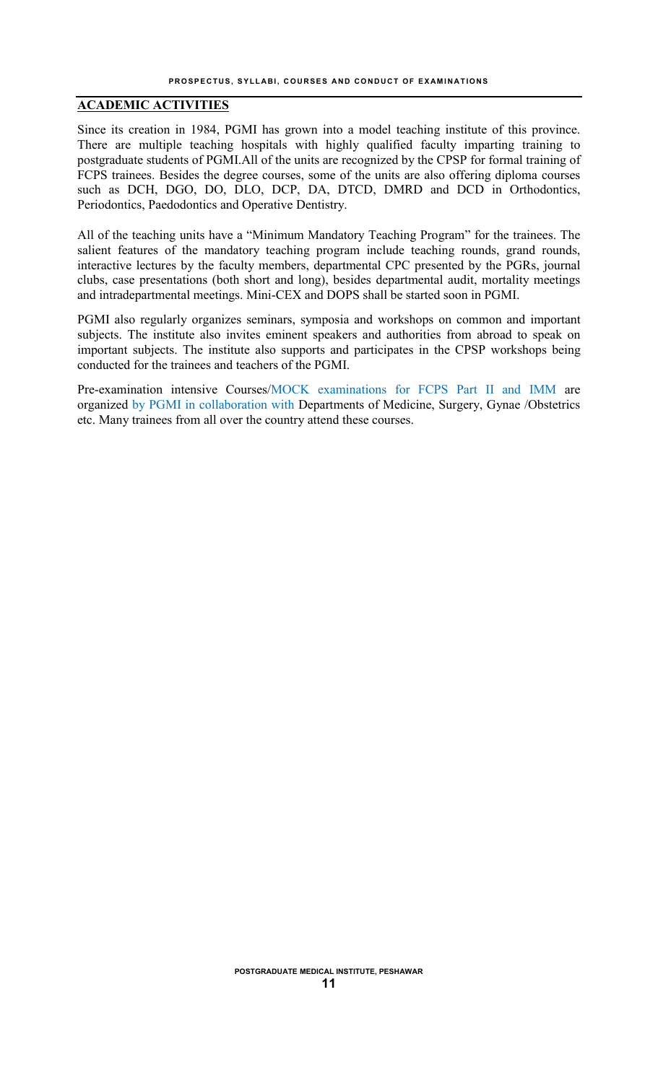## **ACADEMIC ACTIVITIES**

Since its creation in 1984, PGMI has grown into a model teaching institute of this province. There are multiple teaching hospitals with highly qualified faculty imparting training to postgraduate students of PGMI.All of the units are recognized by the CPSP for formal training of FCPS trainees. Besides the degree courses, some of the units are also offering diploma courses such as DCH, DGO, DO, DLO, DCP, DA, DTCD, DMRD and DCD in Orthodontics, Periodontics, Paedodontics and Operative Dentistry.

All of the teaching units have a "Minimum Mandatory Teaching Program" for the trainees. The salient features of the mandatory teaching program include teaching rounds, grand rounds, interactive lectures by the faculty members, departmental CPC presented by the PGRs, journal clubs, case presentations (both short and long), besides departmental audit, mortality meetings and intradepartmental meetings. Mini-CEX and DOPS shall be started soon in PGMI.

PGMI also regularly organizes seminars, symposia and workshops on common and important subjects. The institute also invites eminent speakers and authorities from abroad to speak on important subjects. The institute also supports and participates in the CPSP workshops being conducted for the trainees and teachers of the PGMI.

Pre-examination intensive Courses/MOCK examinations for FCPS Part II and IMM are organized by PGMI in collaboration with Departments of Medicine, Surgery, Gynae /Obstetrics etc. Many trainees from all over the country attend these courses.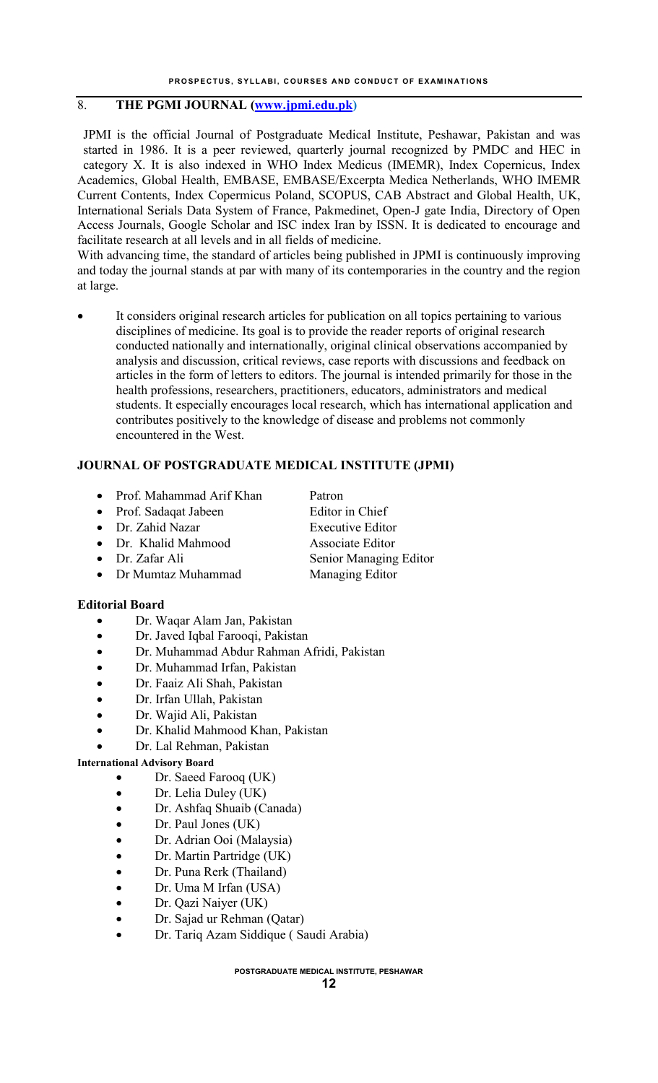## 8. **THE PGMI JOURNAL [\(www.jpmi.edu.pk](http://www.jpmi.edu.pk/))**

JPMI is the official Journal of Postgraduate Medical Institute, Peshawar, Pakistan and was started in 1986. It is a peer reviewed, quarterly journal recognized by PMDC and HEC in category X. It is also indexed in WHO Index Medicus (IMEMR), Index Copernicus, Index Academics, Global Health, EMBASE, EMBASE/Excerpta Medica Netherlands, WHO IMEMR Current Contents, Index Copermicus Poland, SCOPUS, CAB Abstract and Global Health, UK, International Serials Data System of France, Pakmedinet, Open-J gate India, Directory of Open Access Journals, Google Scholar and ISC index Iran by ISSN. It is dedicated to encourage and facilitate research at all levels and in all fields of medicine.

With advancing time, the standard of articles being published in JPMI is continuously improving and today the journal stands at par with many of its contemporaries in the country and the region at large.

 It considers original research articles for publication on all topics pertaining to various disciplines of medicine. Its goal is to provide the reader reports of original research conducted nationally and internationally, original clinical observations accompanied by analysis and discussion, critical reviews, case reports with discussions and feedback on articles in the form of letters to editors. The journal is intended primarily for those in the health professions, researchers, practitioners, educators, administrators and medical students. It especially encourages local research, which has international application and contributes positively to the knowledge of disease and problems not commonly encountered in the West.

#### **JOURNAL OF POSTGRADUATE MEDICAL INSTITUTE (JPMI)**

- Prof. Mahammad Arif Khan Patron
- Prof. Sadaqat Jabeen Editor in Chief
- Dr. Zahid Nazar Executive Editor
- Dr. Khalid Mahmood Associate Editor
- Dr. Zafar Ali Senior Managing Editor
- Dr Mumtaz Muhammad Managing Editor

#### **Editorial Board**

- Dr. Waqar Alam Jan, Pakistan
- Dr. Javed Iqbal Farooqi, Pakistan
- Dr. Muhammad Abdur Rahman Afridi, Pakistan
- Dr. Muhammad Irfan, Pakistan
- Dr. Faaiz Ali Shah, Pakistan
- Dr. Irfan Ullah, Pakistan
- Dr. Wajid Ali, Pakistan
- Dr. Khalid Mahmood Khan, Pakistan
- Dr. Lal Rehman, Pakistan

#### **International Advisory Board**

- Dr. Saeed Farooq (UK)
- Dr. Lelia Duley (UK)
- Dr. Ashfaq Shuaib (Canada)
- Dr. Paul Jones (UK)
- Dr. Adrian Ooi (Malaysia)
- Dr. Martin Partridge (UK)
- Dr. Puna Rerk (Thailand)
- Dr. Uma M Irfan (USA)
- Dr. Qazi Naiyer (UK)
- Dr. Sajad ur Rehman (Qatar)
- Dr. Tariq Azam Siddique ( Saudi Arabia)

**POSTGRADUATE MEDICAL INSTITUTE, PESHAWAR**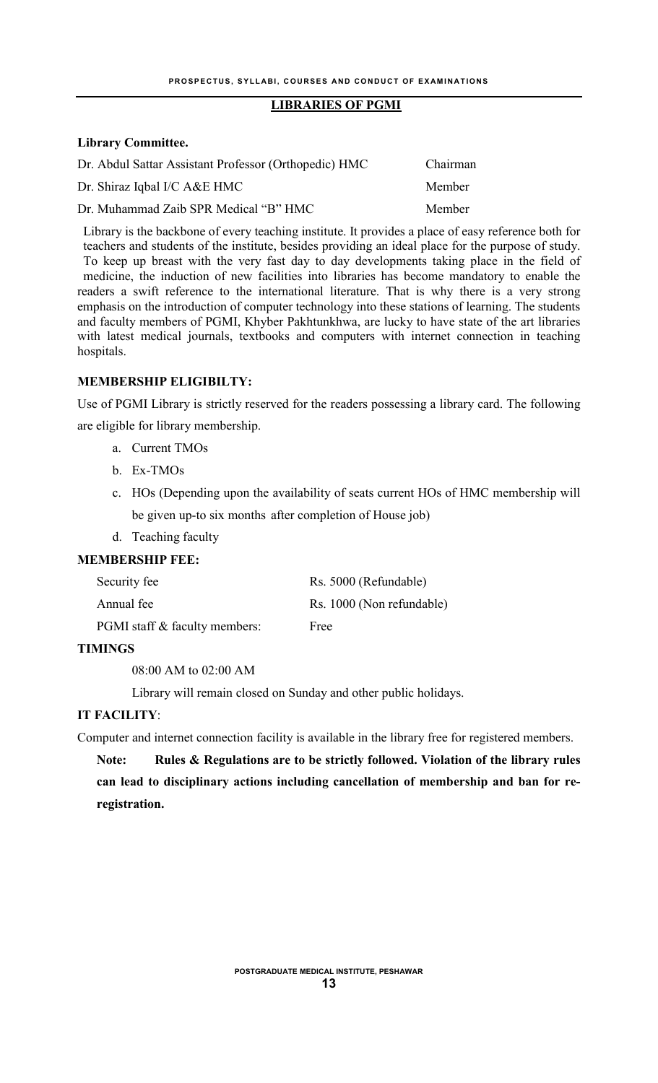## **LIBRARIES OF PGMI**

#### **Library Committee.**

| Dr. Abdul Sattar Assistant Professor (Orthopedic) HMC | Chairman |
|-------------------------------------------------------|----------|
| Dr. Shiraz Iqbal I/C A&E HMC                          | Member   |
| Dr. Muhammad Zaib SPR Medical "B" HMC                 | Member   |

Library is the backbone of every teaching institute. It provides a place of easy reference both for teachers and students of the institute, besides providing an ideal place for the purpose of study. To keep up breast with the very fast day to day developments taking place in the field of medicine, the induction of new facilities into libraries has become mandatory to enable the readers a swift reference to the international literature. That is why there is a very strong emphasis on the introduction of computer technology into these stations of learning. The students and faculty members of PGMI, Khyber Pakhtunkhwa, are lucky to have state of the art libraries with latest medical journals, textbooks and computers with internet connection in teaching hospitals.

## **MEMBERSHIP ELIGIBILTY:**

Use of PGMI Library is strictly reserved for the readers possessing a library card. The following are eligible for library membership.

- a. Current TMOs
	- b. Ex-TMOs
	- c. HOs (Depending upon the availability of seats current HOs of HMC membership will be given up-to six months after completion of House job)
	- d. Teaching faculty

## **MEMBERSHIP FEE:**

| Security fee                         | Rs. 5000 (Refundable)     |
|--------------------------------------|---------------------------|
| Annual fee                           | Rs. 1000 (Non refundable) |
| <b>PGMI</b> staff & faculty members: | Free                      |

#### **TIMINGS**

08:00 AM to 02:00 AM

Library will remain closed on Sunday and other public holidays.

#### **IT FACILITY**:

Computer and internet connection facility is available in the library free for registered members.

**Note: Rules & Regulations are to be strictly followed. Violation of the library rules can lead to disciplinary actions including cancellation of membership and ban for reregistration.**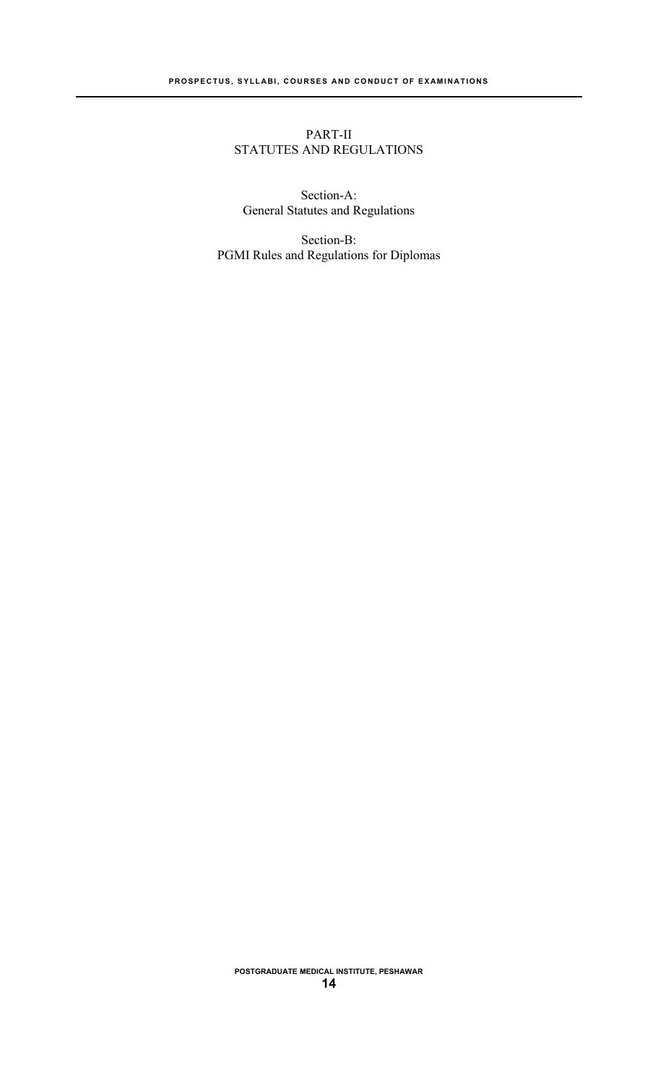## PART-II STATUTES AND REGULATIONS

Section-A: General Statutes and Regulations

Section-B: PGMI Rules and Regulations for Diplomas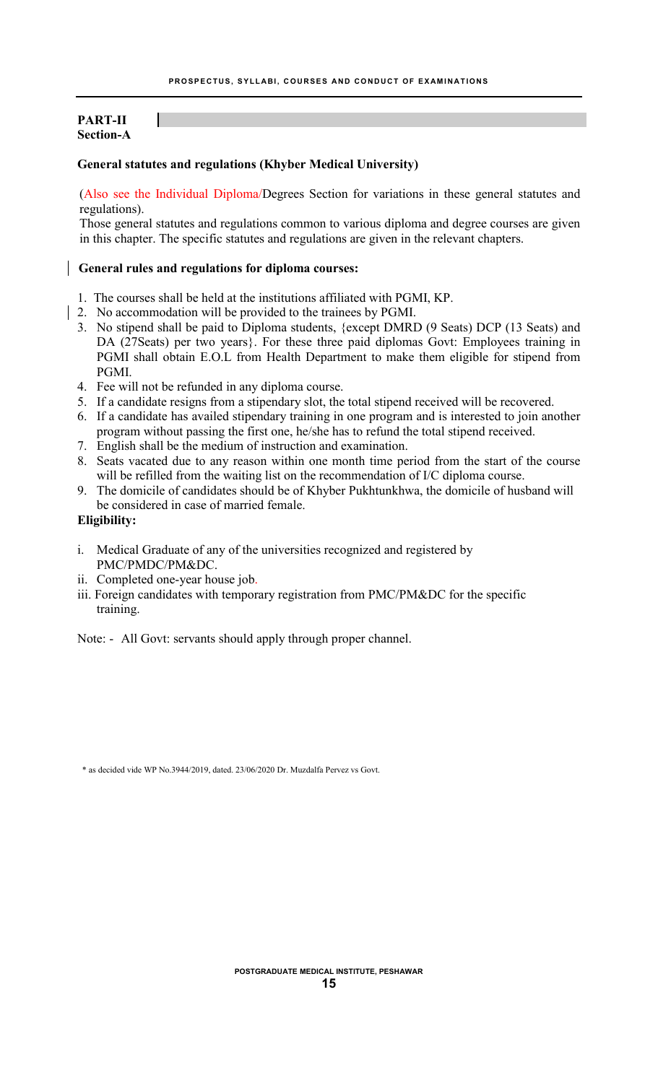## **PART-II Section-A**

#### **General statutes and regulations (Khyber Medical University)**

(Also see the Individual Diploma/Degrees Section for variations in these general statutes and regulations).

Those general statutes and regulations common to various diploma and degree courses are given in this chapter. The specific statutes and regulations are given in the relevant chapters.

#### **General rules and regulations for diploma courses:**

- 1. The courses shall be held at the institutions affiliated with PGMI, KP.
- 2. No accommodation will be provided to the trainees by PGMI.
	- 3. No stipend shall be paid to Diploma students, {except DMRD (9 Seats) DCP (13 Seats) and DA (27Seats) per two years}. For these three paid diplomas Govt: Employees training in PGMI shall obtain E.O.L from Health Department to make them eligible for stipend from PGMI.
	- 4. Fee will not be refunded in any diploma course.
	- 5. If a candidate resigns from a stipendary slot, the total stipend received will be recovered.
	- 6. If a candidate has availed stipendary training in one program and is interested to join another program without passing the first one, he/she has to refund the total stipend received.
	- 7. English shall be the medium of instruction and examination.
	- 8. Seats vacated due to any reason within one month time period from the start of the course will be refilled from the waiting list on the recommendation of I/C diploma course.
	- 9. The domicile of candidates should be of Khyber Pukhtunkhwa, the domicile of husband will be considered in case of married female.

#### **Eligibility:**

- i. Medical Graduate of any of the universities recognized and registered by PMC/PMDC/PM&DC.
- ii. Completed one-year house job.
- iii. Foreign candidates with temporary registration from PMC/PM&DC for the specific training.
- Note: All Govt: servants should apply through proper channel.

\* as decided vide WP No.3944/2019, dated. 23/06/2020 Dr. Muzdalfa Pervez vs Govt.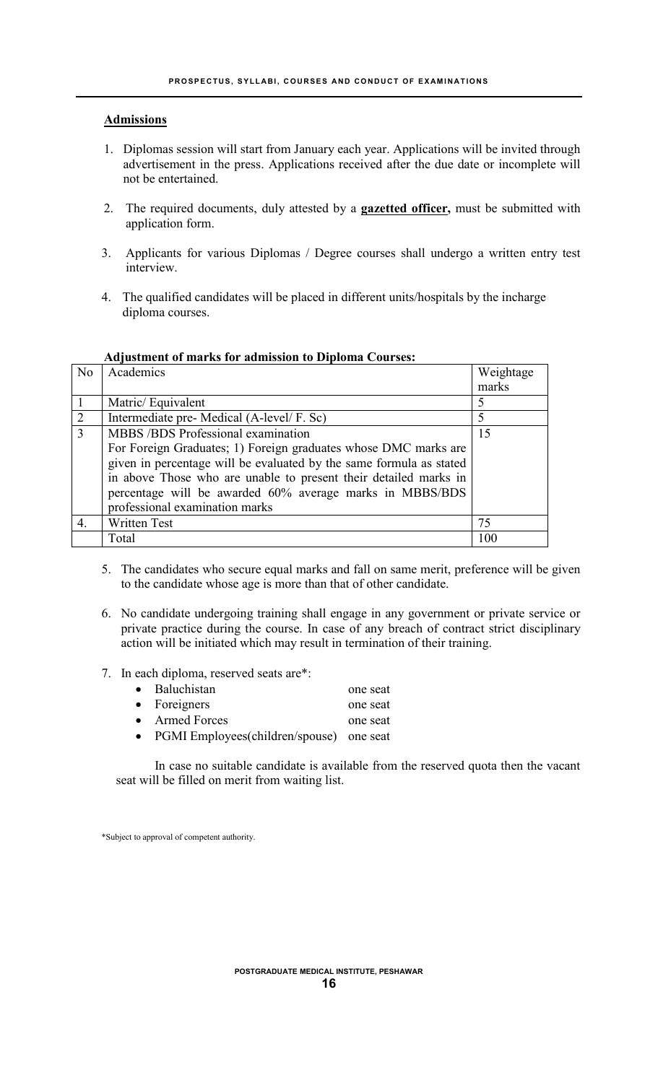## **Admissions**

- 1. Diplomas session will start from January each year. Applications will be invited through advertisement in the press. Applications received after the due date or incomplete will not be entertained.
- 2. The required documents, duly attested by a **gazetted officer,** must be submitted with application form.
- 3. Applicants for various Diplomas / Degree courses shall undergo a written entry test interview.
- 4. The qualified candidates will be placed in different units/hospitals by the incharge diploma courses.

| N <sub>o</sub> | Academics                                                           | Weightage |
|----------------|---------------------------------------------------------------------|-----------|
|                |                                                                     | marks     |
|                | Matric/Equivalent                                                   |           |
| $\overline{2}$ | Intermediate pre- Medical (A-level/F. Sc)                           |           |
| $\mathcal{E}$  | MBBS /BDS Professional examination                                  | 15        |
|                | For Foreign Graduates; 1) Foreign graduates whose DMC marks are     |           |
|                | given in percentage will be evaluated by the same formula as stated |           |
|                | in above Those who are unable to present their detailed marks in    |           |
|                | percentage will be awarded 60% average marks in MBBS/BDS            |           |
|                | professional examination marks                                      |           |
| 4.             | <b>Written Test</b>                                                 | 75        |
|                | Total                                                               | 100       |

#### **Adjustment of marks for admission to Diploma Courses:**

- 5. The candidates who secure equal marks and fall on same merit, preference will be given to the candidate whose age is more than that of other candidate.
- 6. No candidate undergoing training shall engage in any government or private service or private practice during the course. In case of any breach of contract strict disciplinary action will be initiated which may result in termination of their training.
- 7. In each diploma, reserved seats are\*:

| • Baluchistan                               | one seat |
|---------------------------------------------|----------|
| $\bullet$ Foreigners                        | one seat |
| • Armed Forces                              | one seat |
| • PGMI Employees (children/spouse) one seat |          |

In case no suitable candidate is available from the reserved quota then the vacant seat will be filled on merit from waiting list.

\*Subject to approval of competent authority.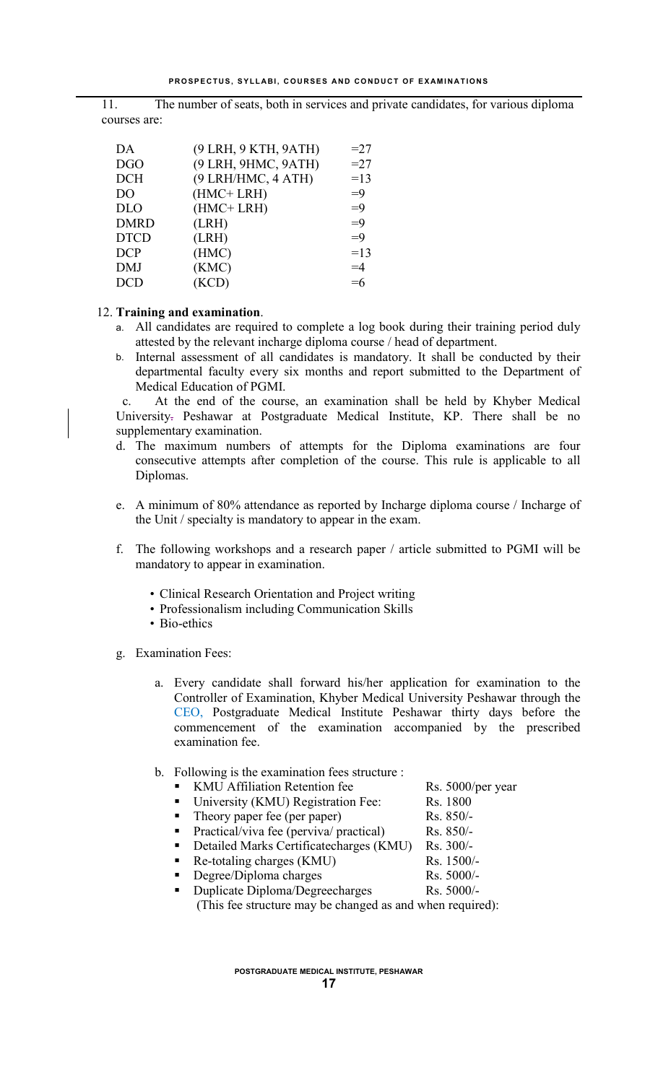11. The number of seats, both in services and private candidates, for various diploma courses are:

| DA             | (9 LRH, 9 KTH, 9 ATH) | $=27$ |
|----------------|-----------------------|-------|
| <b>DGO</b>     | (9 LRH, 9HMC, 9ATH)   | $=27$ |
| <b>DCH</b>     | (9 LRH/HMC, 4 ATH)    | $=13$ |
| D <sub>O</sub> | (HMC+LRH)             | $=9$  |
| <b>DLO</b>     | (HMC+LRH)             | $=9$  |
| <b>DMRD</b>    | (LRH)                 | $=9$  |
| <b>DTCD</b>    | (LRH)                 | $=9$  |
| <b>DCP</b>     | (HMC)                 | $=13$ |
| <b>DMJ</b>     | (KMC)                 | $=4$  |
| DCD            | (KCD)                 | $=6$  |
|                |                       |       |

## 12. **Training and examination**.

- a. All candidates are required to complete a log book during their training period duly attested by the relevant incharge diploma course / head of department.
- b. Internal assessment of all candidates is mandatory. It shall be conducted by their departmental faculty every six months and report submitted to the Department of Medical Education of PGMI.

 c. At the end of the course, an examination shall be held by Khyber Medical University. Peshawar at Postgraduate Medical Institute, KP. There shall be no supplementary examination.

- d. The maximum numbers of attempts for the Diploma examinations are four consecutive attempts after completion of the course. This rule is applicable to all Diplomas.
- e. A minimum of 80% attendance as reported by Incharge diploma course / Incharge of the Unit / specialty is mandatory to appear in the exam.
- f. The following workshops and a research paper / article submitted to PGMI will be mandatory to appear in examination.
	- Clinical Research Orientation and Project writing
	- Professionalism including Communication Skills
	- Bio-ethics
- g. Examination Fees:
	- a. Every candidate shall forward his/her application for examination to the Controller of Examination, Khyber Medical University Peshawar through the CEO, Postgraduate Medical Institute Peshawar thirty days before the commencement of the examination accompanied by the prescribed examination fee.
	- b. Following is the examination fees structure :
		- KMU Affiliation Retention fee Rs. 5000/per year
		- University (KMU) Registration Fee: Rs. 1800
		- Theory paper fee (per paper) Rs. 850/-
		- Practical/viva fee (perviva/ practical) Rs. 850/-
		- Detailed Marks Certificatecharges (KMU) Rs. 300/-<br>Re-totaling charges (KMU) Rs. 1500/-
		- Re-totaling charges (KMU)
		- Degree/Diploma charges Rs. 5000/-

Duplicate Diploma/Degreecharges Rs. 5000/-(This fee structure may be changed as and when required):

**POSTGRADUATE MEDICAL INSTITUTE, PESHAWAR**

- 
- 
- 
- 
-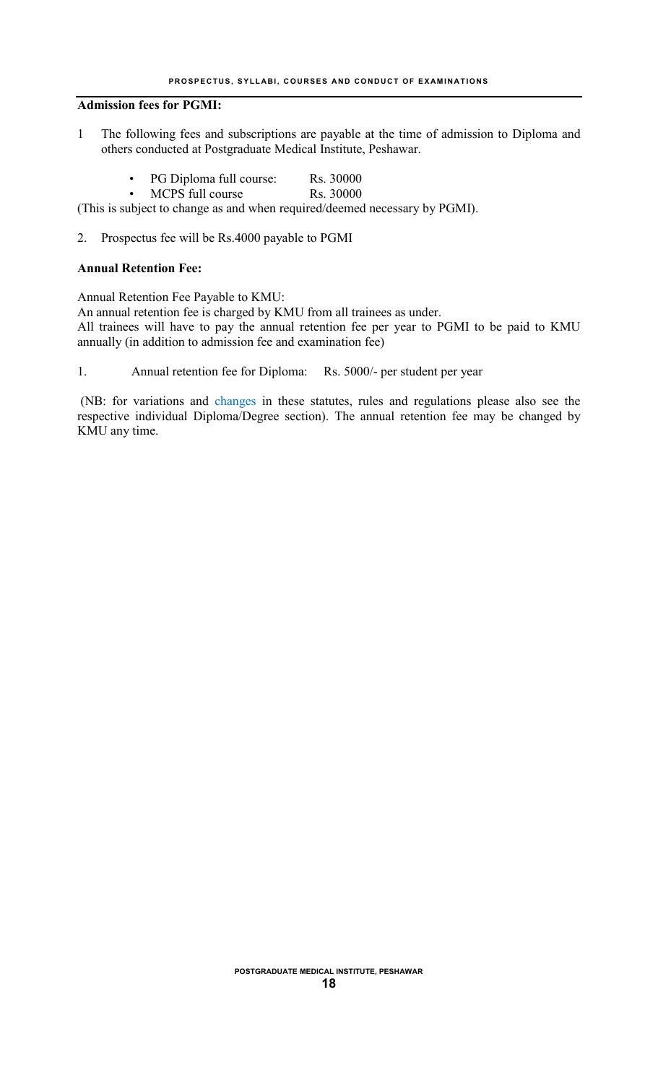#### **Admission fees for PGMI:**

- 1 The following fees and subscriptions are payable at the time of admission to Diploma and others conducted at Postgraduate Medical Institute, Peshawar.
	- PG Diploma full course: Rs. 30000
	- MCPS full course Rs. 30000

(This is subject to change as and when required/deemed necessary by PGMI).

2. Prospectus fee will be Rs.4000 payable to PGMI

#### **Annual Retention Fee:**

Annual Retention Fee Payable to KMU:

An annual retention fee is charged by KMU from all trainees as under. All trainees will have to pay the annual retention fee per year to PGMI to be paid to KMU annually (in addition to admission fee and examination fee)

1. Annual retention fee for Diploma: Rs. 5000/- per student per year

(NB: for variations and changes in these statutes, rules and regulations please also see the respective individual Diploma/Degree section). The annual retention fee may be changed by KMU any time.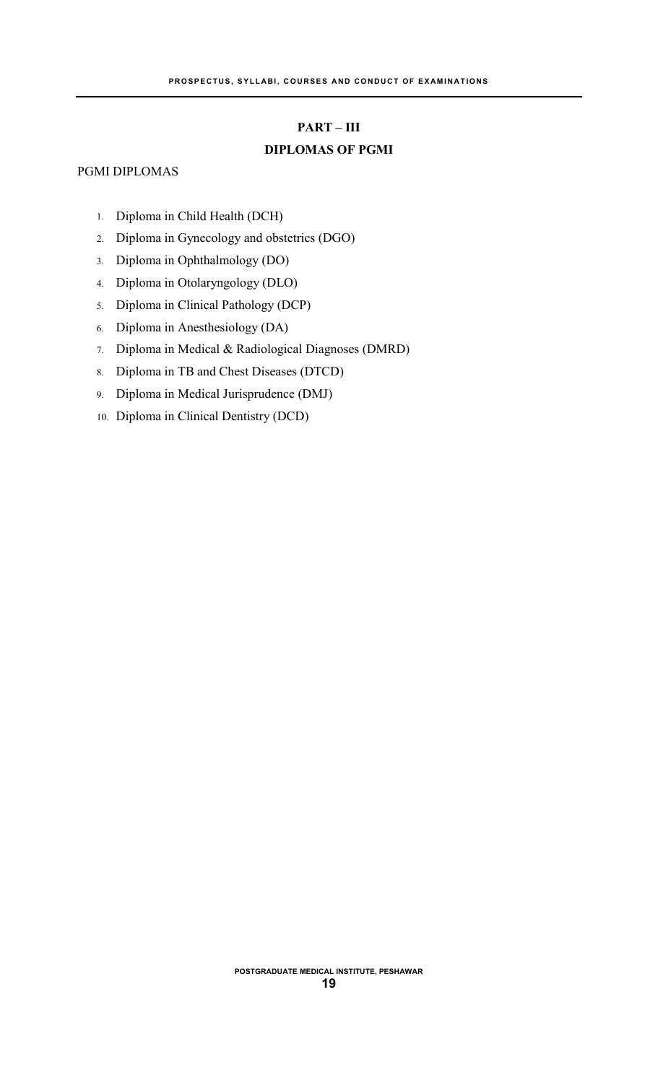#### **PART – III**

## **DIPLOMAS OF PGMI**

## PGMI DIPLOMAS

- 1. Diploma in Child Health (DCH)
- 2. Diploma in Gynecology and obstetrics (DGO)
- 3. Diploma in Ophthalmology (DO)
- 4. Diploma in Otolaryngology (DLO)
- 5. Diploma in Clinical Pathology (DCP)
- 6. Diploma in Anesthesiology (DA)
- 7. Diploma in Medical & Radiological Diagnoses (DMRD)
- 8. Diploma in TB and Chest Diseases (DTCD)
- 9. Diploma in Medical Jurisprudence (DMJ)
- 10. Diploma in Clinical Dentistry (DCD)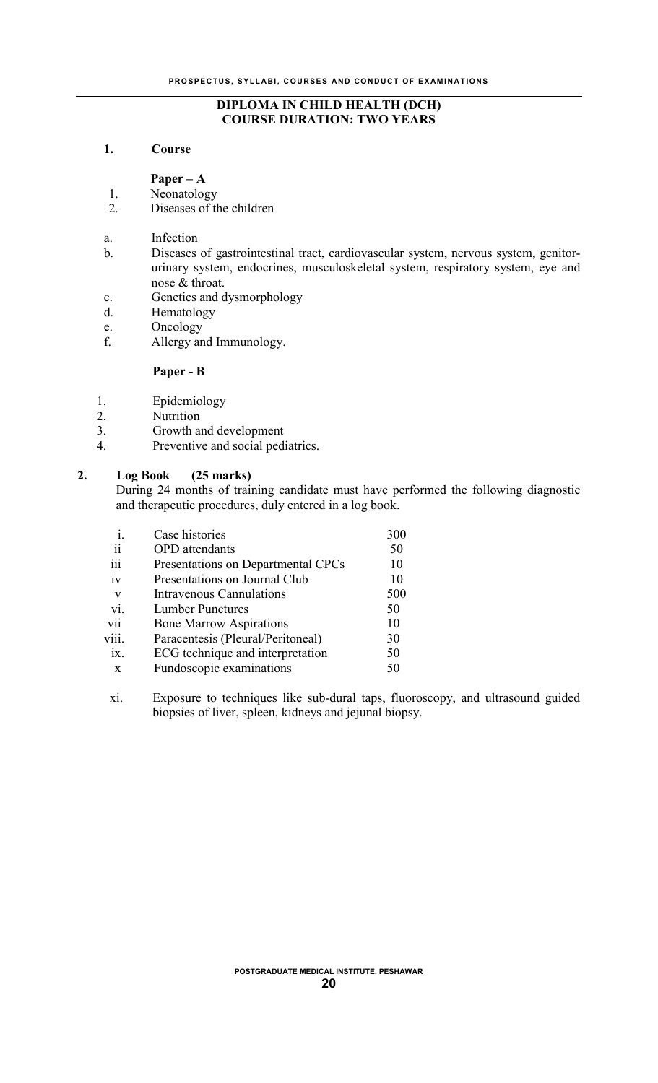## **DIPLOMA IN CHILD HEALTH (DCH) COURSE DURATION: TWO YEARS**

## **1. Course**

**Paper – A**

1. Neonatology

- 2. Diseases of the children
- a. Infection
- b. Diseases of gastrointestinal tract, cardiovascular system, nervous system, genitorurinary system, endocrines, musculoskeletal system, respiratory system, eye and nose & throat.
- c. Genetics and dysmorphology
- d. Hematology
- e. Oncology
- f. Allergy and Immunology.

#### **Paper - B**

- 1. Epidemiology
- 
- 2. Nutrition<br>3. Growth at
- 3. Growth and development 4. Preventive and social nedi Preventive and social pediatrics.

## **2. Log Book (25 marks)**

During 24 months of training candidate must have performed the following diagnostic and therapeutic procedures, duly entered in a log book.

| $\mathbf{1}$ .      | Case histories                     | 300 |
|---------------------|------------------------------------|-----|
| $\ddot{\mathbf{i}}$ | <b>OPD</b> attendants              | 50  |
| iii                 | Presentations on Departmental CPCs | 10  |
| iv                  | Presentations on Journal Club      | 10  |
| V                   | Intravenous Cannulations           | 500 |
| vi.                 | <b>Lumber Punctures</b>            | 50  |
| vii                 | <b>Bone Marrow Aspirations</b>     | 10  |
| V111.               | Paracentesis (Pleural/Peritoneal)  | 30  |
| $\overline{1}X$ .   | ECG technique and interpretation   | 50  |
| X                   | Fundoscopic examinations           | 50  |
|                     |                                    |     |

xi. Exposure to techniques like sub-dural taps, fluoroscopy, and ultrasound guided biopsies of liver, spleen, kidneys and jejunal biopsy.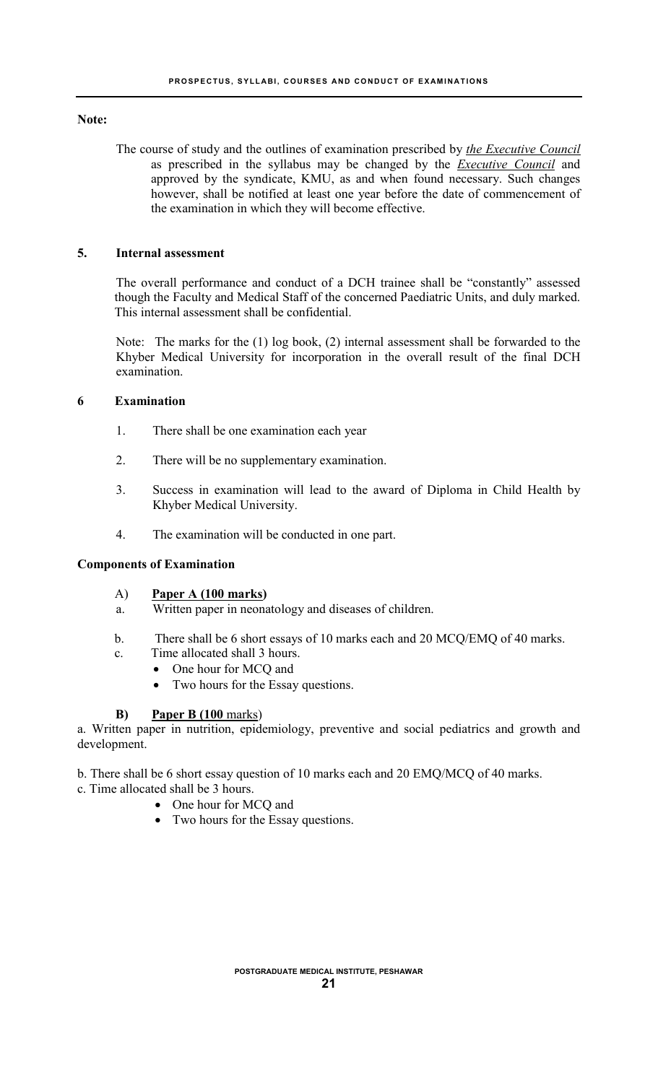#### **Note:**

The course of study and the outlines of examination prescribed by *the Executive Council*  as prescribed in the syllabus may be changed by the *Executive Council* and approved by the syndicate, KMU, as and when found necessary. Such changes however, shall be notified at least one year before the date of commencement of the examination in which they will become effective.

## **5. Internal assessment**

The overall performance and conduct of a DCH trainee shall be "constantly" assessed though the Faculty and Medical Staff of the concerned Paediatric Units, and duly marked. This internal assessment shall be confidential.

Note: The marks for the (1) log book, (2) internal assessment shall be forwarded to the Khyber Medical University for incorporation in the overall result of the final DCH examination.

#### **6 Examination**

- 1. There shall be one examination each year
- 2. There will be no supplementary examination.
- 3. Success in examination will lead to the award of Diploma in Child Health by Khyber Medical University.
- 4. The examination will be conducted in one part.

#### **Components of Examination**

## A) **Paper A (100 marks)**

- a. Written paper in neonatology and diseases of children.
- b. There shall be 6 short essays of 10 marks each and 20 MCQ/EMQ of 40 marks.
- c. Time allocated shall 3 hours.
	- One hour for MCQ and
		- Two hours for the Essay questions.

#### **B) Paper B (100** marks)

a. Written paper in nutrition, epidemiology, preventive and social pediatrics and growth and development.

b. There shall be 6 short essay question of 10 marks each and 20 EMQ/MCQ of 40 marks.

- c. Time allocated shall be 3 hours.
	- One hour for MCQ and
	- Two hours for the Essay questions.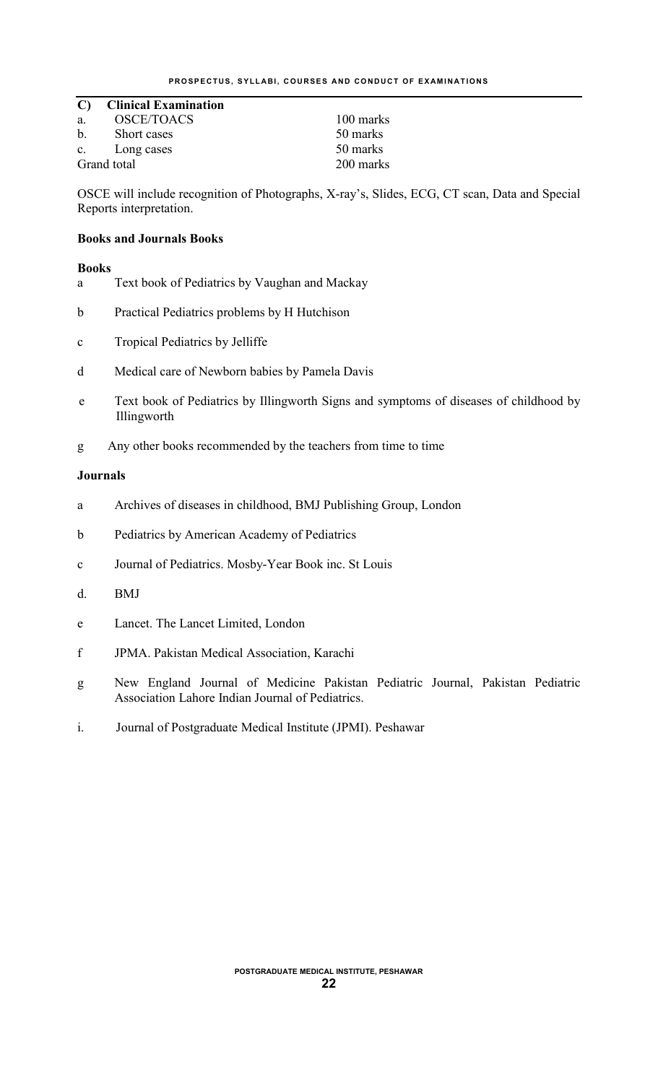## **C) Clinical Examination**

| a. | <b>OSCE/TOACS</b>          |  |
|----|----------------------------|--|
|    | $\mathbf{C1}$ $\mathbf{A}$ |  |

b. Short cases 50 marks<br>c. Long cases 50 marks c. Long cases

100 marks Grand total 200 marks

OSCE will include recognition of Photographs, X-ray's, Slides, ECG, CT scan, Data and Special Reports interpretation.

## **Books and Journals Books**

## **Books**

- a Text book of Pediatrics by Vaughan and Mackay
- b Practical Pediatrics problems by H Hutchison
- c Tropical Pediatrics by Jelliffe
- d Medical care of Newborn babies by Pamela Davis
- e Text book of Pediatrics by Illingworth Signs and symptoms of diseases of childhood by Illingworth
- g Any other books recommended by the teachers from time to time

## **Journals**

- a Archives of diseases in childhood, BMJ Publishing Group, London
- b Pediatrics by American Academy of Pediatrics
- c Journal of Pediatrics. Mosby-Year Book inc. St Louis
- d. BMJ
- e Lancet. The Lancet Limited, London
- f JPMA. Pakistan Medical Association, Karachi
- g New England Journal of Medicine Pakistan Pediatric Journal, Pakistan Pediatric Association Lahore Indian Journal of Pediatrics.
- i. Journal of Postgraduate Medical Institute (JPMI). Peshawar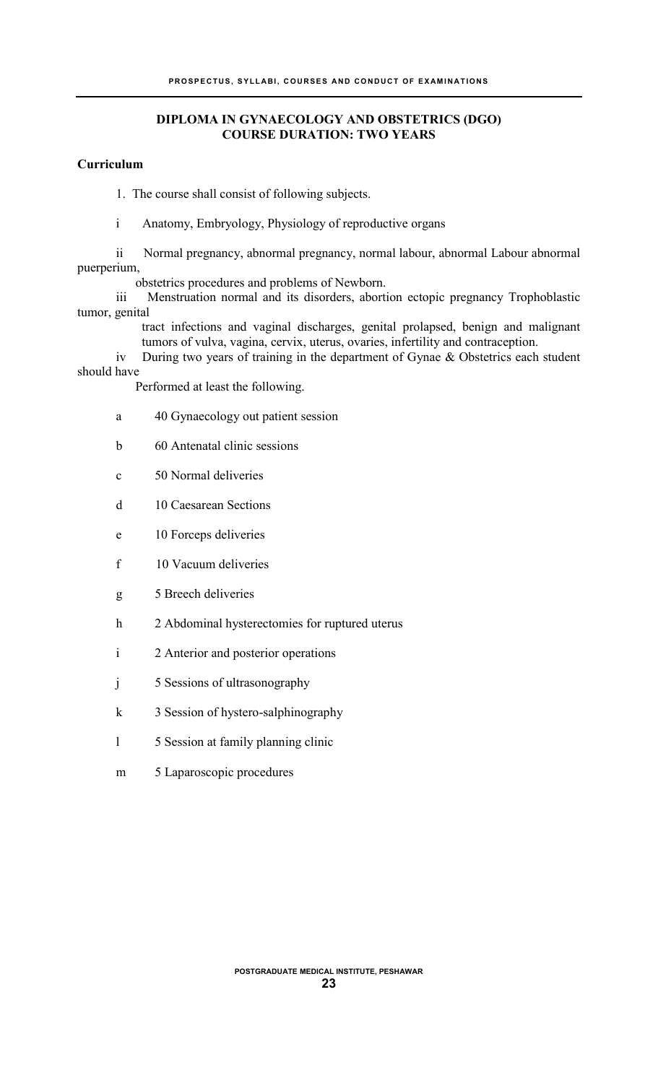## **DIPLOMA IN GYNAECOLOGY AND OBSTETRICS (DGO) COURSE DURATION: TWO YEARS**

## **Curriculum**

1. The course shall consist of following subjects.

i Anatomy, Embryology, Physiology of reproductive organs

ii Normal pregnancy, abnormal pregnancy, normal labour, abnormal Labour abnormal puerperium,

obstetrics procedures and problems of Newborn.

iii Menstruation normal and its disorders, abortion ectopic pregnancy Trophoblastic tumor, genital

tract infections and vaginal discharges, genital prolapsed, benign and malignant tumors of vulva, vagina, cervix, uterus, ovaries, infertility and contraception.

iv During two years of training in the department of Gynae  $\&$  Obstetrics each student should have

Performed at least the following.

- a 40 Gynaecology out patient session
- b 60 Antenatal clinic sessions
- c 50 Normal deliveries
- d 10 Caesarean Sections
- e 10 Forceps deliveries
- f 10 Vacuum deliveries
- g 5 Breech deliveries
- h 2 Abdominal hysterectomies for ruptured uterus
- i 2 Anterior and posterior operations
- j 5 Sessions of ultrasonography
- k 3 Session of hystero-salphinography
- l 5 Session at family planning clinic
- m 5 Laparoscopic procedures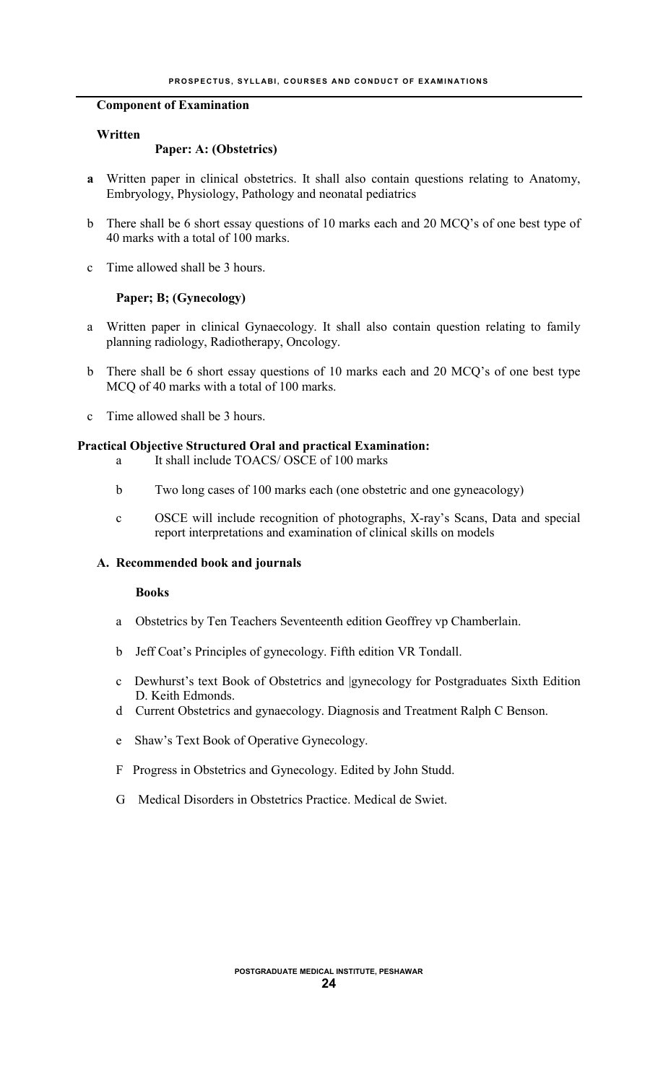#### **Component of Examination**

#### **Written**

#### **Paper: A: (Obstetrics)**

- **a** Written paper in clinical obstetrics. It shall also contain questions relating to Anatomy, Embryology, Physiology, Pathology and neonatal pediatrics
- b There shall be 6 short essay questions of 10 marks each and 20 MCQ's of one best type of 40 marks with a total of 100 marks.
- c Time allowed shall be 3 hours.

#### **Paper; B; (Gynecology)**

- a Written paper in clinical Gynaecology. It shall also contain question relating to family planning radiology, Radiotherapy, Oncology.
- b There shall be 6 short essay questions of 10 marks each and 20 MCQ's of one best type MCQ of 40 marks with a total of 100 marks.
- c Time allowed shall be 3 hours.

#### **Practical Objective Structured Oral and practical Examination:**

- a It shall include TOACS/ OSCE of 100 marks
- b Two long cases of 100 marks each (one obstetric and one gyneacology)
- c OSCE will include recognition of photographs, X-ray's Scans, Data and special report interpretations and examination of clinical skills on models

#### **A. Recommended book and journals**

#### **Books**

- a Obstetrics by Ten Teachers Seventeenth edition Geoffrey vp Chamberlain.
- b Jeff Coat's Principles of gynecology. Fifth edition VR Tondall.
- c Dewhurst's text Book of Obstetrics and |gynecology for Postgraduates Sixth Edition D. Keith Edmonds.
- d Current Obstetrics and gynaecology. Diagnosis and Treatment Ralph C Benson.
- e Shaw's Text Book of Operative Gynecology.
- F Progress in Obstetrics and Gynecology. Edited by John Studd.
- G Medical Disorders in Obstetrics Practice. Medical de Swiet.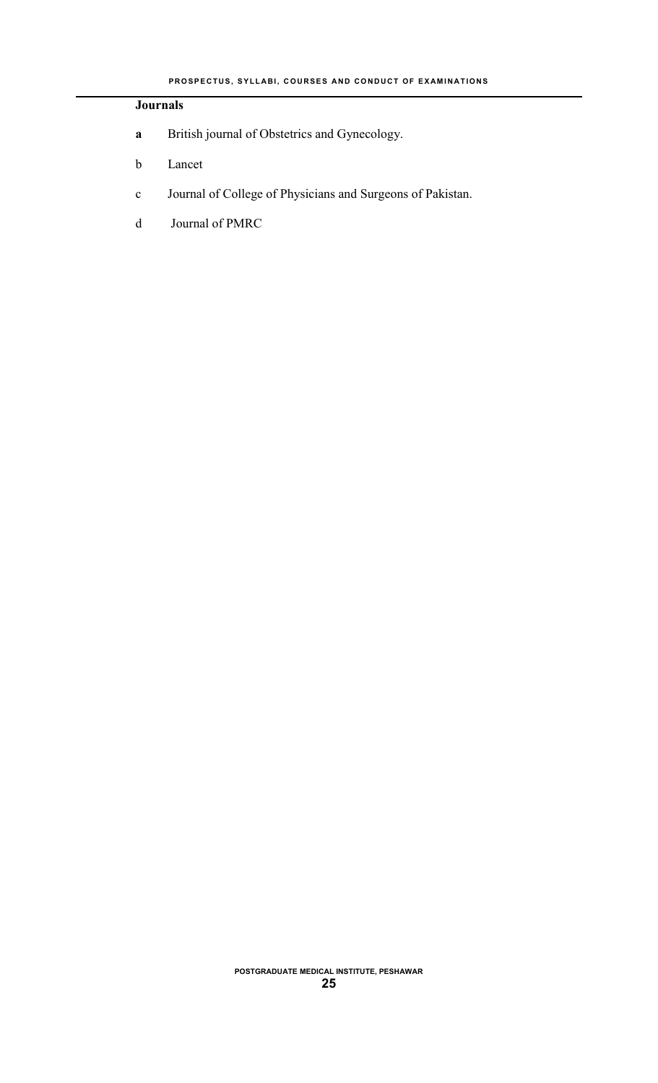## **Journals**

- **a** British journal of Obstetrics and Gynecology.
- b Lancet
- c Journal of College of Physicians and Surgeons of Pakistan.
- d Journal of PMRC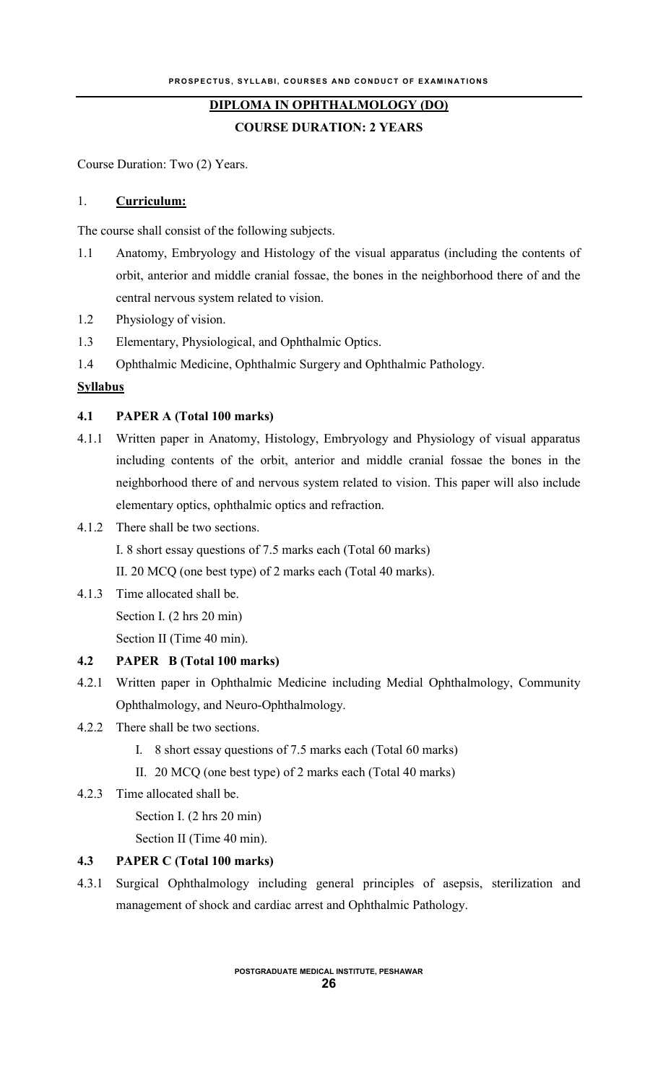## **DIPLOMA IN OPHTHALMOLOGY (DO)**

**COURSE DURATION: 2 YEARS**

Course Duration: Two (2) Years.

## 1. **Curriculum:**

The course shall consist of the following subjects.

- 1.1 Anatomy, Embryology and Histology of the visual apparatus (including the contents of orbit, anterior and middle cranial fossae, the bones in the neighborhood there of and the central nervous system related to vision.
- 1.2 Physiology of vision.
- 1.3 Elementary, Physiological, and Ophthalmic Optics.
- 1.4 Ophthalmic Medicine, Ophthalmic Surgery and Ophthalmic Pathology.

## **Syllabus**

## **4.1 PAPER A (Total 100 marks)**

- 4.1.1 Written paper in Anatomy, Histology, Embryology and Physiology of visual apparatus including contents of the orbit, anterior and middle cranial fossae the bones in the neighborhood there of and nervous system related to vision. This paper will also include elementary optics, ophthalmic optics and refraction.
- 4.1.2 There shall be two sections.

I. 8 short essay questions of 7.5 marks each (Total 60 marks)

II. 20 MCQ (one best type) of 2 marks each (Total 40 marks).

4.1.3 Time allocated shall be. Section I. (2 hrs 20 min) Section II (Time 40 min).

## **4.2 PAPER B (Total 100 marks)**

- 4.2.1 Written paper in Ophthalmic Medicine including Medial Ophthalmology, Community Ophthalmology, and Neuro-Ophthalmology.
- 4.2.2 There shall be two sections.
	- I. 8 short essay questions of 7.5 marks each (Total 60 marks)
	- II. 20 MCQ (one best type) of 2 marks each (Total 40 marks)
- 4.2.3 Time allocated shall be.
	- Section I. (2 hrs 20 min)

Section II (Time 40 min).

## **4.3 PAPER C (Total 100 marks)**

4.3.1 Surgical Ophthalmology including general principles of asepsis, sterilization and management of shock and cardiac arrest and Ophthalmic Pathology.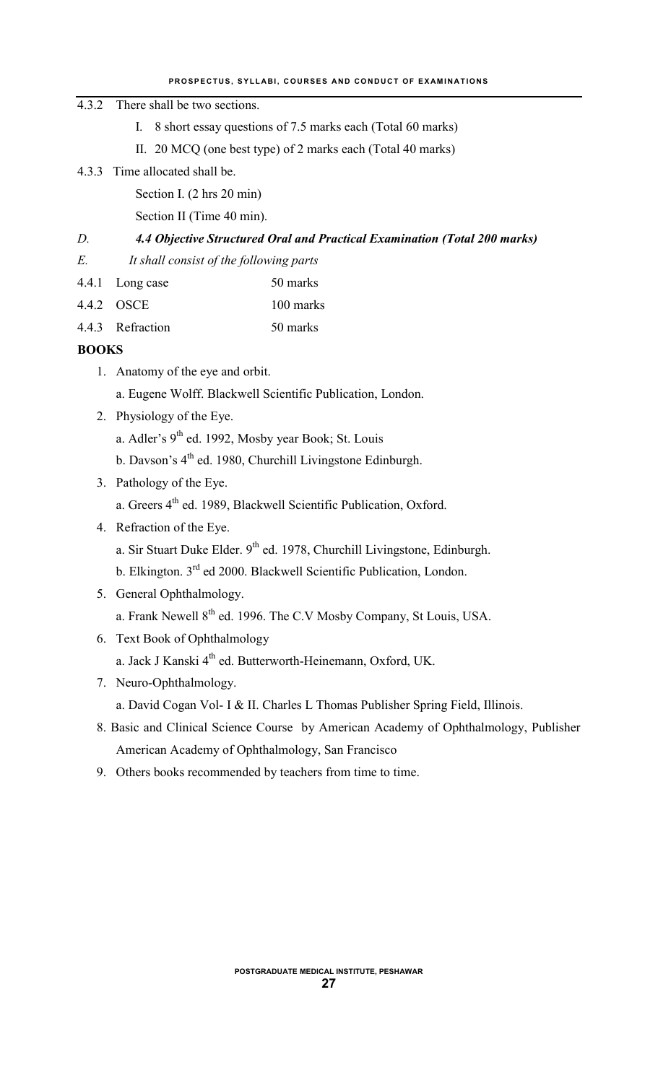#### **PROSPECTUS, SYLLABI, COURSES AND CONDUCT OF EXAMINATIONS**

## 4.3.2 There shall be two sections.

- I. 8 short essay questions of 7.5 marks each (Total 60 marks)
- II. 20 MCQ (one best type) of 2 marks each (Total 40 marks)
- 4.3.3 Time allocated shall be.

Section I. (2 hrs 20 min)

Section II (Time 40 min).

## *D. 4.4 Objective Structured Oral and Practical Examination (Total 200 marks)*

- *E. It shall consist of the following parts*
- 4.4.1 Long case 50 marks
- 4.4.2 OSCE 100 marks
- 4.4.3 Refraction 50 marks

## **BOOKS**

- 1. Anatomy of the eye and orbit.
	- a. Eugene Wolff. Blackwell Scientific Publication, London.
- 2. Physiology of the Eye.
	- a. Adler's 9<sup>th</sup> ed. 1992, Mosby year Book; St. Louis
	- b. Davson's  $4<sup>th</sup>$  ed. 1980, Churchill Livingstone Edinburgh.
- 3. Pathology of the Eye.
	- a. Greers 4<sup>th</sup> ed. 1989, Blackwell Scientific Publication, Oxford.
- 4. Refraction of the Eye.
	- a. Sir Stuart Duke Elder.  $9<sup>th</sup>$  ed. 1978, Churchill Livingstone, Edinburgh.
	- b. Elkington. 3<sup>rd</sup> ed 2000. Blackwell Scientific Publication, London.

# 5. General Ophthalmology.

- a. Frank Newell  $8<sup>th</sup>$  ed. 1996. The C.V Mosby Company, St Louis, USA.
- 6. Text Book of Ophthalmology
	- a. Jack J Kanski 4<sup>th</sup> ed. Butterworth-Heinemann, Oxford, UK.
- 7. Neuro-Ophthalmology.
	- a. David Cogan Vol- I & II. Charles L Thomas Publisher Spring Field, Illinois.
- 8. Basic and Clinical Science Course by American Academy of Ophthalmology, Publisher American Academy of Ophthalmology, San Francisco
- 9. Others books recommended by teachers from time to time.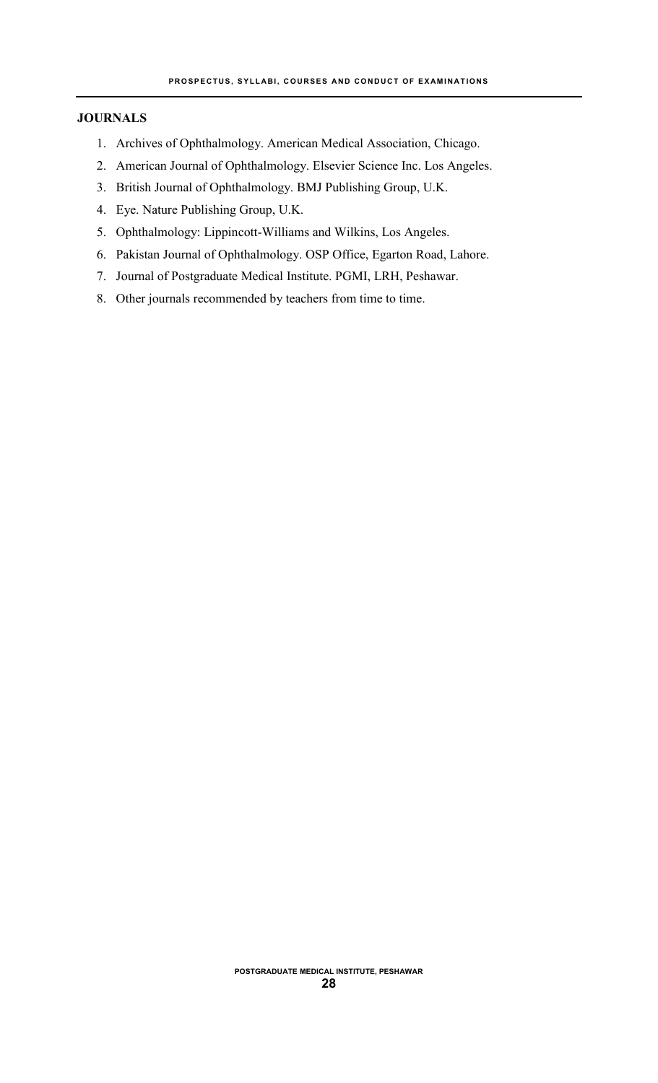## **JOURNALS**

- 1. Archives of Ophthalmology. American Medical Association, Chicago.
- 2. American Journal of Ophthalmology. Elsevier Science Inc. Los Angeles.
- 3. British Journal of Ophthalmology. BMJ Publishing Group, U.K.
- 4. Eye. Nature Publishing Group, U.K.
- 5. Ophthalmology: Lippincott-Williams and Wilkins, Los Angeles.
- 6. Pakistan Journal of Ophthalmology. OSP Office, Egarton Road, Lahore.
- 7. Journal of Postgraduate Medical Institute. PGMI, LRH, Peshawar.
- 8. Other journals recommended by teachers from time to time.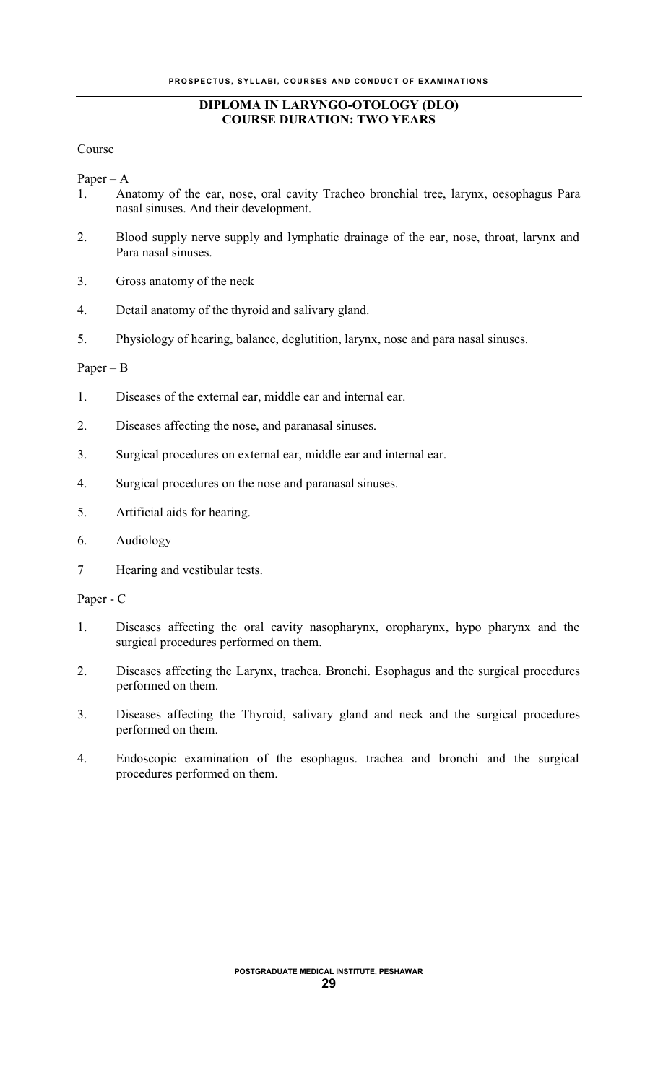## **DIPLOMA IN LARYNGO-OTOLOGY (DLO) COURSE DURATION: TWO YEARS**

Course

Paper – A

- 1. Anatomy of the ear, nose, oral cavity Tracheo bronchial tree, larynx, oesophagus Para nasal sinuses. And their development.
- 2. Blood supply nerve supply and lymphatic drainage of the ear, nose, throat, larynx and Para nasal sinuses.
- 3. Gross anatomy of the neck
- 4. Detail anatomy of the thyroid and salivary gland.
- 5. Physiology of hearing, balance, deglutition, larynx, nose and para nasal sinuses.

Paper – B

- 1. Diseases of the external ear, middle ear and internal ear.
- 2. Diseases affecting the nose, and paranasal sinuses.
- 3. Surgical procedures on external ear, middle ear and internal ear.
- 4. Surgical procedures on the nose and paranasal sinuses.
- 5. Artificial aids for hearing.
- 6. Audiology
- 7 Hearing and vestibular tests.

Paper - C

- 1. Diseases affecting the oral cavity nasopharynx, oropharynx, hypo pharynx and the surgical procedures performed on them.
- 2. Diseases affecting the Larynx, trachea. Bronchi. Esophagus and the surgical procedures performed on them.
- 3. Diseases affecting the Thyroid, salivary gland and neck and the surgical procedures performed on them.
- 4. Endoscopic examination of the esophagus. trachea and bronchi and the surgical procedures performed on them.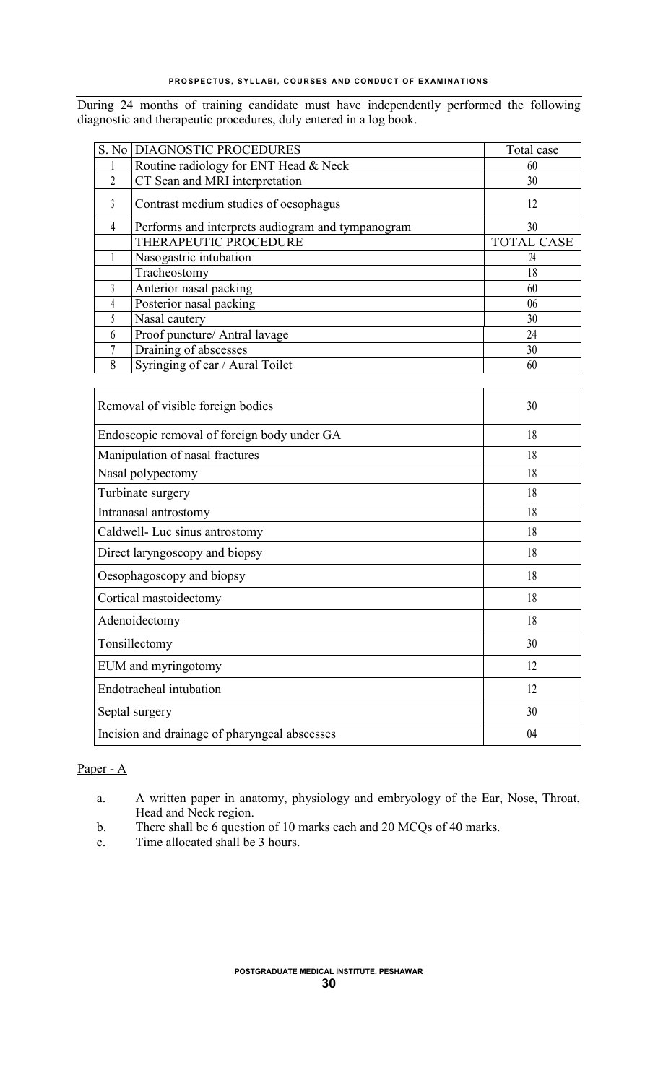During 24 months of training candidate must have independently performed the following diagnostic and therapeutic procedures, duly entered in a log book.

|                | S. No DIAGNOSTIC PROCEDURES                       | Total case        |
|----------------|---------------------------------------------------|-------------------|
|                | Routine radiology for ENT Head & Neck             | 60                |
| $\overline{2}$ | CT Scan and MRI interpretation                    | 30                |
| 3              | Contrast medium studies of oesophagus             | 12                |
| 4              | Performs and interprets audiogram and tympanogram | 30                |
|                | THERAPEUTIC PROCEDURE                             | <b>TOTAL CASE</b> |
|                | Nasogastric intubation                            | 24                |
|                | Tracheostomy                                      | 18                |
|                | Anterior nasal packing                            | 60                |
| 4              | Posterior nasal packing                           | 06                |
|                | Nasal cautery                                     | 30                |
| 6              | Proof puncture/ Antral lavage                     | 24                |
|                | Draining of abscesses                             | 30                |
| 8              | Syringing of ear / Aural Toilet                   | 60                |

| Removal of visible foreign bodies             | 30 |
|-----------------------------------------------|----|
| Endoscopic removal of foreign body under GA   | 18 |
| Manipulation of nasal fractures               | 18 |
| Nasal polypectomy                             | 18 |
| Turbinate surgery                             | 18 |
| Intranasal antrostomy                         | 18 |
| Caldwell- Luc sinus antrostomy                | 18 |
| Direct laryngoscopy and biopsy                | 18 |
| Oesophagoscopy and biopsy                     | 18 |
| Cortical mastoidectomy                        | 18 |
| Adenoidectomy                                 | 18 |
| Tonsillectomy                                 | 30 |
| EUM and myringotomy                           | 12 |
| Endotracheal intubation                       | 12 |
| Septal surgery                                | 30 |
| Incision and drainage of pharyngeal abscesses | 04 |

## Paper - A

- a. A written paper in anatomy, physiology and embryology of the Ear, Nose, Throat, Head and Neck region.
- b. There shall be 6 question of 10 marks each and 20 MCQs of 40 marks.
- c. Time allocated shall be 3 hours.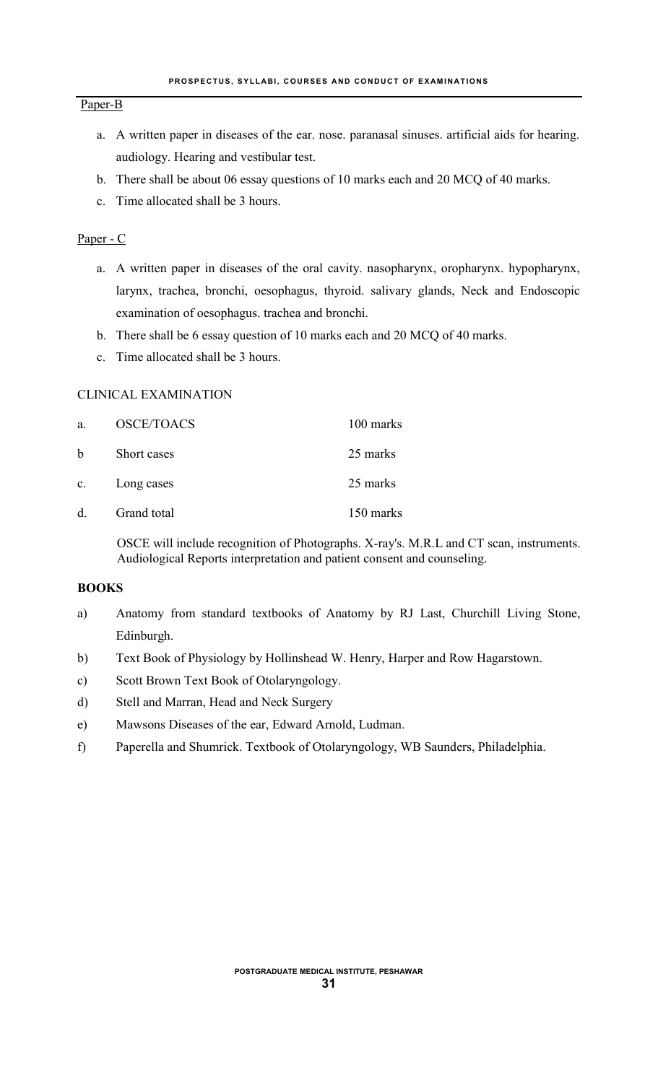#### Paper-B

- a. A written paper in diseases of the ear. nose. paranasal sinuses. artificial aids for hearing. audiology. Hearing and vestibular test.
- b. There shall be about 06 essay questions of 10 marks each and 20 MCQ of 40 marks.
- c. Time allocated shall be 3 hours.

#### Paper - C

- a. A written paper in diseases of the oral cavity. nasopharynx, oropharynx. hypopharynx, larynx, trachea, bronchi, oesophagus, thyroid. salivary glands, Neck and Endoscopic examination of oesophagus. trachea and bronchi.
- b. There shall be 6 essay question of 10 marks each and 20 MCQ of 40 marks.
- c. Time allocated shall be 3 hours.

## CLINICAL EXAMINATION

| a.          | <b>OSCE/TOACS</b> | 100 marks |
|-------------|-------------------|-----------|
| b           | Short cases       | 25 marks  |
| $c_{\rm c}$ | Long cases        | 25 marks  |
| d.          | Grand total       | 150 marks |

OSCE will include recognition of Photographs. X-ray's. M.R.L and CT scan, instruments. Audiological Reports interpretation and patient consent and counseling.

#### **BOOKS**

- a) Anatomy from standard textbooks of Anatomy by RJ Last, Churchill Living Stone, Edinburgh.
- b) Text Book of Physiology by Hollinshead W. Henry, Harper and Row Hagarstown.
- c) Scott Brown Text Book of Otolaryngology.
- d) Stell and Marran, Head and Neck Surgery
- e) Mawsons Diseases of the ear, Edward Arnold, Ludman.
- f) Paperella and Shumrick. Textbook of Otolaryngology, WB Saunders, Philadelphia.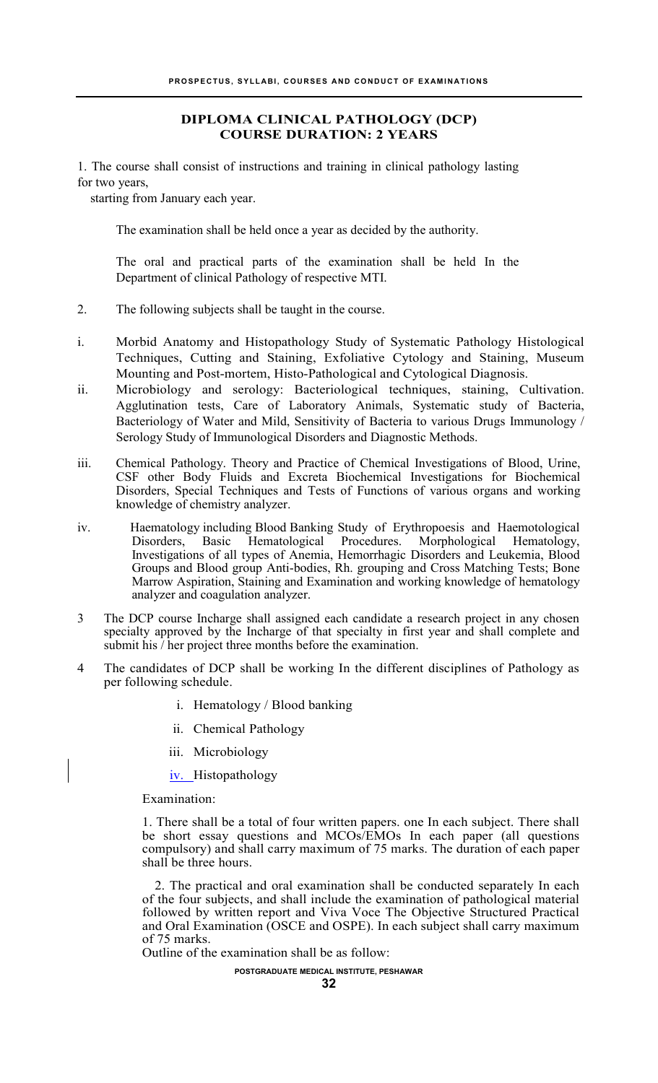#### **DIPLOMA CLINICAL PATHOLOGY (DCP) COURSE DURATION: 2 YEARS**

1. The course shall consist of instructions and training in clinical pathology lasting for two years,

starting from January each year.

The examination shall be held once a year as decided by the authority.

The oral and practical parts of the examination shall be held In the Department of clinical Pathology of respective MTI.

- 2. The following subjects shall be taught in the course.
- i. Morbid Anatomy and Histopathology Study of Systematic Pathology Histological Techniques, Cutting and Staining, Exfoliative Cytology and Staining, Museum Mounting and Post-mortem, Histo-Pathological and Cytological Diagnosis.
- ii. Microbiology and serology: Bacteriological techniques, staining, Cultivation. Agglutination tests, Care of Laboratory Animals, Systematic study of Bacteria, Bacteriology of Water and Mild, Sensitivity of Bacteria to various Drugs Immunology / Serology Study of Immunological Disorders and Diagnostic Methods.
- iii. Chemical Pathology. Theory and Practice of Chemical Investigations of Blood, Urine, CSF other Body Fluids and Excreta Biochemical Investigations for Biochemical Disorders, Special Techniques and Tests of Functions of various organs and working knowledge of chemistry analyzer.
- iv. Haematology including Blood Banking Study of Erythropoesis and Haemotological Disorders, Basic Hematological Procedures. Morphological Hematology, Investigations of all types of Anemia, Hemorrhagic Disorders and Leukemia, Blood Groups and Blood group Anti-bodies, Rh. grouping and Cross Matching Tests; Bone Marrow Aspiration, Staining and Examination and working knowledge of hematology analyzer and coagulation analyzer.
- 3 The DCP course Incharge shall assigned each candidate a research project in any chosen specialty approved by the Incharge of that specialty in first year and shall complete and submit his / her project three months before the examination.
- 4 The candidates of DCP shall be working In the different disciplines of Pathology as per following schedule.
	- i. Hematology / Blood banking
	- ii. Chemical Pathology
	- iii. Microbiology

iv. Histopathology

Examination:

1. There shall be a total of four written papers. one In each subject. There shall be short essay questions and MCOs/EMOs In each paper (all questions compulsory) and shall carry maximum of 75 marks. The duration of each paper shall be three hours.

2. The practical and oral examination shall be conducted separately In each of the four subjects, and shall include the examination of pathological material followed by written report and Viva Voce The Objective Structured Practical and Oral Examination (OSCE and OSPE). In each subject shall carry maximum of 75 marks.

Outline of the examination shall be as follow:

**POSTGRADUATE MEDICAL INSTITUTE, PESHAWAR**

**32**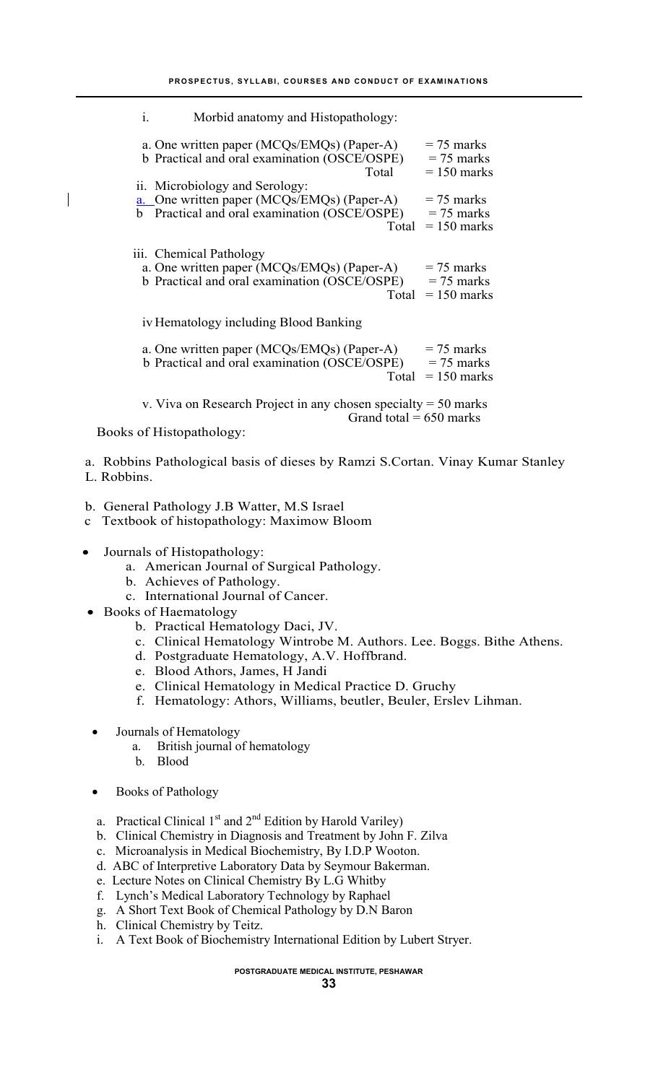i. Morbid anatomy and Histopathology:

| a. One written paper (MCQs/EMQs) (Paper-A)<br>b Practical and oral examination (OSCE/OSPE)<br>Total                                   | $= 75$ marks<br>$= 75$ marks<br>$= 150$ marks |
|---------------------------------------------------------------------------------------------------------------------------------------|-----------------------------------------------|
| ii. Microbiology and Serology:<br>a. One written paper (MCQs/EMQs) (Paper-A)<br>b Practical and oral examination (OSCE/OSPE)<br>Total | $= 75$ marks<br>$= 75$ marks<br>$= 150$ marks |
| iii. Chemical Pathology<br>a. One written paper (MCQs/EMQs) (Paper-A)<br>b Practical and oral examination (OSCE/OSPE)<br>Total        | $= 75$ marks<br>$= 75$ marks<br>$= 150$ marks |
| iv Hematology including Blood Banking                                                                                                 |                                               |
| a. One written paper (MCQs/EMQs) (Paper-A)<br>b Practical and oral examination (OSCE/OSPE)<br>Total                                   | $= 75$ marks<br>$= 75$ marks<br>$= 150$ marks |
| v. Viva on Research Project in any chosen specialty $= 50$ marks<br>Grand total = $650$ marks                                         |                                               |

Books of Histopathology:

 $\mathbf{I}$ 

a. Robbins Pathological basis of dieses by Ramzi S.Cortan. Vinay Kumar Stanley L. Robbins.

- b. General Pathology J.B Watter, M.S Israel
- c Textbook of histopathology: Maximow Bloom
- Journals of Histopathology:
	- a. American Journal of Surgical Pathology.
	- b. Achieves of Pathology.
	- c. International Journal of Cancer.
- Books of Haematology
	- b. Practical Hematology Daci, JV.
	- c. Clinical Hematology Wintrobe M. Authors. Lee. Boggs. Bithe Athens.
	- d. Postgraduate Hematology, A.V. Hoffbrand.
	- e. Blood Athors, James, H Jandi
	- e. Clinical Hematology in Medical Practice D. Gruchy
	- f. Hematology: Athors, Williams, beutler, Beuler, Erslev Lihman.
	- Journals of Hematology
		- a. British journal of hematology
		- b. Blood
	- Books of Pathology
	- a. Practical Clinical  $1<sup>st</sup>$  and  $2<sup>nd</sup>$  Edition by Harold Variley)
	- b. Clinical Chemistry in Diagnosis and Treatment by John F. Zilva
	- c. Microanalysis in Medical Biochemistry, By I.D.P Wooton.
	- d. ABC of Interpretive Laboratory Data by Seymour Bakerman.
	- e. Lecture Notes on Clinical Chemistry By L.G Whitby
	- f. Lynch's Medical Laboratory Technology by Raphael
	- g. A Short Text Book of Chemical Pathology by D.N Baron
	- h. Clinical Chemistry by Teitz.
	- i. A Text Book of Biochemistry International Edition by Lubert Stryer.

**POSTGRADUATE MEDICAL INSTITUTE, PESHAWAR**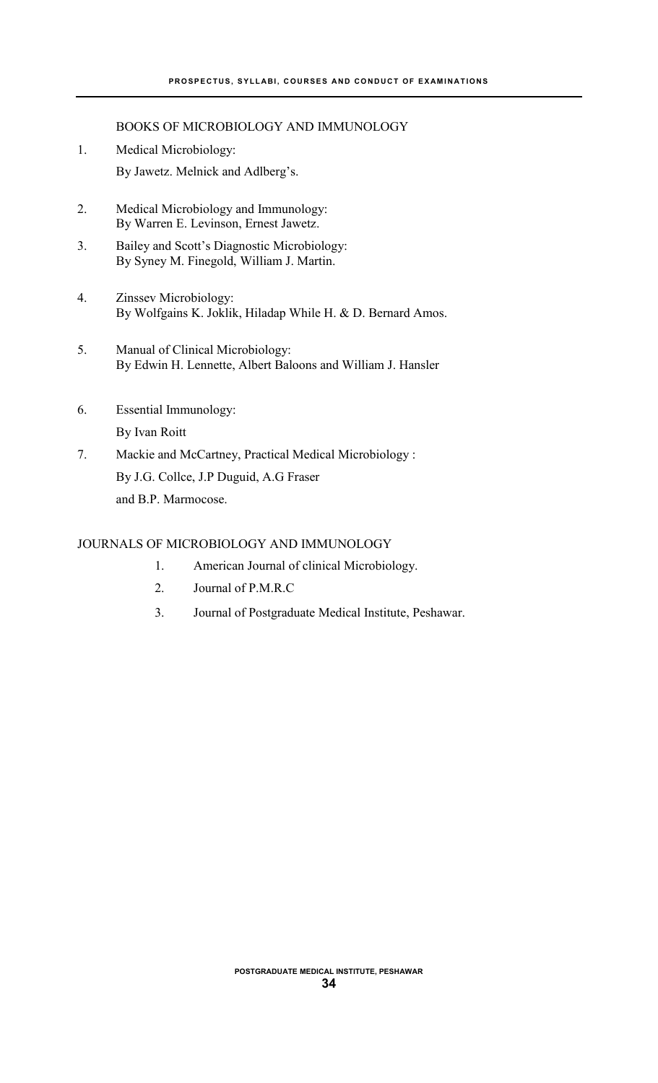BOOKS OF MICROBIOLOGY AND IMMUNOLOGY

- 1. Medical Microbiology: By Jawetz. Melnick and Adlberg's.
- 2. Medical Microbiology and Immunology: By Warren E. Levinson, Ernest Jawetz.
- 3. Bailey and Scott's Diagnostic Microbiology: By Syney M. Finegold, William J. Martin.
- 4. Zinssev Microbiology: By Wolfgains K. Joklik, Hiladap While H. & D. Bernard Amos.
- 5. Manual of Clinical Microbiology: By Edwin H. Lennette, Albert Baloons and William J. Hansler
- 6. Essential Immunology: By Ivan Roitt
- 7. Mackie and McCartney, Practical Medical Microbiology : By J.G. Collce, J.P Duguid, A.G Fraser and B.P. Marmocose.

## JOURNALS OF MICROBIOLOGY AND IMMUNOLOGY

- 1. American Journal of clinical Microbiology.
- 2. Journal of P.M.R.C
- 3. Journal of Postgraduate Medical Institute, Peshawar.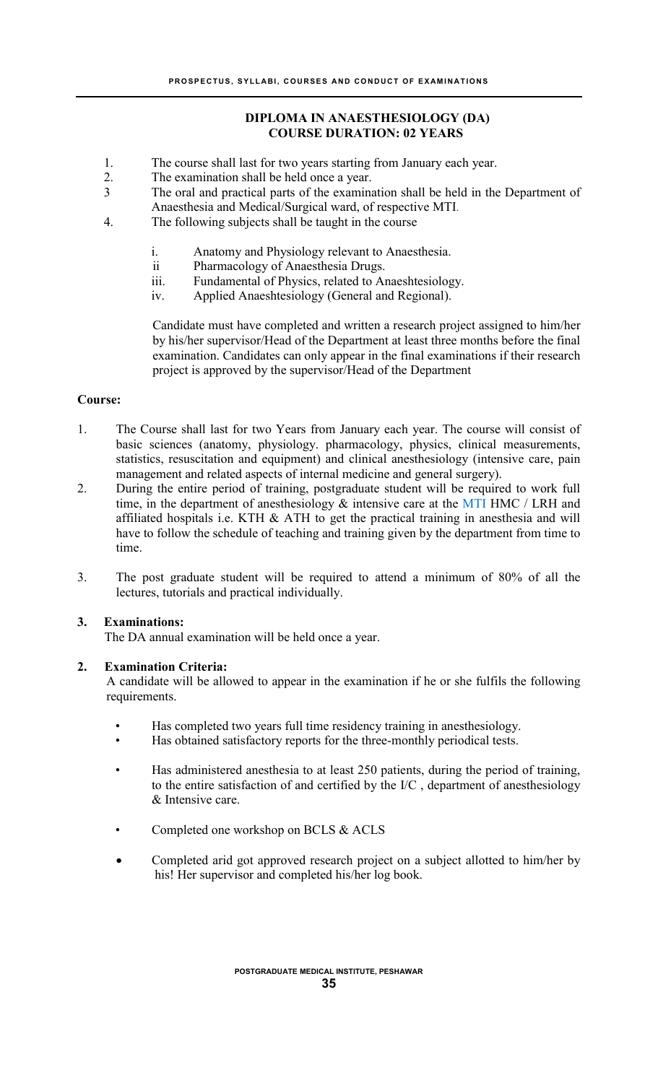## **DIPLOMA IN ANAESTHESIOLOGY (DA) COURSE DURATION: 02 YEARS**

- 1. The course shall last for two years starting from January each year.
- 2. The examination shall be held once a year.
- 3 The oral and practical parts of the examination shall be held in the Department of Anaesthesia and Medical/Surgical ward, of respective MTI.
- 4. The following subjects shall be taught in the course
	- i. Anatomy and Physiology relevant to Anaesthesia.
	- ii Pharmacology of Anaesthesia Drugs.
	- iii. Fundamental of Physics, related to Anaeshtesiology.
	- iv. Applied Anaeshtesiology (General and Regional).

Candidate must have completed and written a research project assigned to him/her by his/her supervisor/Head of the Department at least three months before the final examination. Candidates can only appear in the final examinations if their research project is approved by the supervisor/Head of the Department

#### **Course:**

- 1. The Course shall last for two Years from January each year. The course will consist of basic sciences (anatomy, physiology. pharmacology, physics, clinical measurements, statistics, resuscitation and equipment) and clinical anesthesiology (intensive care, pain management and related aspects of internal medicine and general surgery).
- 2. During the entire period of training, postgraduate student will be required to work full time, in the department of anesthesiology  $\&$  intensive care at the MTI HMC / LRH and affiliated hospitals i.e. KTH  $&$  ATH to get the practical training in anesthesia and will have to follow the schedule of teaching and training given by the department from time to time.
- 3. The post graduate student will be required to attend a minimum of 80% of all the lectures, tutorials and practical individually.

#### **3. Examinations:**

The DA annual examination will be held once a year.

#### **2. Examination Criteria:**

A candidate will be allowed to appear in the examination if he or she fulfils the following requirements.

- Has completed two years full time residency training in anesthesiology.
- Has obtained satisfactory reports for the three-monthly periodical tests.
- Has administered anesthesia to at least 250 patients, during the period of training, to the entire satisfaction of and certified by the I/C , department of anesthesiology & Intensive care.
- Completed one workshop on BCLS & ACLS
- Completed arid got approved research project on a subject allotted to him/her by his! Her supervisor and completed his/her log book.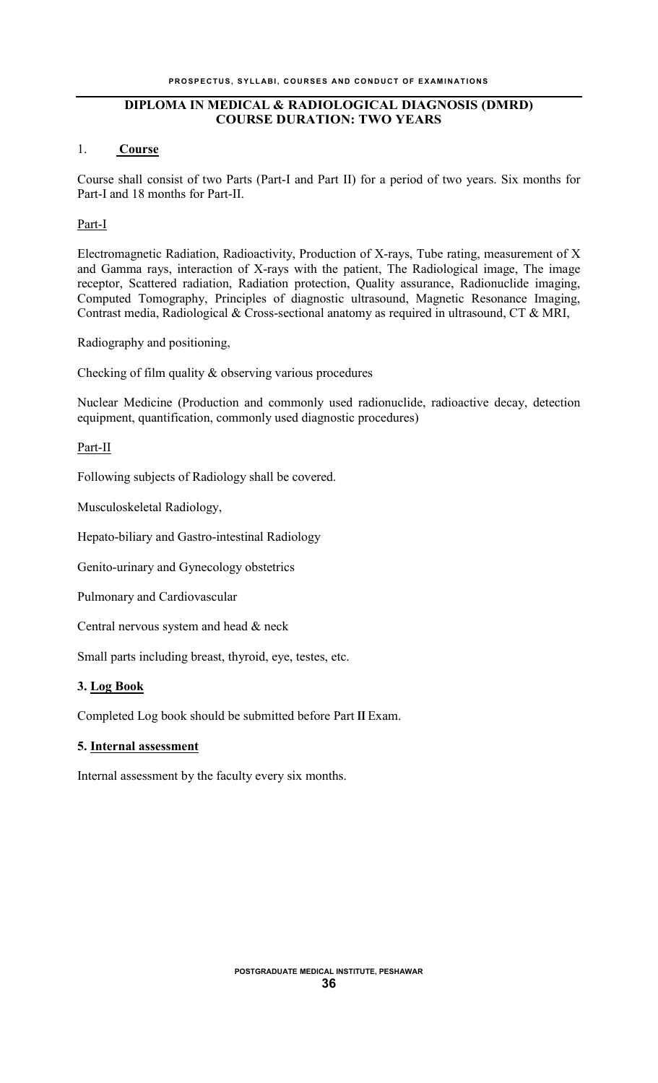## **DIPLOMA IN MEDICAL & RADIOLOGICAL DIAGNOSIS (DMRD) COURSE DURATION: TWO YEARS**

#### 1. **Course**

Course shall consist of two Parts (Part-I and Part II) for a period of two years. Six months for Part-I and 18 months for Part-II.

## Part-I

Electromagnetic Radiation, Radioactivity, Production of X-rays, Tube rating, measurement of X and Gamma rays, interaction of X-rays with the patient, The Radiological image, The image receptor, Scattered radiation, Radiation protection, Quality assurance, Radionuclide imaging, Computed Tomography, Principles of diagnostic ultrasound, Magnetic Resonance Imaging, Contrast media, Radiological & Cross-sectional anatomy as required in ultrasound, CT & MRI,

Radiography and positioning,

Checking of film quality & observing various procedures

Nuclear Medicine (Production and commonly used radionuclide, radioactive decay, detection equipment, quantification, commonly used diagnostic procedures)

## Part-II

Following subjects of Radiology shall be covered.

Musculoskeletal Radiology,

Hepato-biliary and Gastro-intestinal Radiology

Genito-urinary and Gynecology obstetrics

Pulmonary and Cardiovascular

Central nervous system and head & neck

Small parts including breast, thyroid, eye, testes, etc.

## **3. Log Book**

Completed Log book should be submitted before Part **II** Exam.

## **5. Internal assessment**

Internal assessment by the faculty every six months.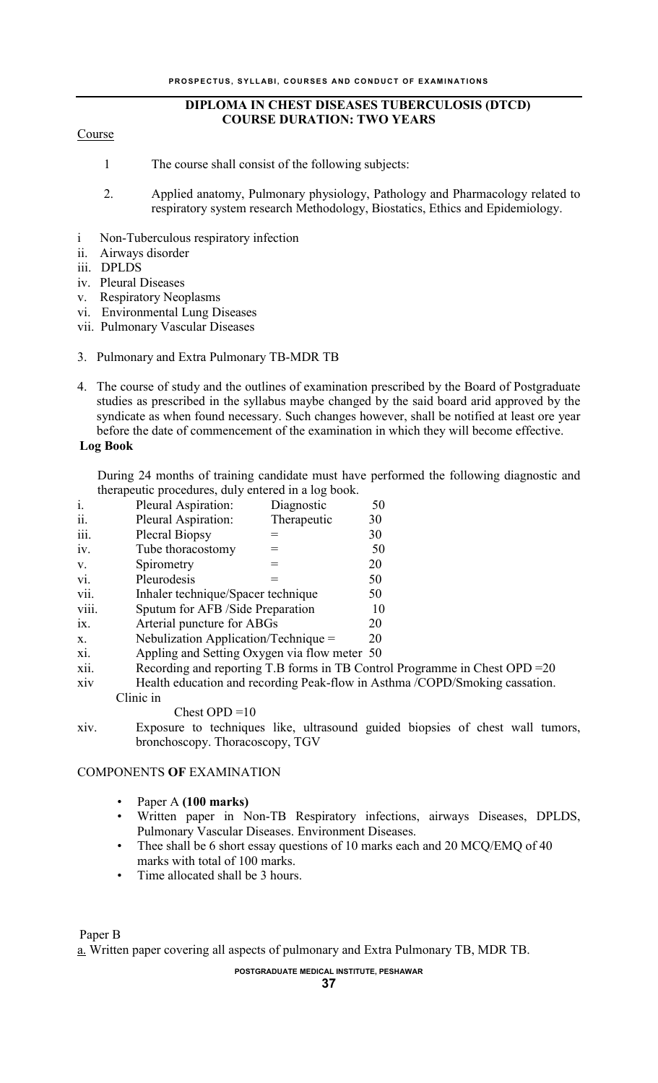## **DIPLOMA IN CHEST DISEASES TUBERCULOSIS (DTCD) COURSE DURATION: TWO YEARS**

#### Course

- 1 The course shall consist of the following subjects:
- 2. Applied anatomy, Pulmonary physiology, Pathology and Pharmacology related to respiratory system research Methodology, Biostatics, Ethics and Epidemiology.
- i Non-Tuberculous respiratory infection
- ii. Airways disorder
- iii. DPLDS
- iv. Pleural Diseases
- v. Respiratory Neoplasms
- vi. Environmental Lung Diseases
- vii. Pulmonary Vascular Diseases
- 3. Pulmonary and Extra Pulmonary TB-MDR TB
- 4. The course of study and the outlines of examination prescribed by the Board of Postgraduate studies as prescribed in the syllabus maybe changed by the said board arid approved by the syndicate as when found necessary. Such changes however, shall be notified at least ore year before the date of commencement of the examination in which they will become effective.

#### **Log Book**

During 24 months of training candidate must have performed the following diagnostic and therapeutic procedures, duly entered in a log book.

| $\mathbf{i}$ . | Pleural Aspiration:                          | Diagnostic  | 50                                                                           |
|----------------|----------------------------------------------|-------------|------------------------------------------------------------------------------|
| ii.            | Pleural Aspiration:                          | Therapeutic | 30                                                                           |
| iii.           | Plecral Biopsy                               |             | 30                                                                           |
| iv.            | Tube thoracostomy                            |             | 50                                                                           |
| V.             | Spirometry                                   |             | 20                                                                           |
| vi.            | Pleurodesis                                  |             | 50                                                                           |
| vii.           | Inhaler technique/Spacer technique           |             | 50                                                                           |
| viii.          | Sputum for AFB / Side Preparation            |             | 10                                                                           |
| 1X.            | Arterial puncture for ABGs                   |             | 20                                                                           |
| X.             | Nebulization Application/Technique $=$       |             | 20                                                                           |
| xi.            | Appling and Setting Oxygen via flow meter 50 |             |                                                                              |
| xii.           |                                              |             | Recording and reporting T.B forms in TB Control Programme in Chest OPD $=20$ |

- xiv Health education and recording Peak-flow in Asthma /COPD/Smoking cassation. Clinic in
	- Chest OPD  $=10$
- xiv. Exposure to techniques like, ultrasound guided biopsies of chest wall tumors, bronchoscopy. Thoracoscopy, TGV

#### COMPONENTS **OF** EXAMINATION

- Paper A **(100 marks)**
- Written paper in Non-TB Respiratory infections, airways Diseases, DPLDS, Pulmonary Vascular Diseases. Environment Diseases.
- Thee shall be 6 short essay questions of 10 marks each and 20 MCQ/EMQ of 40 marks with total of 100 marks.
- Time allocated shall be 3 hours.

Paper B

a. Written paper covering all aspects of pulmonary and Extra Pulmonary TB, MDR TB.

#### **POSTGRADUATE MEDICAL INSTITUTE, PESHAWAR**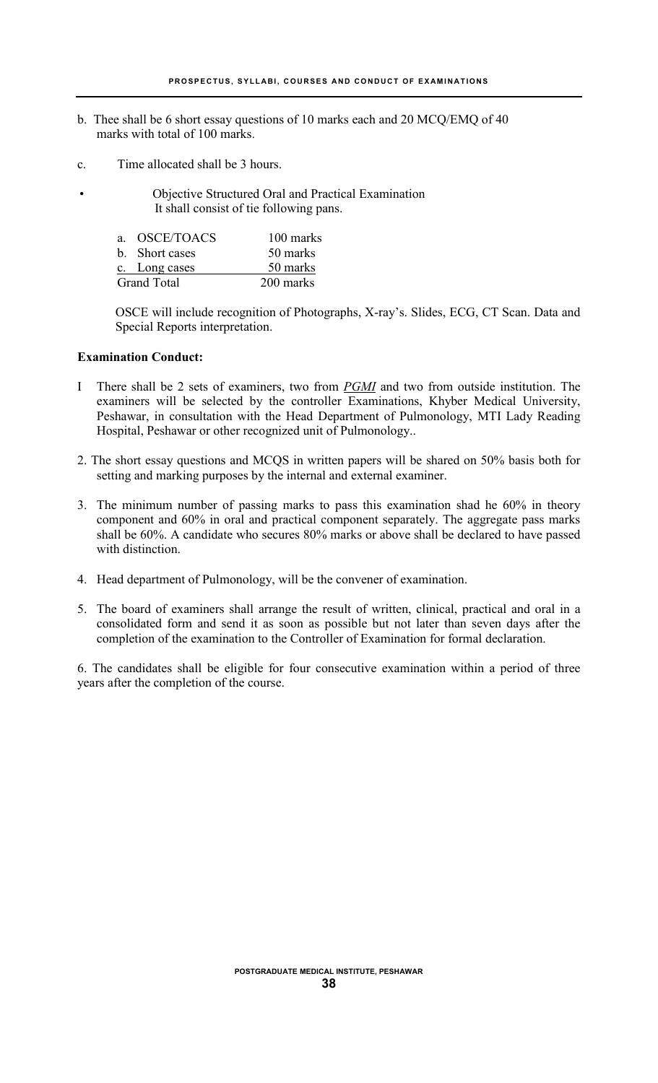- b. Thee shall be 6 short essay questions of 10 marks each and 20 MCQ/EMQ of 40 marks with total of 100 marks.
- c. Time allocated shall be 3 hours.
	- Objective Structured Oral and Practical Examination It shall consist of tie following pans.

| a. OSCE/TOACS      | 100 marks |
|--------------------|-----------|
| b. Short cases     | 50 marks  |
| c. Long cases      | 50 marks  |
| <b>Grand Total</b> | 200 marks |

OSCE will include recognition of Photographs, X-ray's. Slides, ECG, CT Scan. Data and Special Reports interpretation.

#### **Examination Conduct:**

- I There shall be 2 sets of examiners, two from *PGMI* and two from outside institution. The examiners will be selected by the controller Examinations, Khyber Medical University, Peshawar, in consultation with the Head Department of Pulmonology, MTI Lady Reading Hospital, Peshawar or other recognized unit of Pulmonology..
- 2. The short essay questions and MCQS in written papers will be shared on 50% basis both for setting and marking purposes by the internal and external examiner.
- 3. The minimum number of passing marks to pass this examination shad he 60% in theory component and 60% in oral and practical component separately. The aggregate pass marks shall be 60%. A candidate who secures 80% marks or above shall be declared to have passed with distinction.
- 4. Head department of Pulmonology, will be the convener of examination.
- 5. The board of examiners shall arrange the result of written, clinical, practical and oral in a consolidated form and send it as soon as possible but not later than seven days after the completion of the examination to the Controller of Examination for formal declaration.

6. The candidates shall be eligible for four consecutive examination within a period of three years after the completion of the course.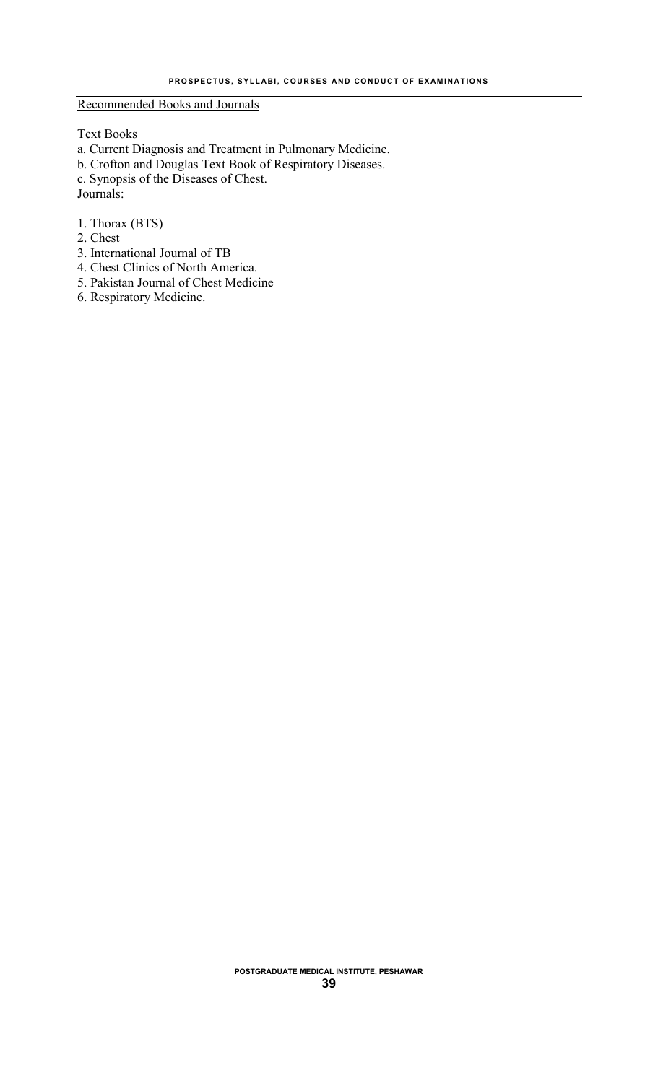Recommended Books and Journals

Text Books

a. Current Diagnosis and Treatment in Pulmonary Medicine. b. Crofton and Douglas Text Book of Respiratory Diseases. c. Synopsis of the Diseases of Chest. Journals:

- 1. Thorax (BTS)
- 2. Chest
- 3. International Journal of TB
- 4. Chest Clinics of North America.
- 5. Pakistan Journal of Chest Medicine
- 6. Respiratory Medicine.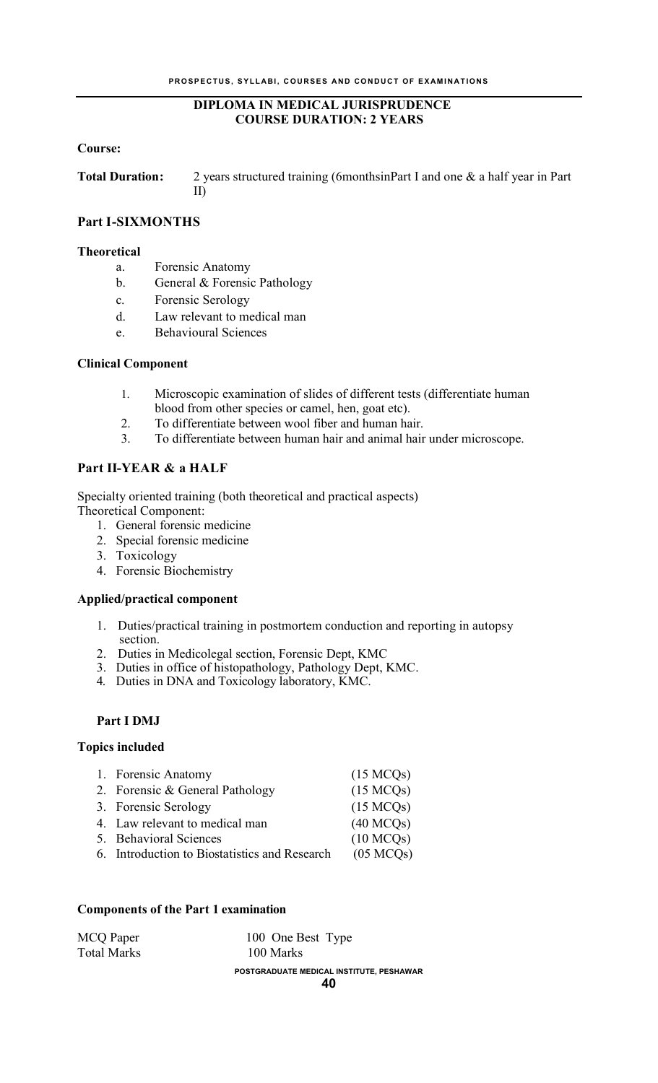## **DIPLOMA IN MEDICAL JURISPRUDENCE COURSE DURATION: 2 YEARS**

#### **Course:**

**Total Duration:** 2 years structured training (6monthsinPart I and one & a half year in Part II)

## **Part I-SIXMONTHS**

#### **Theoretical**

- a. Forensic Anatomy
- b. General & Forensic Pathology
- c. Forensic Serology
- d. Law relevant to medical man
- e. Behavioural Sciences

#### **Clinical Component**

- 1. Microscopic examination of slides of different tests (differentiate human blood from other species or camel, hen, goat etc).
- 2. To differentiate between wool fiber and human hair.
- 3. To differentiate between human hair and animal hair under microscope.

## **Part II-YEAR & a HALF**

Specialty oriented training (both theoretical and practical aspects)

Theoretical Component:

- 1. General forensic medicine
- 2. Special forensic medicine
- 3. Toxicology
- 4. Forensic Biochemistry

#### **Applied/practical component**

- 1. Duties/practical training in postmortem conduction and reporting in autopsy section.
- 2. Duties in Medicolegal section, Forensic Dept, KMC
- 3. Duties in office of histopathology, Pathology Dept, KMC.
- 4. Duties in DNA and Toxicology laboratory, KMC.

## **Part I DMJ**

#### **Topics included**

| 1. Forensic Anatomy                           | (15 MCOs) |
|-----------------------------------------------|-----------|
| 2. Forensic & General Pathology               | (15 MCQs) |
| 3. Forensic Serology                          | (15 MCOs) |
| 4. Law relevant to medical man                | (40 MCOs) |
| 5. Behavioral Sciences                        | (10 MCOs) |
| 6. Introduction to Biostatistics and Research | (05 MCOs) |

#### **Components of the Part 1 examination**

| POSTGRADUATE MEDICAL INSTITUTE, PESHAWAR |
|------------------------------------------|
| 100 Marks                                |
| 100 One Best Type                        |
|                                          |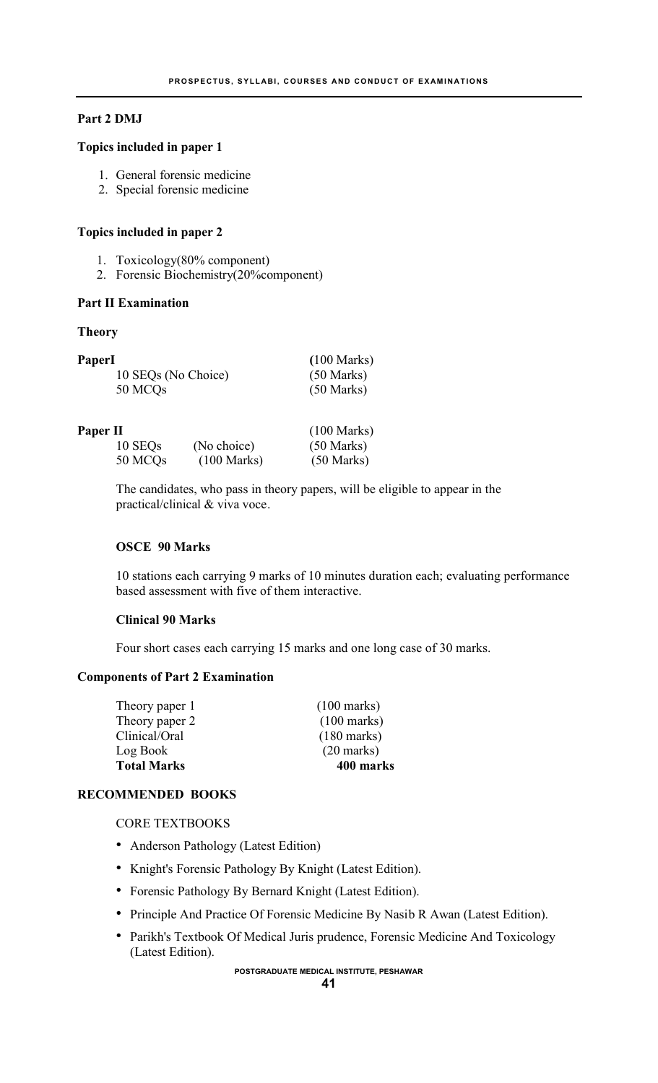#### **Part 2 DMJ**

#### **Topics included in paper 1**

- 1. General forensic medicine
- 2. Special forensic medicine

#### **Topics included in paper 2**

- 1. Toxicology(80% component)
- 2. Forensic Biochemistry(20%component)

#### **Part II Examination**

#### **Theory**

| <b>PaperI</b>       | $(100 \text{ Marks})$ |
|---------------------|-----------------------|
| 10 SEQs (No Choice) | $(50 \text{ Marks})$  |
| 50 MCQ <sub>s</sub> | $(50 \text{ Marks})$  |
|                     |                       |

#### **Paper II** (100 Marks)

| 10 SEQ <sub>s</sub> | (No choice)           | $(50 \text{ Marks})$ |
|---------------------|-----------------------|----------------------|
| 50 MCQs             | $(100 \text{ Marks})$ | $(50 \text{ Marks})$ |

The candidates, who pass in theory papers, will be eligible to appear in the practical/clinical & viva voce.

#### **OSCE 90 Marks**

10 stations each carrying 9 marks of 10 minutes duration each; evaluating performance based assessment with five of them interactive.

## **Clinical 90 Marks**

Four short cases each carrying 15 marks and one long case of 30 marks.

## **Components of Part 2 Examination**

| <b>Total Marks</b> | 400 marks             |
|--------------------|-----------------------|
| Log Book           | $(20 \text{ marks})$  |
| Clinical/Oral      | $(180 \text{ marks})$ |
| Theory paper 2     | $(100 \text{ marks})$ |
| Theory paper 1     | $(100 \text{ marks})$ |

## **RECOMMENDED BOOKS**

CORE TEXTBOOKS

- Anderson Pathology (Latest Edition)
- Knight's Forensic Pathology By Knight (Latest Edition).
- Forensic Pathology By Bernard Knight (Latest Edition).
- Principle And Practice Of Forensic Medicine By Nasib R Awan (Latest Edition).
- Parikh's Textbook Of Medical Juris prudence, Forensic Medicine And Toxicology (Latest Edition).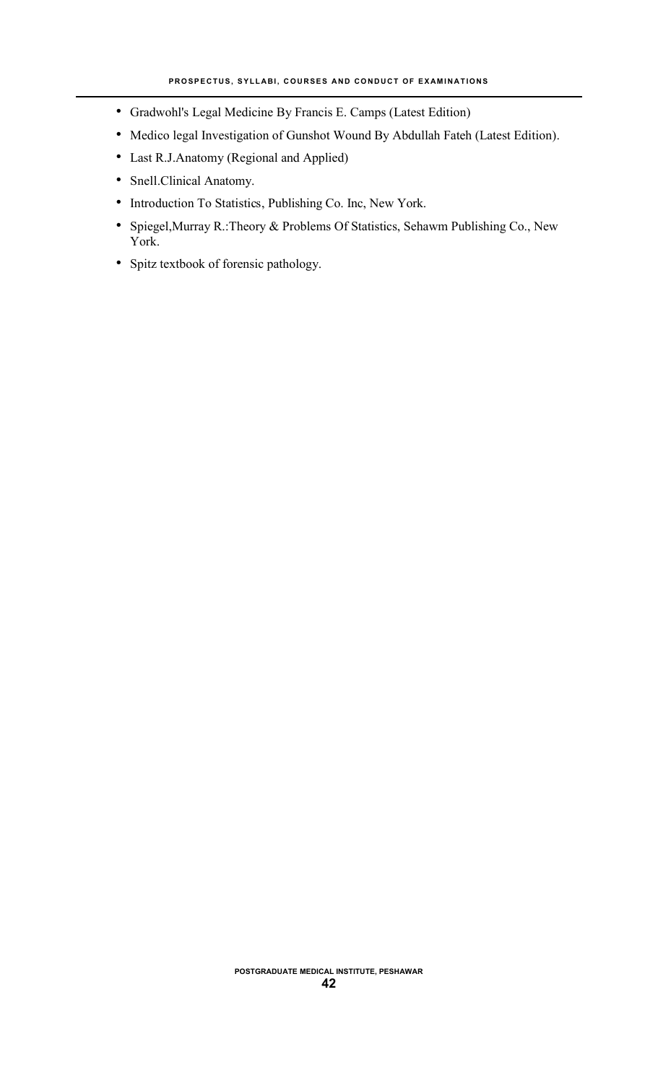- Gradwohl's Legal Medicine By Francis E. Camps (Latest Edition)
- Medico legal Investigation of Gunshot Wound By Abdullah Fateh (Latest Edition).
- Last R.J.Anatomy (Regional and Applied)
- Snell.Clinical Anatomy.
- Introduction To Statistics, Publishing Co. Inc, New York.
- Spiegel,Murray R.:Theory & Problems Of Statistics, Sehawm Publishing Co., New York.
- Spitz textbook of forensic pathology.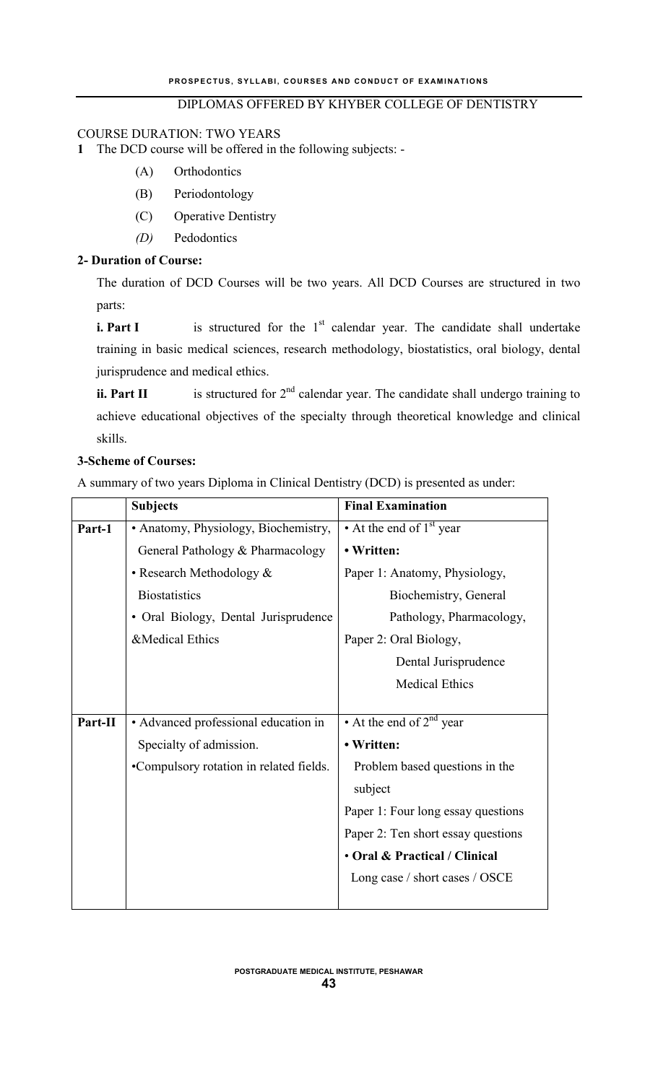## DIPLOMAS OFFERED BY KHYBER COLLEGE OF DENTISTRY

#### COURSE DURATION: TWO YEARS

#### **1** The DCD course will be offered in the following subjects: -

- (A) Orthodontics
- (B) Periodontology
- (C) Operative Dentistry
- *(D)* Pedodontics

## **2- Duration of Course:**

The duration of DCD Courses will be two years. All DCD Courses are structured in two parts:

**i. Part I** is structured for the 1<sup>st</sup> calendar year. The candidate shall undertake training in basic medical sciences, research methodology, biostatistics, oral biology, dental jurisprudence and medical ethics.

**ii. Part II** is structured for  $2<sup>nd</sup>$  calendar year. The candidate shall undergo training to achieve educational objectives of the specialty through theoretical knowledge and clinical skills.

## **3-Scheme of Courses:**

A summary of two years Diploma in Clinical Dentistry (DCD) is presented as under:

|         | <b>Subjects</b>                         | <b>Final Examination</b>           |
|---------|-----------------------------------------|------------------------------------|
| Part-1  | • Anatomy, Physiology, Biochemistry,    | • At the end of $1st$ year         |
|         | General Pathology & Pharmacology        | • Written:                         |
|         | • Research Methodology &                | Paper 1: Anatomy, Physiology,      |
|         | <b>Biostatistics</b>                    | Biochemistry, General              |
|         | • Oral Biology, Dental Jurisprudence    | Pathology, Pharmacology,           |
|         | &Medical Ethics                         | Paper 2: Oral Biology,             |
|         |                                         | Dental Jurisprudence               |
|         |                                         | <b>Medical Ethics</b>              |
|         |                                         |                                    |
| Part-II | • Advanced professional education in    | • At the end of $2^{nd}$ year      |
|         | Specialty of admission.                 | • Written:                         |
|         | •Compulsory rotation in related fields. | Problem based questions in the     |
|         |                                         | subject                            |
|         |                                         | Paper 1: Four long essay questions |
|         |                                         | Paper 2: Ten short essay questions |
|         |                                         | • Oral & Practical / Clinical      |
|         |                                         | Long case / short cases / OSCE     |
|         |                                         |                                    |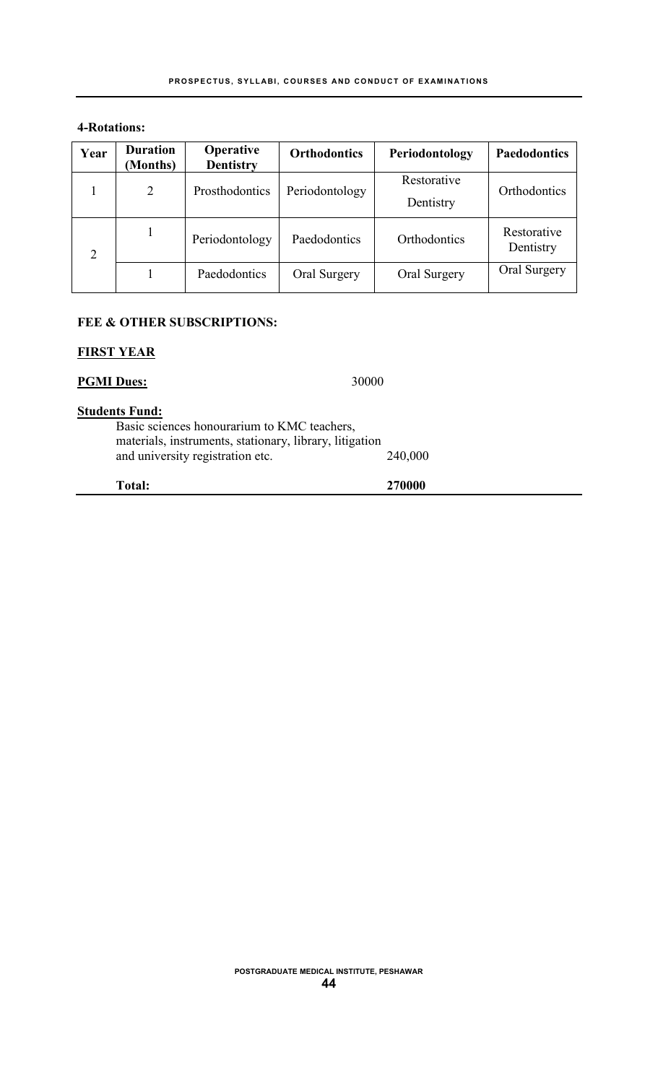## **4-Rotations:**

| Year | <b>Duration</b><br>(Months) | <b>Operative</b><br><b>Dentistry</b> | <b>Orthodontics</b> | Periodontology           | <b>Paedodontics</b>      |
|------|-----------------------------|--------------------------------------|---------------------|--------------------------|--------------------------|
|      | $\overline{2}$              | Prosthodontics                       | Periodontology      | Restorative<br>Dentistry | Orthodontics             |
| 2    | 1                           | Periodontology                       | Paedodontics        | Orthodontics             | Restorative<br>Dentistry |
|      |                             | Paedodontics                         | Oral Surgery        | Oral Surgery             | Oral Surgery             |

## **FEE & OTHER SUBSCRIPTIONS:**

## **FIRST YEAR**

| Total:                                                                                                                                                              | 270000  |
|---------------------------------------------------------------------------------------------------------------------------------------------------------------------|---------|
| <b>Students Fund:</b><br>Basic sciences honourarium to KMC teachers,<br>materials, instruments, stationary, library, litigation<br>and university registration etc. | 240,000 |
| <b>PGMI</b> Dues:<br>30000                                                                                                                                          |         |

#### **POSTGRADUATE MEDICAL INSTITUTE, PESHAWAR 44**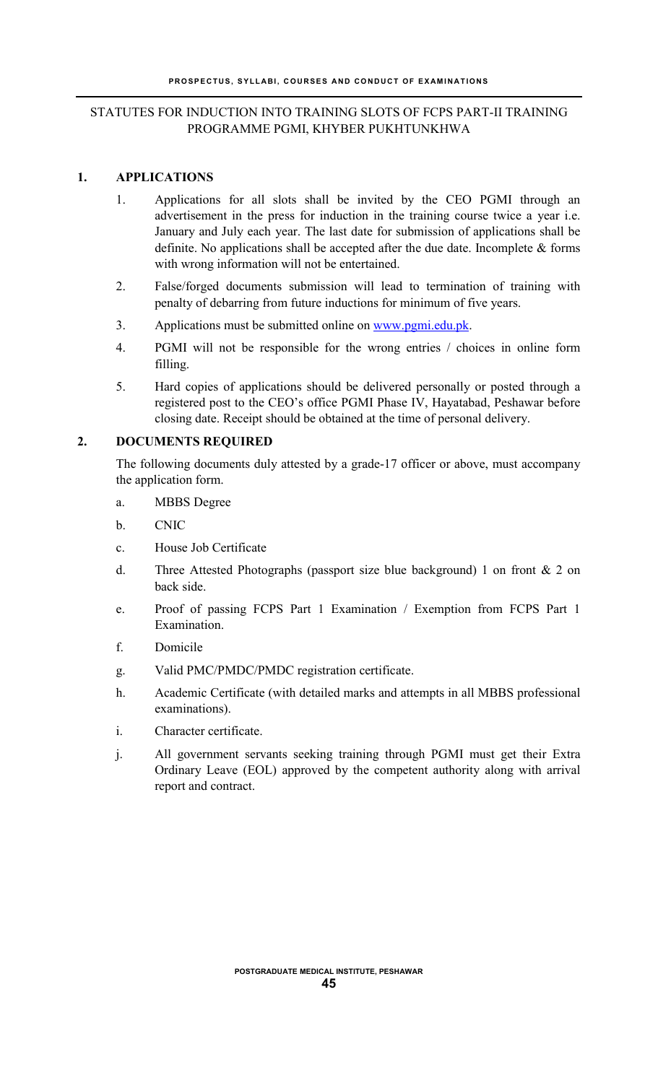## STATUTES FOR INDUCTION INTO TRAINING SLOTS OF FCPS PART-II TRAINING PROGRAMME PGMI, KHYBER PUKHTUNKHWA

#### **1. APPLICATIONS**

- 1. Applications for all slots shall be invited by the CEO PGMI through an advertisement in the press for induction in the training course twice a year i.e. January and July each year. The last date for submission of applications shall be definite. No applications shall be accepted after the due date. Incomplete & forms with wrong information will not be entertained.
- 2. False/forged documents submission will lead to termination of training with penalty of debarring from future inductions for minimum of five years.
- 3. Applications must be submitted online on [www.pgmi.edu.pk](http://www.pgmi.edu.pk/).
- 4. PGMI will not be responsible for the wrong entries / choices in online form filling.
- 5. Hard copies of applications should be delivered personally or posted through a registered post to the CEO's office PGMI Phase IV, Hayatabad, Peshawar before closing date. Receipt should be obtained at the time of personal delivery.

## **2. DOCUMENTS REQUIRED**

The following documents duly attested by a grade-17 officer or above, must accompany the application form.

- a. MBBS Degree
- b. CNIC
- c. House Job Certificate
- d. Three Attested Photographs (passport size blue background) 1 on front & 2 on back side.
- e. Proof of passing FCPS Part 1 Examination / Exemption from FCPS Part 1 Examination.
- f. Domicile
- g. Valid PMC/PMDC/PMDC registration certificate.
- h. Academic Certificate (with detailed marks and attempts in all MBBS professional examinations).
- i. Character certificate.
- j. All government servants seeking training through PGMI must get their Extra Ordinary Leave (EOL) approved by the competent authority along with arrival report and contract.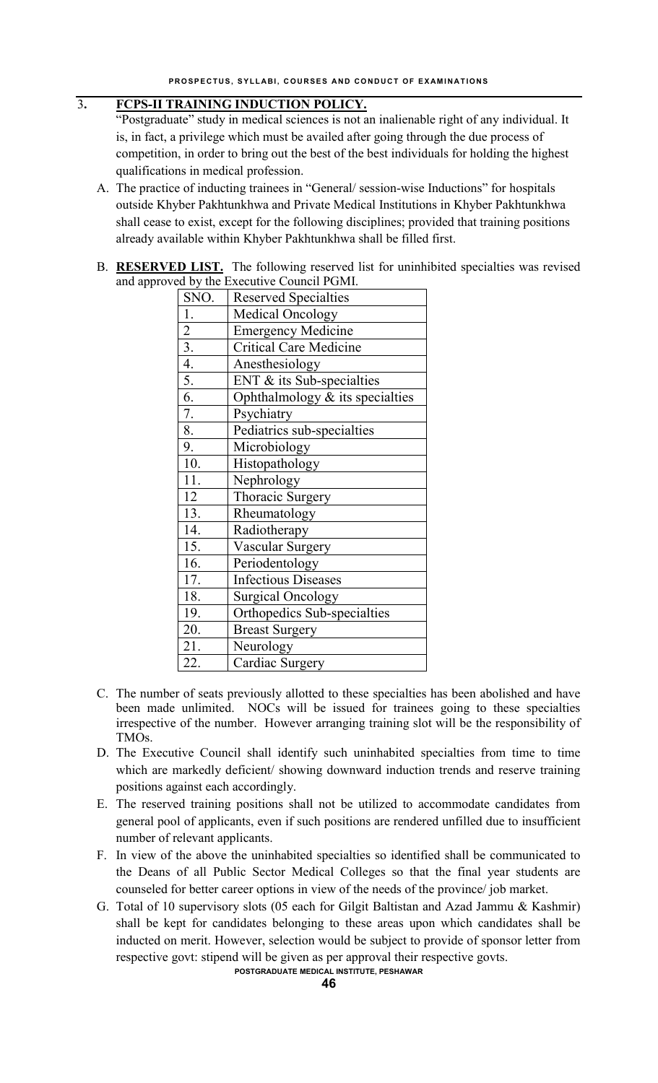## 3**. FCPS-II TRAINING INDUCTION POLICY.**

"Postgraduate" study in medical sciences is not an inalienable right of any individual. It is, in fact, a privilege which must be availed after going through the due process of competition, in order to bring out the best of the best individuals for holding the highest qualifications in medical profession.

- A. The practice of inducting trainees in "General/ session-wise Inductions" for hospitals outside Khyber Pakhtunkhwa and Private Medical Institutions in Khyber Pakhtunkhwa shall cease to exist, except for the following disciplines; provided that training positions already available within Khyber Pakhtunkhwa shall be filled first.
- B. **RESERVED LIST.** The following reserved list for uninhibited specialties was revised and approved by the Executive Council PGMI.

|               | $\alpha$ by the Executive council I givil. |
|---------------|--------------------------------------------|
| SNO.          | <b>Reserved Specialties</b>                |
| 1.            | <b>Medical Oncology</b>                    |
|               | <b>Emergency Medicine</b>                  |
| $\frac{2}{3}$ | <b>Critical Care Medicine</b>              |
| 4.            | Anesthesiology                             |
| 5.            | ENT $&$ its Sub-specialties                |
| 6.            | Ophthalmology & its specialties            |
| 7.            | Psychiatry                                 |
| 8.            | Pediatrics sub-specialties                 |
| 9.            | Microbiology                               |
| 10.           | Histopathology                             |
| 11.           | Nephrology                                 |
| 12            | <b>Thoracic Surgery</b>                    |
| 13.           | Rheumatology                               |
| 14.           | Radiotherapy                               |
| 15.           | <b>Vascular Surgery</b>                    |
| 16.           | Periodentology                             |
| 17.           | <b>Infectious Diseases</b>                 |
| 18.           | <b>Surgical Oncology</b>                   |
| 19.           | Orthopedics Sub-specialties                |
| 20.           | <b>Breast Surgery</b>                      |
| 21.           | Neurology                                  |
| 22.           | Cardiac Surgery                            |

- C. The number of seats previously allotted to these specialties has been abolished and have been made unlimited. NOCs will be issued for trainees going to these specialties irrespective of the number. However arranging training slot will be the responsibility of TMOs.
- D. The Executive Council shall identify such uninhabited specialties from time to time which are markedly deficient/ showing downward induction trends and reserve training positions against each accordingly.
- E. The reserved training positions shall not be utilized to accommodate candidates from general pool of applicants, even if such positions are rendered unfilled due to insufficient number of relevant applicants.
- F. In view of the above the uninhabited specialties so identified shall be communicated to the Deans of all Public Sector Medical Colleges so that the final year students are counseled for better career options in view of the needs of the province/ job market.
- G. Total of 10 supervisory slots (05 each for Gilgit Baltistan and Azad Jammu & Kashmir) shall be kept for candidates belonging to these areas upon which candidates shall be inducted on merit. However, selection would be subject to provide of sponsor letter from respective govt: stipend will be given as per approval their respective govts.

**POSTGRADUATE MEDICAL INSTITUTE, PESHAWAR**

**46**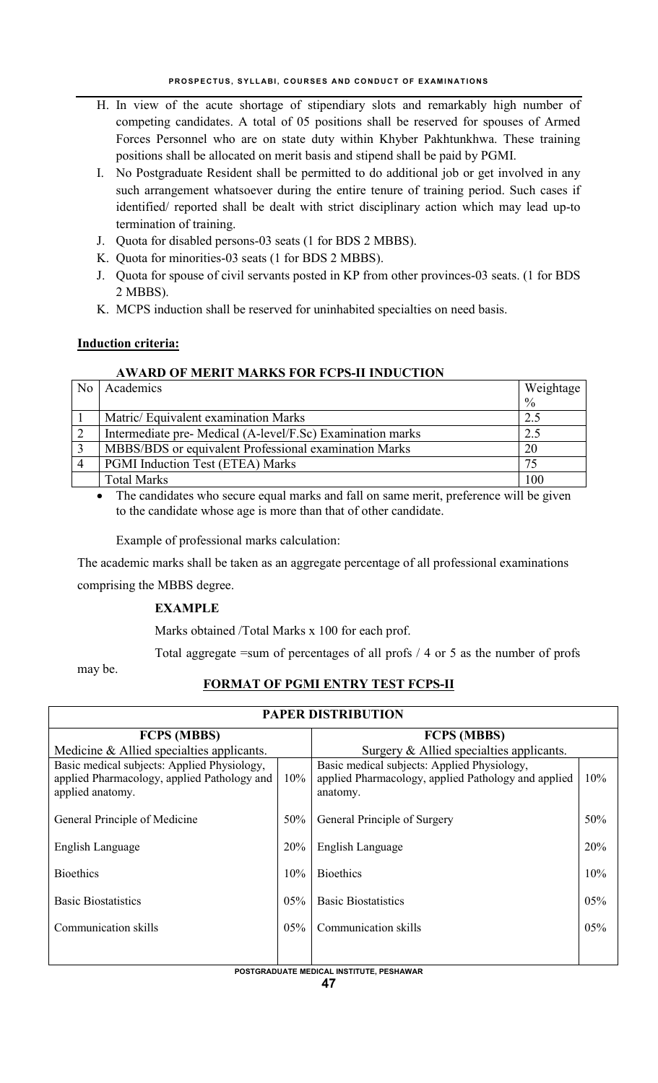- H. In view of the acute shortage of stipendiary slots and remarkably high number of competing candidates. A total of 05 positions shall be reserved for spouses of Armed Forces Personnel who are on state duty within Khyber Pakhtunkhwa. These training positions shall be allocated on merit basis and stipend shall be paid by PGMI.
- I. No Postgraduate Resident shall be permitted to do additional job or get involved in any such arrangement whatsoever during the entire tenure of training period. Such cases if identified/ reported shall be dealt with strict disciplinary action which may lead up-to termination of training.
- J. Quota for disabled persons-03 seats (1 for BDS 2 MBBS).
- K. Quota for minorities-03 seats (1 for BDS 2 MBBS).
- J. Quota for spouse of civil servants posted in KP from other provinces-03 seats. (1 for BDS 2 MBBS).
- K. MCPS induction shall be reserved for uninhabited specialties on need basis.

## **Induction criteria:**

## **AWARD OF MERIT MARKS FOR FCPS-II INDUCTION**

| N <sub>0</sub> | Academics                                                  | Weightage     |
|----------------|------------------------------------------------------------|---------------|
|                |                                                            | $\frac{0}{0}$ |
|                | Matric/ Equivalent examination Marks                       | 2.5           |
|                | Intermediate pre- Medical (A-level/F.Sc) Examination marks | 2.5           |
|                | MBBS/BDS or equivalent Professional examination Marks      | 20            |
|                | PGMI Induction Test (ETEA) Marks                           | 75            |
|                | <b>Total Marks</b>                                         | 100           |
|                | 1.0.11<br>$\cdot$ $\sim$<br>$\sim$ 1<br>$\cdots$           | 1111          |

 The candidates who secure equal marks and fall on same merit, preference will be given to the candidate whose age is more than that of other candidate.

Example of professional marks calculation:

The academic marks shall be taken as an aggregate percentage of all professional examinations

comprising the MBBS degree.

## **EXAMPLE**

Marks obtained /Total Marks x 100 for each prof.

Total aggregate =sum of percentages of all profs / 4 or 5 as the number of profs

may be.

## **FORMAT OF PGMI ENTRY TEST FCPS-II**

**PAPER DISTRIBUTION**

| PAPER DISTRIBUTION                                                                                             |     |                                                                                                                |     |
|----------------------------------------------------------------------------------------------------------------|-----|----------------------------------------------------------------------------------------------------------------|-----|
| <b>FCPS (MBBS)</b>                                                                                             |     | <b>FCPS (MBBS)</b>                                                                                             |     |
| Medicine & Allied specialties applicants.                                                                      |     | Surgery $&$ Allied specialties applicants.                                                                     |     |
| Basic medical subjects: Applied Physiology,<br>applied Pharmacology, applied Pathology and<br>applied anatomy. | 10% | Basic medical subjects: Applied Physiology,<br>applied Pharmacology, applied Pathology and applied<br>anatomy. | 10% |
| General Principle of Medicine                                                                                  | 50% | General Principle of Surgery                                                                                   | 50% |
| English Language                                                                                               | 20% | English Language                                                                                               | 20% |
| <b>Bioethics</b>                                                                                               | 10% | <b>Bioethics</b>                                                                                               | 10% |
| <b>Basic Biostatistics</b>                                                                                     | 05% | <b>Basic Biostatistics</b>                                                                                     | 05% |
| Communication skills                                                                                           | 05% | Communication skills                                                                                           | 05% |
|                                                                                                                |     |                                                                                                                |     |

#### **POSTGRADUATE MEDICAL INSTITUTE, PESHAWAR**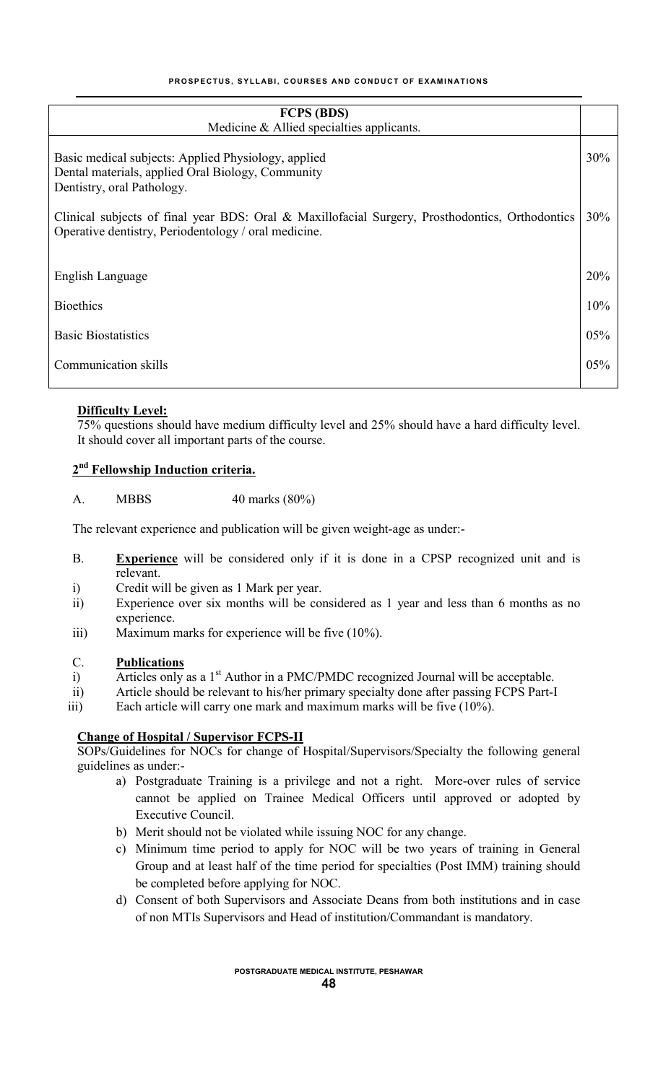| <b>FCPS (BDS)</b><br>Medicine & Allied specialties applicants.                                                                                                 |     |
|----------------------------------------------------------------------------------------------------------------------------------------------------------------|-----|
|                                                                                                                                                                |     |
| Basic medical subjects: Applied Physiology, applied<br>Dental materials, applied Oral Biology, Community<br>Dentistry, oral Pathology.                         | 30% |
| 30%<br>Clinical subjects of final year BDS: Oral & Maxillofacial Surgery, Prosthodontics, Orthodontics<br>Operative dentistry, Periodentology / oral medicine. |     |
| English Language                                                                                                                                               | 20% |
| <b>Bioethics</b>                                                                                                                                               | 10% |
| <b>Basic Biostatistics</b>                                                                                                                                     | 05% |
| Communication skills                                                                                                                                           | 05% |
|                                                                                                                                                                |     |

## **Difficulty Level:**

75% questions should have medium difficulty level and 25% should have a hard difficulty level. It should cover all important parts of the course.

## **2nd Fellowship Induction criteria.**

A. MBBS 40 marks (80%)

The relevant experience and publication will be given weight-age as under:-

- B. **Experience** will be considered only if it is done in a CPSP recognized unit and is relevant.
- i) Credit will be given as 1 Mark per year.
- ii) Experience over six months will be considered as 1 year and less than 6 months as no experience.
- iii) Maximum marks for experience will be five (10%).

#### C. **Publications**

- i) Articles only as a 1<sup>st</sup> Author in a PMC/PMDC recognized Journal will be acceptable.
- ii) Article should be relevant to his/her primary specialty done after passing FCPS Part-I
- iii) Each article will carry one mark and maximum marks will be five (10%).

## **Change of Hospital / Supervisor FCPS-II**

SOPs/Guidelines for NOCs for change of Hospital/Supervisors/Specialty the following general guidelines as under:-

- a) Postgraduate Training is a privilege and not a right. More-over rules of service cannot be applied on Trainee Medical Officers until approved or adopted by Executive Council.
- b) Merit should not be violated while issuing NOC for any change.
- c) Minimum time period to apply for NOC will be two years of training in General Group and at least half of the time period for specialties (Post IMM) training should be completed before applying for NOC.
- d) Consent of both Supervisors and Associate Deans from both institutions and in case of non MTIs Supervisors and Head of institution/Commandant is mandatory.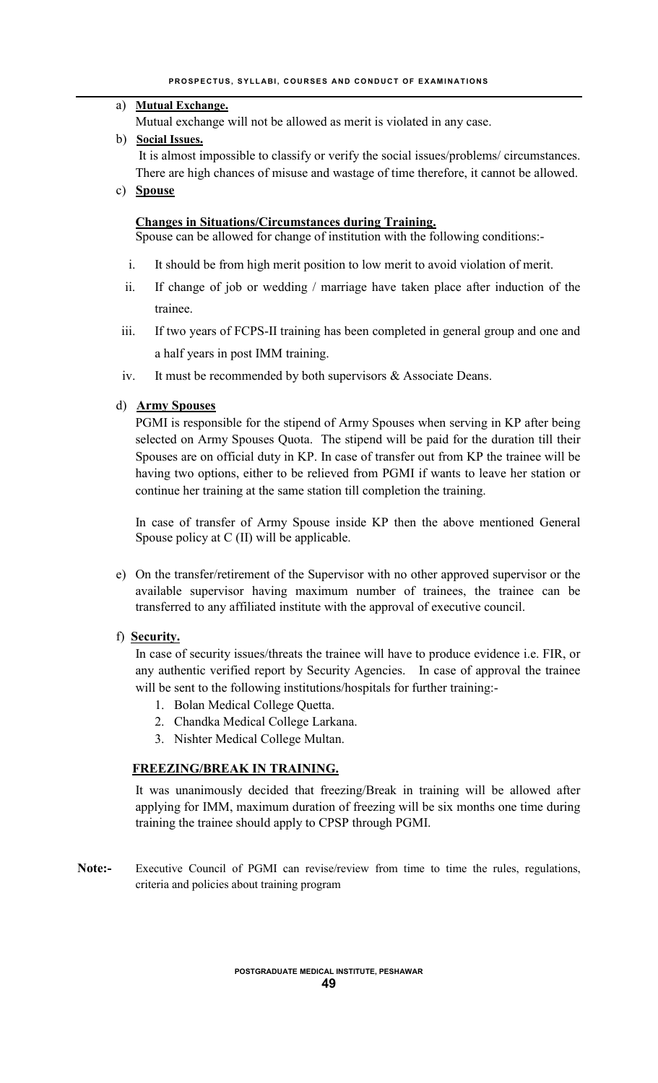## a) **Mutual Exchange.**

Mutual exchange will not be allowed as merit is violated in any case.

b) **Social Issues.**

It is almost impossible to classify or verify the social issues/problems/ circumstances. There are high chances of misuse and wastage of time therefore, it cannot be allowed.

c) **Spouse**

## **Changes in Situations/Circumstances during Training.**

Spouse can be allowed for change of institution with the following conditions:-

- i. It should be from high merit position to low merit to avoid violation of merit.
- ii. If change of job or wedding / marriage have taken place after induction of the trainee.
- iii. If two years of FCPS-II training has been completed in general group and one and a half years in post IMM training.
- iv. It must be recommended by both supervisors & Associate Deans.

## d) **Army Spouses**

PGMI is responsible for the stipend of Army Spouses when serving in KP after being selected on Army Spouses Quota. The stipend will be paid for the duration till their Spouses are on official duty in KP. In case of transfer out from KP the trainee will be having two options, either to be relieved from PGMI if wants to leave her station or continue her training at the same station till completion the training.

In case of transfer of Army Spouse inside KP then the above mentioned General Spouse policy at C (II) will be applicable.

e) On the transfer/retirement of the Supervisor with no other approved supervisor or the available supervisor having maximum number of trainees, the trainee can be transferred to any affiliated institute with the approval of executive council.

## f) **Security.**

In case of security issues/threats the trainee will have to produce evidence i.e. FIR, or any authentic verified report by Security Agencies. In case of approval the trainee will be sent to the following institutions/hospitals for further training:-

- 1. Bolan Medical College Quetta.
- 2. Chandka Medical College Larkana.
- 3. Nishter Medical College Multan.

## **FREEZING/BREAK IN TRAINING.**

It was unanimously decided that freezing/Break in training will be allowed after applying for IMM, maximum duration of freezing will be six months one time during training the trainee should apply to CPSP through PGMI.

**Note:-** Executive Council of PGMI can revise/review from time to time the rules, regulations, criteria and policies about training program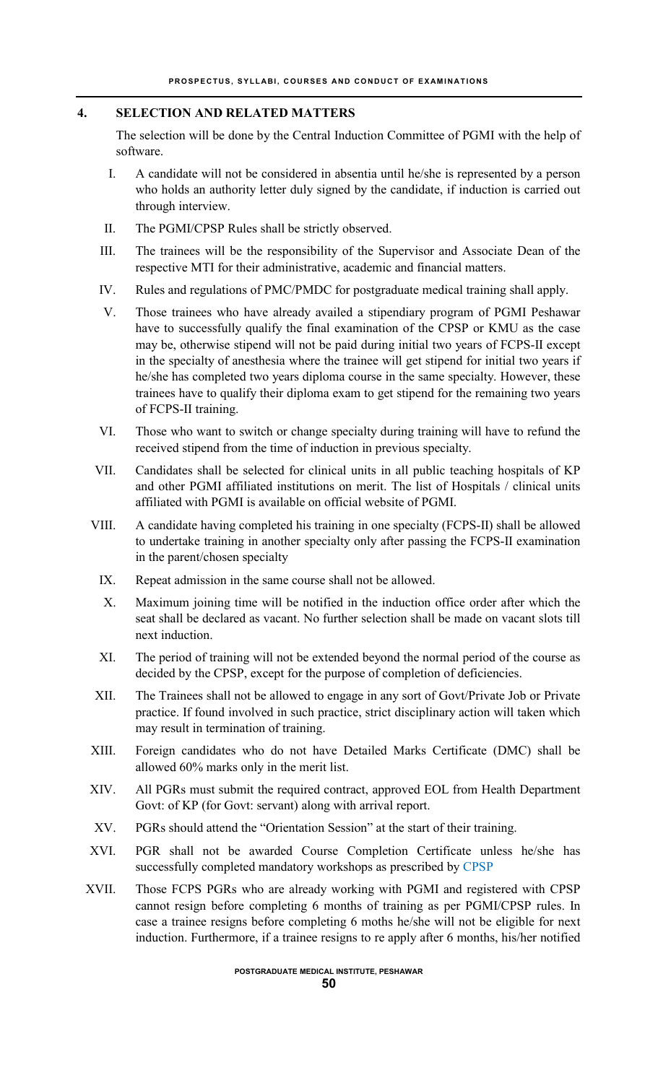## **4. SELECTION AND RELATED MATTERS**

The selection will be done by the Central Induction Committee of PGMI with the help of software.

- I. A candidate will not be considered in absentia until he/she is represented by a person who holds an authority letter duly signed by the candidate, if induction is carried out through interview.
- II. The PGMI/CPSP Rules shall be strictly observed.
- III. The trainees will be the responsibility of the Supervisor and Associate Dean of the respective MTI for their administrative, academic and financial matters.
- IV. Rules and regulations of PMC/PMDC for postgraduate medical training shall apply.
- V. Those trainees who have already availed a stipendiary program of PGMI Peshawar have to successfully qualify the final examination of the CPSP or KMU as the case may be, otherwise stipend will not be paid during initial two years of FCPS-II except in the specialty of anesthesia where the trainee will get stipend for initial two years if he/she has completed two years diploma course in the same specialty. However, these trainees have to qualify their diploma exam to get stipend for the remaining two years of FCPS-II training.
- VI. Those who want to switch or change specialty during training will have to refund the received stipend from the time of induction in previous specialty.
- VII. Candidates shall be selected for clinical units in all public teaching hospitals of KP and other PGMI affiliated institutions on merit. The list of Hospitals / clinical units affiliated with PGMI is available on official website of PGMI.
- VIII. A candidate having completed his training in one specialty (FCPS-II) shall be allowed to undertake training in another specialty only after passing the FCPS-II examination in the parent/chosen specialty
	- IX. Repeat admission in the same course shall not be allowed.
	- X. Maximum joining time will be notified in the induction office order after which the seat shall be declared as vacant. No further selection shall be made on vacant slots till next induction.
	- XI. The period of training will not be extended beyond the normal period of the course as decided by the CPSP, except for the purpose of completion of deficiencies.
- XII. The Trainees shall not be allowed to engage in any sort of Govt/Private Job or Private practice. If found involved in such practice, strict disciplinary action will taken which may result in termination of training.
- XIII. Foreign candidates who do not have Detailed Marks Certificate (DMC) shall be allowed 60% marks only in the merit list.
- XIV. All PGRs must submit the required contract, approved EOL from Health Department Govt: of KP (for Govt: servant) along with arrival report.
- XV. PGRs should attend the "Orientation Session" at the start of their training.
- XVI. PGR shall not be awarded Course Completion Certificate unless he/she has successfully completed mandatory workshops as prescribed by CPSP
- XVII. Those FCPS PGRs who are already working with PGMI and registered with CPSP cannot resign before completing 6 months of training as per PGMI/CPSP rules. In case a trainee resigns before completing 6 moths he/she will not be eligible for next induction. Furthermore, if a trainee resigns to re apply after 6 months, his/her notified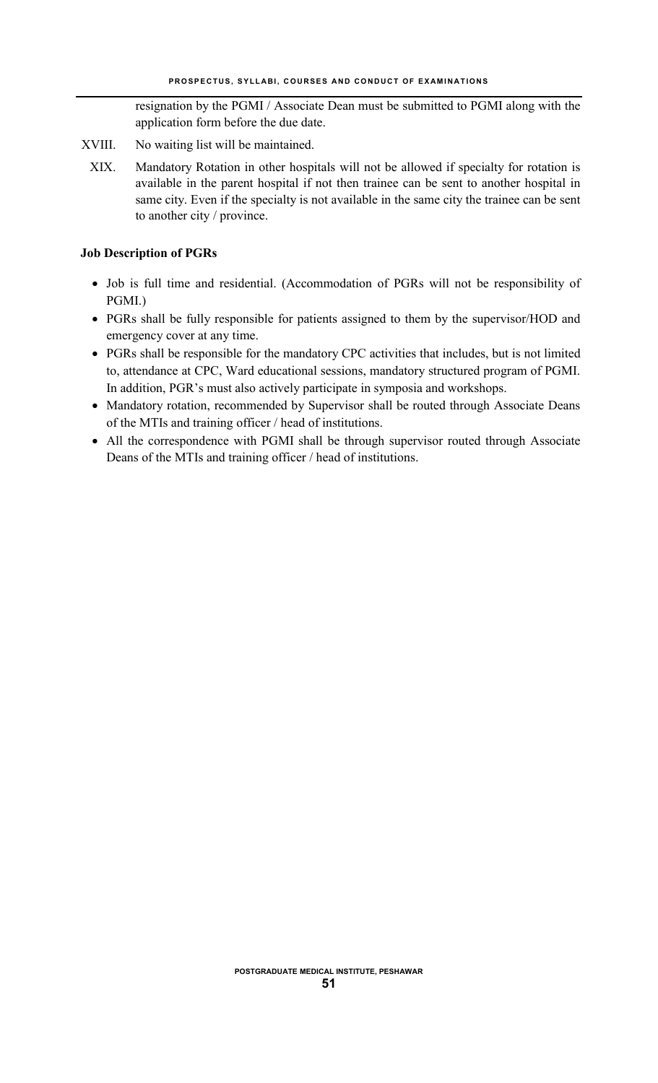resignation by the PGMI / Associate Dean must be submitted to PGMI along with the application form before the due date.

- XVIII. No waiting list will be maintained.
	- XIX. Mandatory Rotation in other hospitals will not be allowed if specialty for rotation is available in the parent hospital if not then trainee can be sent to another hospital in same city. Even if the specialty is not available in the same city the trainee can be sent to another city / province.

## **Job Description of PGRs**

- Job is full time and residential. (Accommodation of PGRs will not be responsibility of PGMI.)
- PGRs shall be fully responsible for patients assigned to them by the supervisor/HOD and emergency cover at any time.
- PGRs shall be responsible for the mandatory CPC activities that includes, but is not limited to, attendance at CPC, Ward educational sessions, mandatory structured program of PGMI. In addition, PGR's must also actively participate in symposia and workshops.
- Mandatory rotation, recommended by Supervisor shall be routed through Associate Deans of the MTIs and training officer / head of institutions.
- All the correspondence with PGMI shall be through supervisor routed through Associate Deans of the MTIs and training officer / head of institutions.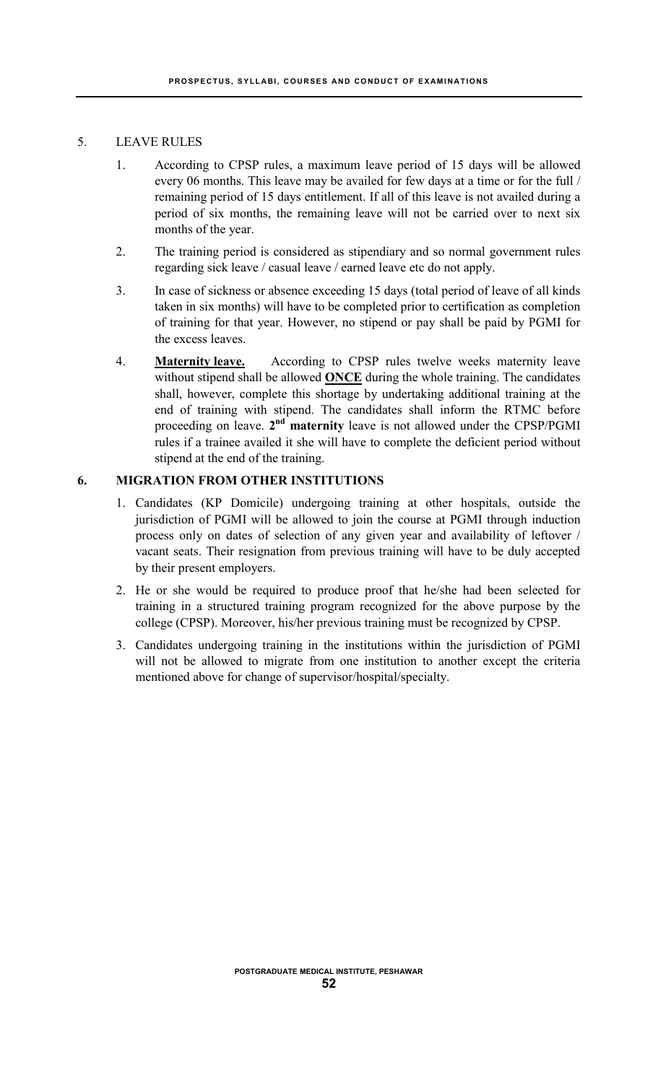#### 5. LEAVE RULES

- 1. According to CPSP rules, a maximum leave period of 15 days will be allowed every 06 months. This leave may be availed for few days at a time or for the full / remaining period of 15 days entitlement. If all of this leave is not availed during a period of six months, the remaining leave will not be carried over to next six months of the year.
- 2. The training period is considered as stipendiary and so normal government rules regarding sick leave / casual leave / earned leave etc do not apply.
- 3. In case of sickness or absence exceeding 15 days (total period of leave of all kinds taken in six months) will have to be completed prior to certification as completion of training for that year. However, no stipend or pay shall be paid by PGMI for the excess leaves.
- 4. **Maternity leave.** According to CPSP rules twelve weeks maternity leave without stipend shall be allowed **ONCE** during the whole training. The candidates shall, however, complete this shortage by undertaking additional training at the end of training with stipend. The candidates shall inform the RTMC before proceeding on leave. **2nd maternity** leave is not allowed under the CPSP/PGMI rules if a trainee availed it she will have to complete the deficient period without stipend at the end of the training.

## **6. MIGRATION FROM OTHER INSTITUTIONS**

- 1. Candidates (KP Domicile) undergoing training at other hospitals, outside the jurisdiction of PGMI will be allowed to join the course at PGMI through induction process only on dates of selection of any given year and availability of leftover / vacant seats. Their resignation from previous training will have to be duly accepted by their present employers.
- 2. He or she would be required to produce proof that he/she had been selected for training in a structured training program recognized for the above purpose by the college (CPSP). Moreover, his/her previous training must be recognized by CPSP.
- 3. Candidates undergoing training in the institutions within the jurisdiction of PGMI will not be allowed to migrate from one institution to another except the criteria mentioned above for change of supervisor/hospital/specialty.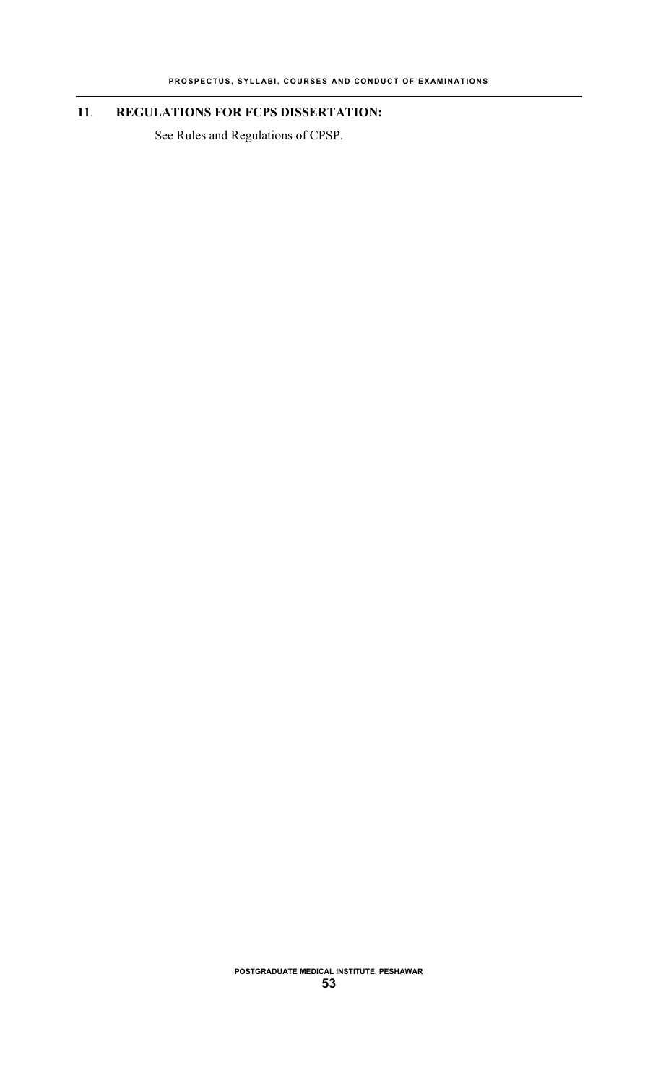## **11**. **REGULATIONS FOR FCPS DISSERTATION:**

See Rules and Regulations of CPSP.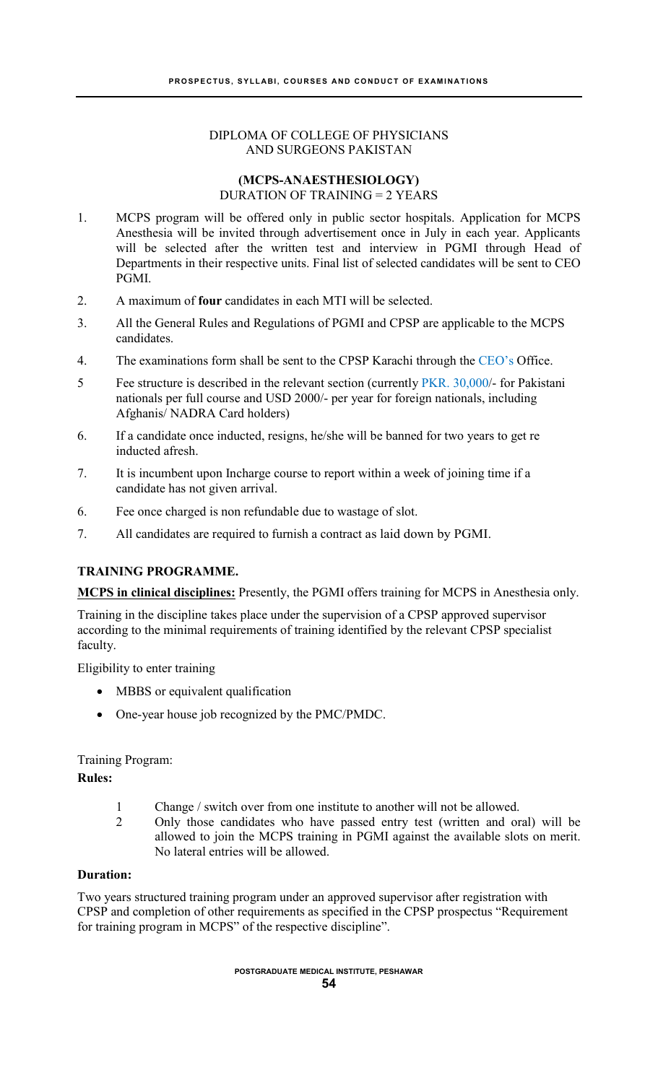## DIPLOMA OF COLLEGE OF PHYSICIANS AND SURGEONS PAKISTAN

#### **(MCPS-ANAESTHESIOLOGY)** DURATION OF TRAINING = 2 YEARS

- 1. MCPS program will be offered only in public sector hospitals. Application for MCPS Anesthesia will be invited through advertisement once in July in each year. Applicants will be selected after the written test and interview in PGMI through Head of Departments in their respective units. Final list of selected candidates will be sent to CEO PGMI.
- 2. A maximum of **four** candidates in each MTI will be selected.
- 3. All the General Rules and Regulations of PGMI and CPSP are applicable to the MCPS candidates.
- 4. The examinations form shall be sent to the CPSP Karachi through the CEO's Office.
- 5 Fee structure is described in the relevant section (currently PKR. 30,000/- for Pakistani nationals per full course and USD 2000/- per year for foreign nationals, including Afghanis/ NADRA Card holders)
- 6. If a candidate once inducted, resigns, he/she will be banned for two years to get re inducted afresh.
- 7. It is incumbent upon Incharge course to report within a week of joining time if a candidate has not given arrival.
- 6. Fee once charged is non refundable due to wastage of slot.
- 7. All candidates are required to furnish a contract as laid down by PGMI.

## **TRAINING PROGRAMME.**

**MCPS in clinical disciplines:** Presently, the PGMI offers training for MCPS in Anesthesia only.

Training in the discipline takes place under the supervision of a CPSP approved supervisor according to the minimal requirements of training identified by the relevant CPSP specialist faculty.

Eligibility to enter training

- MBBS or equivalent qualification
- One-year house job recognized by the PMC/PMDC.

## Training Program:

## **Rules:**

- 1 Change / switch over from one institute to another will not be allowed.
- 2 Only those candidates who have passed entry test (written and oral) will be allowed to join the MCPS training in PGMI against the available slots on merit. No lateral entries will be allowed.

## **Duration:**

Two years structured training program under an approved supervisor after registration with CPSP and completion of other requirements as specified in the CPSP prospectus "Requirement for training program in MCPS" of the respective discipline".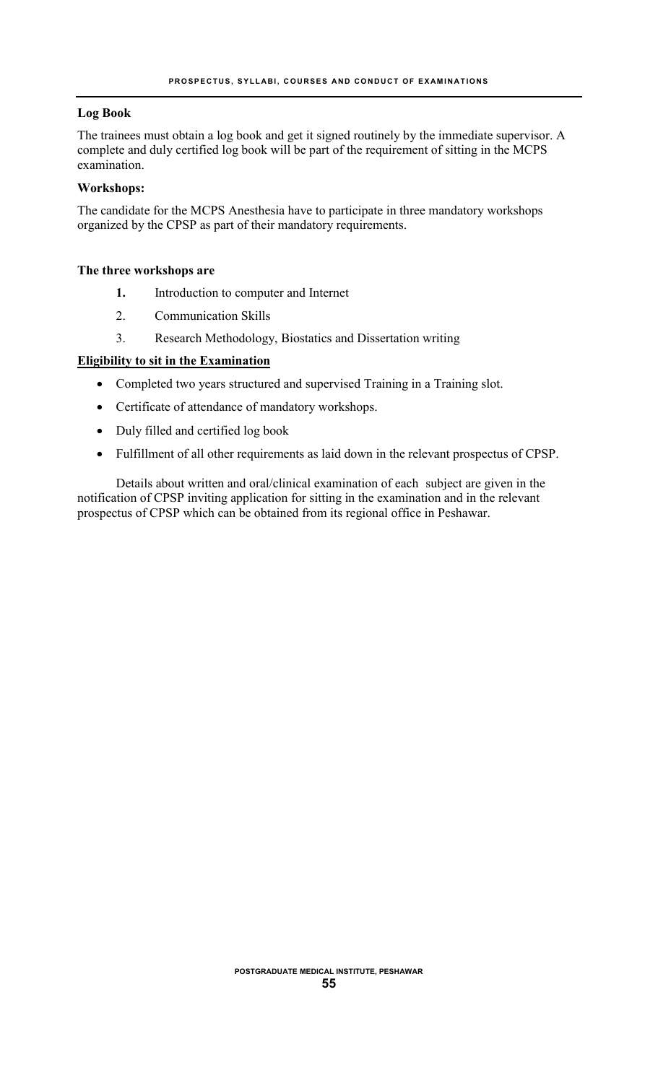## **Log Book**

The trainees must obtain a log book and get it signed routinely by the immediate supervisor. A complete and duly certified log book will be part of the requirement of sitting in the MCPS examination.

#### **Workshops:**

The candidate for the MCPS Anesthesia have to participate in three mandatory workshops organized by the CPSP as part of their mandatory requirements.

#### **The three workshops are**

- **1.** Introduction to computer and Internet
- 2. Communication Skills
- 3. Research Methodology, Biostatics and Dissertation writing

#### **Eligibility to sit in the Examination**

- Completed two years structured and supervised Training in a Training slot.
- Certificate of attendance of mandatory workshops.
- Duly filled and certified log book
- Fulfillment of all other requirements as laid down in the relevant prospectus of CPSP.

Details about written and oral/clinical examination of each subject are given in the notification of CPSP inviting application for sitting in the examination and in the relevant prospectus of CPSP which can be obtained from its regional office in Peshawar.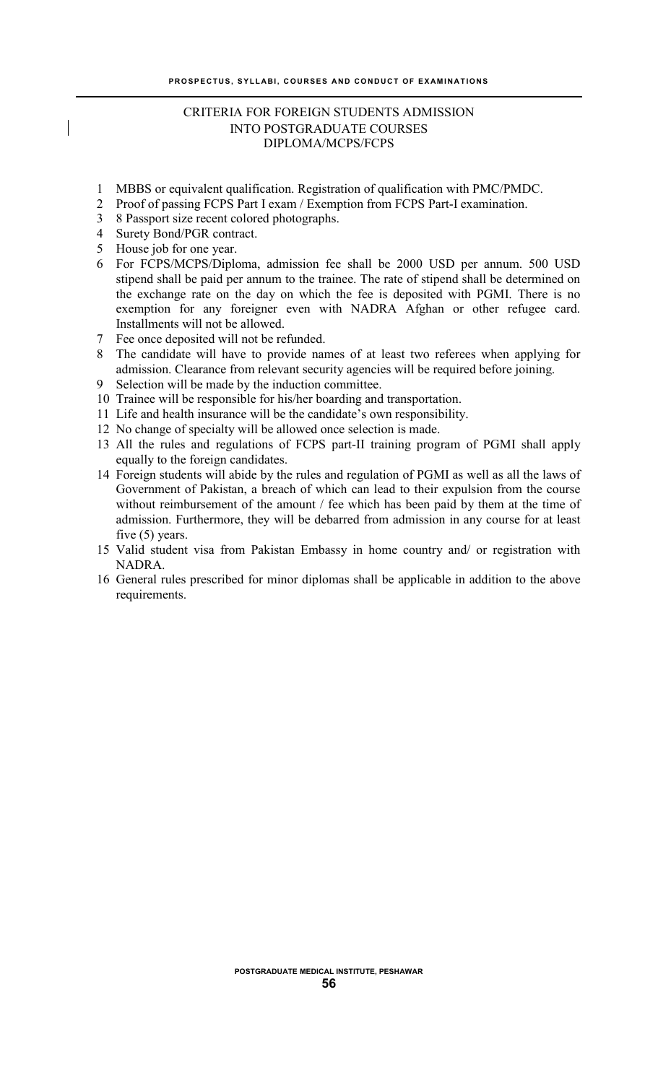## CRITERIA FOR FOREIGN STUDENTS ADMISSION INTO POSTGRADUATE COURSES DIPLOMA/MCPS/FCPS

- 1 MBBS or equivalent qualification. Registration of qualification with PMC/PMDC.
- 2 Proof of passing FCPS Part I exam / Exemption from FCPS Part-I examination.
- 3 8 Passport size recent colored photographs.
- 4 Surety Bond/PGR contract.
- 5 House job for one year.
- 6 For FCPS/MCPS/Diploma, admission fee shall be 2000 USD per annum. 500 USD stipend shall be paid per annum to the trainee. The rate of stipend shall be determined on the exchange rate on the day on which the fee is deposited with PGMI. There is no exemption for any foreigner even with NADRA Afghan or other refugee card. Installments will not be allowed.
- 7 Fee once deposited will not be refunded.
- 8 The candidate will have to provide names of at least two referees when applying for admission. Clearance from relevant security agencies will be required before joining.
- 9 Selection will be made by the induction committee.
- 10 Trainee will be responsible for his/her boarding and transportation.
- 11 Life and health insurance will be the candidate's own responsibility.
- 12 No change of specialty will be allowed once selection is made.
- 13 All the rules and regulations of FCPS part-II training program of PGMI shall apply equally to the foreign candidates.
- 14 Foreign students will abide by the rules and regulation of PGMI as well as all the laws of Government of Pakistan, a breach of which can lead to their expulsion from the course without reimbursement of the amount / fee which has been paid by them at the time of admission. Furthermore, they will be debarred from admission in any course for at least five (5) years.
- 15 Valid student visa from Pakistan Embassy in home country and/ or registration with NADRA.
- 16 General rules prescribed for minor diplomas shall be applicable in addition to the above requirements.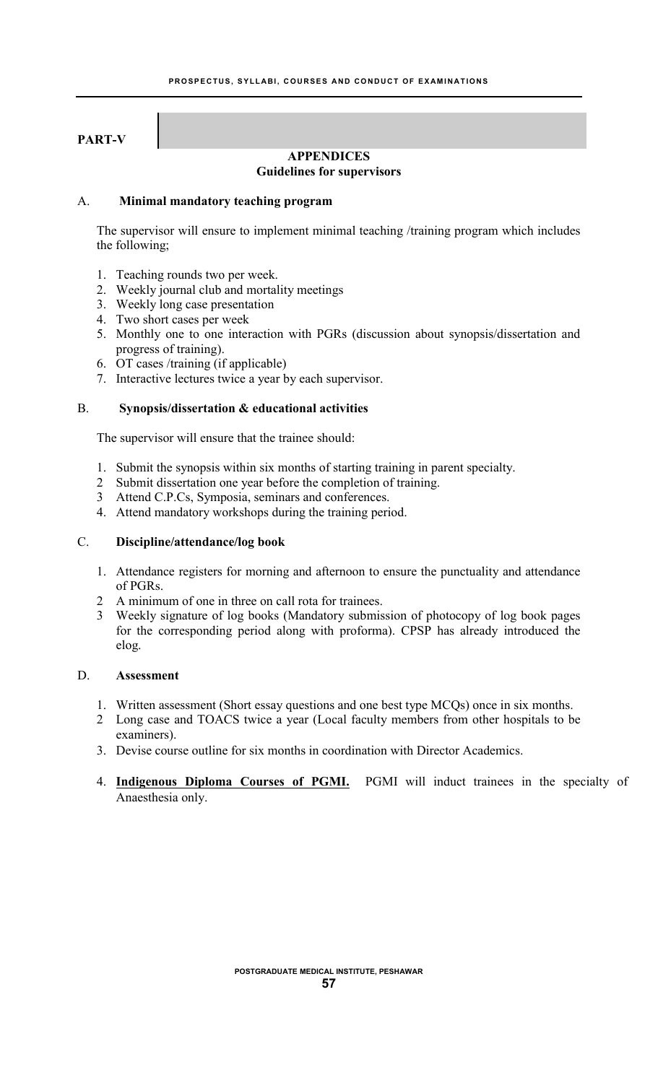## **PART-V**

#### **APPENDICES Guidelines for supervisors**

#### A. **Minimal mandatory teaching program**

The supervisor will ensure to implement minimal teaching /training program which includes the following;

- 1. Teaching rounds two per week.
- 2. Weekly journal club and mortality meetings
- 3. Weekly long case presentation
- 4. Two short cases per week
- 5. Monthly one to one interaction with PGRs (discussion about synopsis/dissertation and progress of training).
- 6. OT cases /training (if applicable)
- 7. Interactive lectures twice a year by each supervisor.

## B. **Synopsis/dissertation & educational activities**

The supervisor will ensure that the trainee should:

- 1. Submit the synopsis within six months of starting training in parent specialty.
- 2 Submit dissertation one year before the completion of training.
- 3 Attend C.P.Cs, Symposia, seminars and conferences.
- 4. Attend mandatory workshops during the training period.

## C. **Discipline/attendance/log book**

- 1. Attendance registers for morning and afternoon to ensure the punctuality and attendance of PGRs.
- 2 A minimum of one in three on call rota for trainees.
- 3 Weekly signature of log books (Mandatory submission of photocopy of log book pages for the corresponding period along with proforma). CPSP has already introduced the elog.

## D. **Assessment**

- 1. Written assessment (Short essay questions and one best type MCQs) once in six months.
- 2 Long case and TOACS twice a year (Local faculty members from other hospitals to be examiners).
- 3. Devise course outline for six months in coordination with Director Academics.
- 4. **Indigenous Diploma Courses of PGMI.** PGMI will induct trainees in the specialty of Anaesthesia only.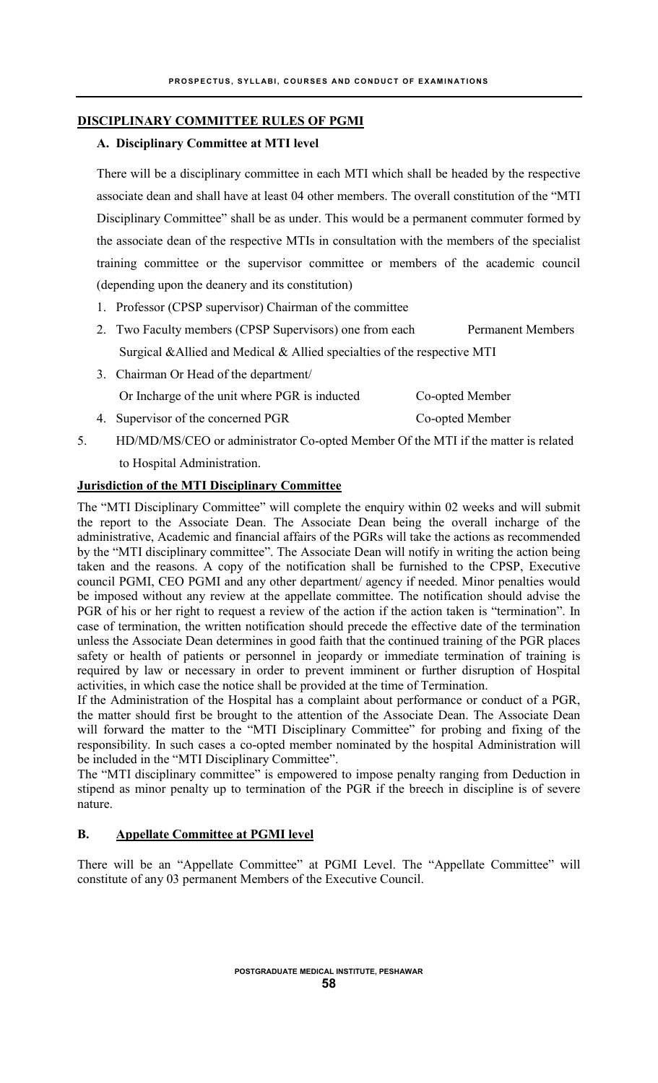## **DISCIPLINARY COMMITTEE RULES OF PGMI**

## **A. Disciplinary Committee at MTI level**

There will be a disciplinary committee in each MTI which shall be headed by the respective associate dean and shall have at least 04 other members. The overall constitution of the "MTI Disciplinary Committee" shall be as under. This would be a permanent commuter formed by the associate dean of the respective MTIs in consultation with the members of the specialist training committee or the supervisor committee or members of the academic council (depending upon the deanery and its constitution)

- 1. Professor (CPSP supervisor) Chairman of the committee
- 2. Two Faculty members (CPSP Supervisors) one from each Permanent Members Surgical &Allied and Medical & Allied specialties of the respective MTI
- 3. Chairman Or Head of the department/ Or Incharge of the unit where PGR is inducted Co-opted Member
- 4. Supervisor of the concerned PGR Co-opted Member
- 5. HD/MD/MS/CEO or administrator Co-opted Member Of the MTI if the matter is related to Hospital Administration.

## **Jurisdiction of the MTI Disciplinary Committee**

The "MTI Disciplinary Committee" will complete the enquiry within 02 weeks and will submit the report to the Associate Dean. The Associate Dean being the overall incharge of the administrative, Academic and financial affairs of the PGRs will take the actions as recommended by the "MTI disciplinary committee". The Associate Dean will notify in writing the action being taken and the reasons. A copy of the notification shall be furnished to the CPSP, Executive council PGMI, CEO PGMI and any other department/ agency if needed. Minor penalties would be imposed without any review at the appellate committee. The notification should advise the PGR of his or her right to request a review of the action if the action taken is "termination". In case of termination, the written notification should precede the effective date of the termination unless the Associate Dean determines in good faith that the continued training of the PGR places safety or health of patients or personnel in jeopardy or immediate termination of training is required by law or necessary in order to prevent imminent or further disruption of Hospital activities, in which case the notice shall be provided at the time of Termination.

If the Administration of the Hospital has a complaint about performance or conduct of a PGR, the matter should first be brought to the attention of the Associate Dean. The Associate Dean will forward the matter to the "MTI Disciplinary Committee" for probing and fixing of the responsibility. In such cases a co-opted member nominated by the hospital Administration will be included in the "MTI Disciplinary Committee".

The "MTI disciplinary committee" is empowered to impose penalty ranging from Deduction in stipend as minor penalty up to termination of the PGR if the breech in discipline is of severe nature.

## **B. Appellate Committee at PGMI level**

There will be an "Appellate Committee" at PGMI Level. The "Appellate Committee" will constitute of any 03 permanent Members of the Executive Council.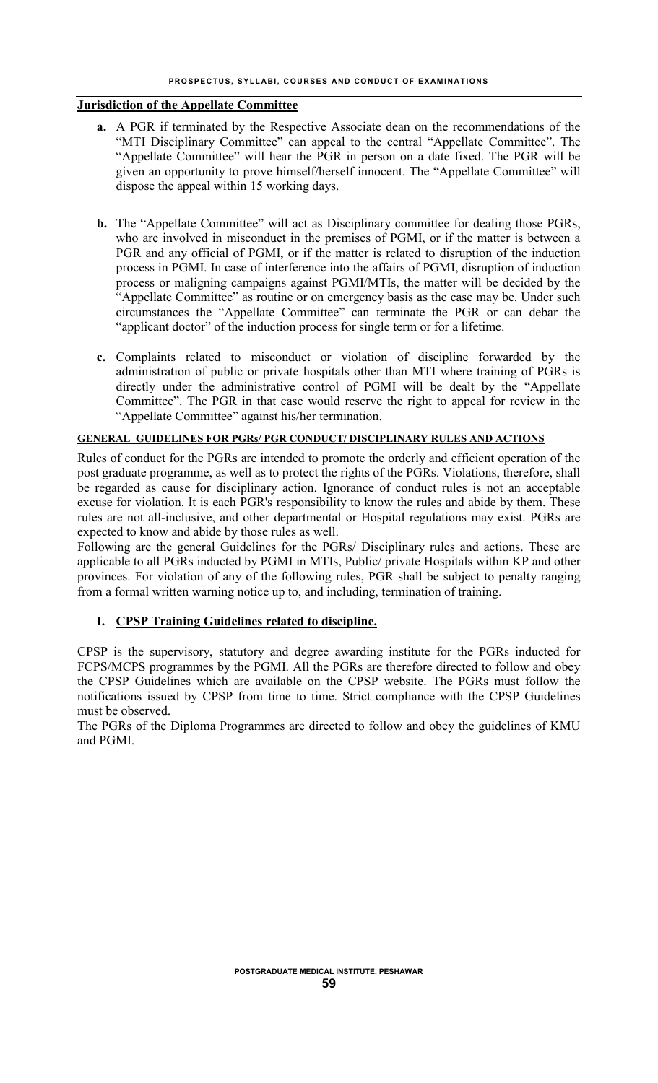#### **PROSPECTUS, SYLLABI, COURSES AND CONDUCT OF EXAMINATIONS**

## **Jurisdiction of the Appellate Committee**

- **a.** A PGR if terminated by the Respective Associate dean on the recommendations of the "MTI Disciplinary Committee" can appeal to the central "Appellate Committee". The "Appellate Committee" will hear the PGR in person on a date fixed. The PGR will be given an opportunity to prove himself/herself innocent. The "Appellate Committee" will dispose the appeal within 15 working days.
- **b.** The "Appellate Committee" will act as Disciplinary committee for dealing those PGRs, who are involved in misconduct in the premises of PGMI, or if the matter is between a PGR and any official of PGMI, or if the matter is related to disruption of the induction process in PGMI. In case of interference into the affairs of PGMI, disruption of induction process or maligning campaigns against PGMI/MTIs, the matter will be decided by the "Appellate Committee" as routine or on emergency basis as the case may be. Under such circumstances the "Appellate Committee" can terminate the PGR or can debar the "applicant doctor" of the induction process for single term or for a lifetime.
- **c.** Complaints related to misconduct or violation of discipline forwarded by the administration of public or private hospitals other than MTI where training of PGRs is directly under the administrative control of PGMI will be dealt by the "Appellate Committee". The PGR in that case would reserve the right to appeal for review in the "Appellate Committee" against his/her termination.

#### **GENERAL GUIDELINES FOR PGRs/ PGR CONDUCT/ DISCIPLINARY RULES AND ACTIONS**

Rules of conduct for the PGRs are intended to promote the orderly and efficient operation of the post graduate programme, as well as to protect the rights of the PGRs. Violations, therefore, shall be regarded as cause for disciplinary action. Ignorance of conduct rules is not an acceptable excuse for violation. It is each PGR's responsibility to know the rules and abide by them. These rules are not all-inclusive, and other departmental or Hospital regulations may exist. PGRs are expected to know and abide by those rules as well.

Following are the general Guidelines for the PGRs/ Disciplinary rules and actions. These are applicable to all PGRs inducted by PGMI in MTIs, Public/ private Hospitals within KP and other provinces. For violation of any of the following rules, PGR shall be subject to penalty ranging from a formal written warning notice up to, and including, termination of training.

## **I. CPSP Training Guidelines related to discipline.**

CPSP is the supervisory, statutory and degree awarding institute for the PGRs inducted for FCPS/MCPS programmes by the PGMI. All the PGRs are therefore directed to follow and obey the CPSP Guidelines which are available on the CPSP website. The PGRs must follow the notifications issued by CPSP from time to time. Strict compliance with the CPSP Guidelines must be observed.

The PGRs of the Diploma Programmes are directed to follow and obey the guidelines of KMU and PGMI.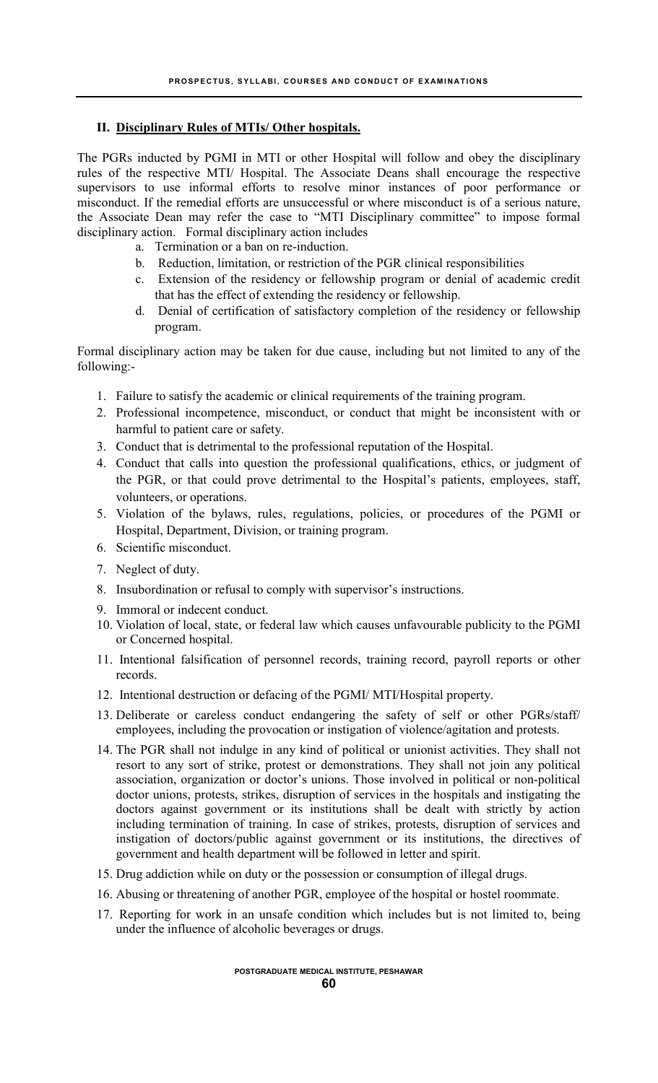## **II. Disciplinary Rules of MTIs/ Other hospitals.**

The PGRs inducted by PGMI in MTI or other Hospital will follow and obey the disciplinary rules of the respective MTI/ Hospital. The Associate Deans shall encourage the respective supervisors to use informal efforts to resolve minor instances of poor performance or misconduct. If the remedial efforts are unsuccessful or where misconduct is of a serious nature, the Associate Dean may refer the case to "MTI Disciplinary committee" to impose formal disciplinary action. Formal disciplinary action includes

- a. Termination or a ban on re-induction.
- b. Reduction, limitation, or restriction of the PGR clinical responsibilities
- c. Extension of the residency or fellowship program or denial of academic credit that has the effect of extending the residency or fellowship.
- d. Denial of certification of satisfactory completion of the residency or fellowship program.

Formal disciplinary action may be taken for due cause, including but not limited to any of the following:-

- 1. Failure to satisfy the academic or clinical requirements of the training program.
- 2. Professional incompetence, misconduct, or conduct that might be inconsistent with or harmful to patient care or safety.
- 3. Conduct that is detrimental to the professional reputation of the Hospital.
- 4. Conduct that calls into question the professional qualifications, ethics, or judgment of the PGR, or that could prove detrimental to the Hospital's patients, employees, staff, volunteers, or operations.
- 5. Violation of the bylaws, rules, regulations, policies, or procedures of the PGMI or Hospital, Department, Division, or training program.
- 6. Scientific misconduct.
- 7. Neglect of duty.
- 8. Insubordination or refusal to comply with supervisor's instructions.
- 9. Immoral or indecent conduct.
- 10. Violation of local, state, or federal law which causes unfavourable publicity to the PGMI or Concerned hospital.
- 11. Intentional falsification of personnel records, training record, payroll reports or other records.
- 12. Intentional destruction or defacing of the PGMI/ MTI/Hospital property.
- 13. Deliberate or careless conduct endangering the safety of self or other PGRs/staff/ employees, including the provocation or instigation of violence/agitation and protests.
- 14. The PGR shall not indulge in any kind of political or unionist activities. They shall not resort to any sort of strike, protest or demonstrations. They shall not join any political association, organization or doctor's unions. Those involved in political or non-political doctor unions, protests, strikes, disruption of services in the hospitals and instigating the doctors against government or its institutions shall be dealt with strictly by action including termination of training. In case of strikes, protests, disruption of services and instigation of doctors/public against government or its institutions, the directives of government and health department will be followed in letter and spirit.
- 15. Drug addiction while on duty or the possession or consumption of illegal drugs.
- 16. Abusing or threatening of another PGR, employee of the hospital or hostel roommate.
- 17. Reporting for work in an unsafe condition which includes but is not limited to, being under the influence of alcoholic beverages or drugs.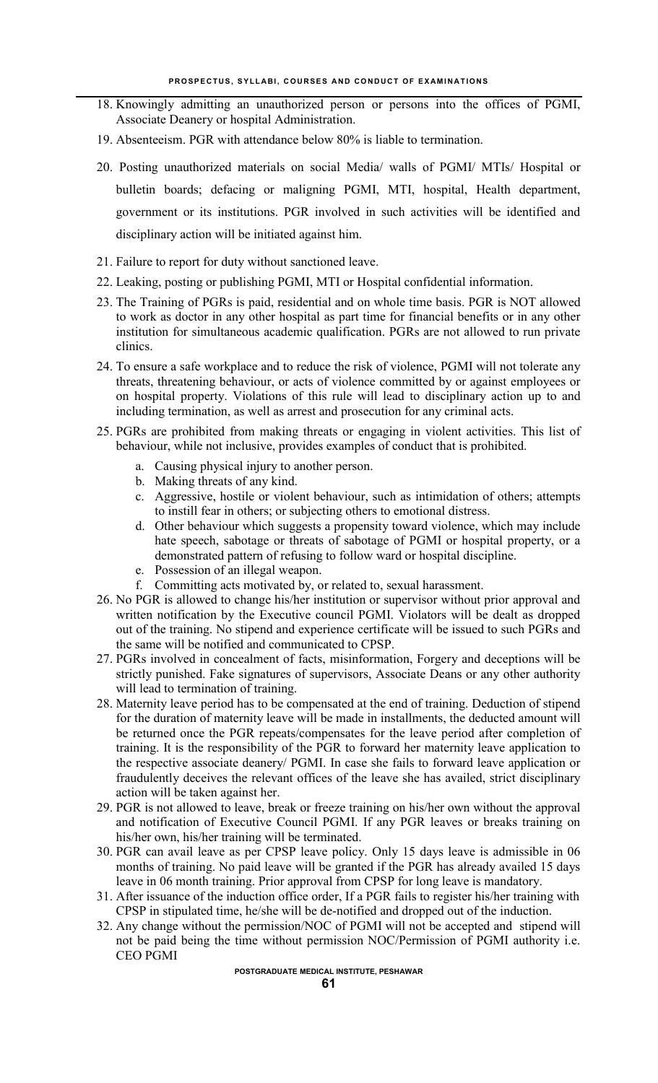- 18. Knowingly admitting an unauthorized person or persons into the offices of PGMI, Associate Deanery or hospital Administration.
- 19. Absenteeism. PGR with attendance below 80% is liable to termination.
- 20. Posting unauthorized materials on social Media/ walls of PGMI/ MTIs/ Hospital or bulletin boards; defacing or maligning PGMI, MTI, hospital, Health department, government or its institutions. PGR involved in such activities will be identified and disciplinary action will be initiated against him.
- 21. Failure to report for duty without sanctioned leave.
- 22. Leaking, posting or publishing PGMI, MTI or Hospital confidential information.
- 23. The Training of PGRs is paid, residential and on whole time basis. PGR is NOT allowed to work as doctor in any other hospital as part time for financial benefits or in any other institution for simultaneous academic qualification. PGRs are not allowed to run private clinics.
- 24. To ensure a safe workplace and to reduce the risk of violence, PGMI will not tolerate any threats, threatening behaviour, or acts of violence committed by or against employees or on hospital property. Violations of this rule will lead to disciplinary action up to and including termination, as well as arrest and prosecution for any criminal acts.
- 25. PGRs are prohibited from making threats or engaging in violent activities. This list of behaviour, while not inclusive, provides examples of conduct that is prohibited.
	- a. Causing physical injury to another person.
	- b. Making threats of any kind.
	- c. Aggressive, hostile or violent behaviour, such as intimidation of others; attempts to instill fear in others; or subjecting others to emotional distress.
	- d. Other behaviour which suggests a propensity toward violence, which may include hate speech, sabotage or threats of sabotage of PGMI or hospital property, or a demonstrated pattern of refusing to follow ward or hospital discipline.
	- e. Possession of an illegal weapon.
	- f. Committing acts motivated by, or related to, sexual harassment.
- 26. No PGR is allowed to change his/her institution or supervisor without prior approval and written notification by the Executive council PGMI. Violators will be dealt as dropped out of the training. No stipend and experience certificate will be issued to such PGRs and the same will be notified and communicated to CPSP.
- 27. PGRs involved in concealment of facts, misinformation, Forgery and deceptions will be strictly punished. Fake signatures of supervisors, Associate Deans or any other authority will lead to termination of training.
- 28. Maternity leave period has to be compensated at the end of training. Deduction of stipend for the duration of maternity leave will be made in installments, the deducted amount will be returned once the PGR repeats/compensates for the leave period after completion of training. It is the responsibility of the PGR to forward her maternity leave application to the respective associate deanery/ PGMI. In case she fails to forward leave application or fraudulently deceives the relevant offices of the leave she has availed, strict disciplinary action will be taken against her.
- 29. PGR is not allowed to leave, break or freeze training on his/her own without the approval and notification of Executive Council PGMI. If any PGR leaves or breaks training on his/her own, his/her training will be terminated.
- 30. PGR can avail leave as per CPSP leave policy. Only 15 days leave is admissible in 06 months of training. No paid leave will be granted if the PGR has already availed 15 days leave in 06 month training. Prior approval from CPSP for long leave is mandatory.
- 31. After issuance of the induction office order, If a PGR fails to register his/her training with CPSP in stipulated time, he/she will be de-notified and dropped out of the induction.
- 32. Any change without the permission/NOC of PGMI will not be accepted and stipend will not be paid being the time without permission NOC/Permission of PGMI authority i.e. CEO PGMI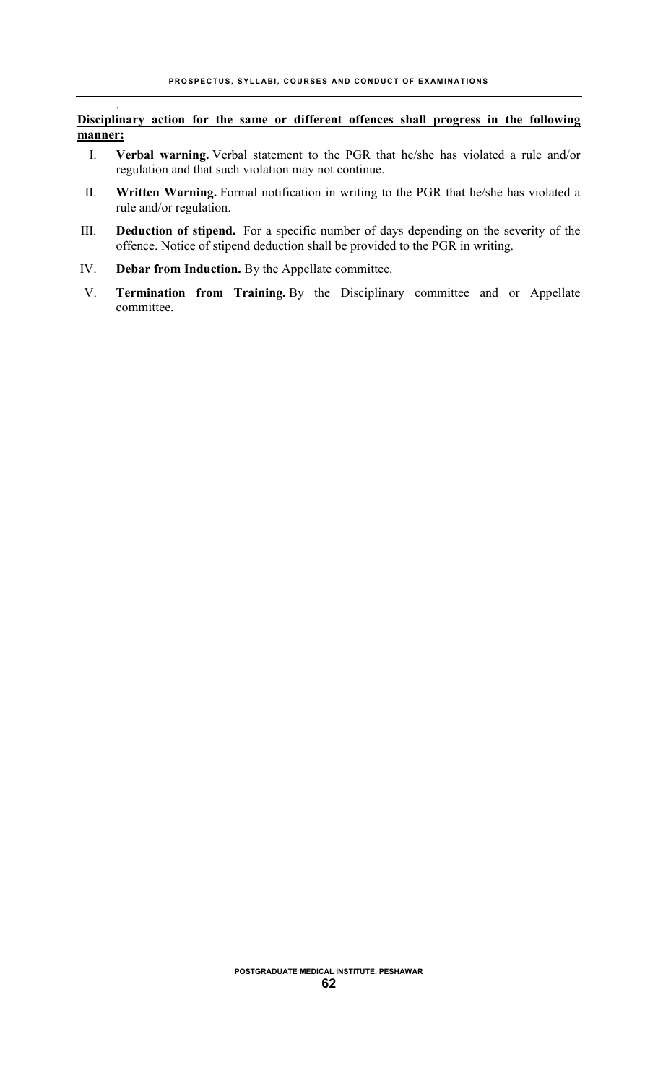### **Disciplinary action for the same or different offences shall progress in the following manner:**

- I. **Verbal warning.** Verbal statement to the PGR that he/she has violated a rule and/or regulation and that such violation may not continue.
- II. **Written Warning.** Formal notification in writing to the PGR that he/she has violated a rule and/or regulation.
- III. **Deduction of stipend.** For a specific number of days depending on the severity of the offence. Notice of stipend deduction shall be provided to the PGR in writing.
- IV. **Debar from Induction.** By the Appellate committee.

.

V. **Termination from Training.** By the Disciplinary committee and or Appellate committee.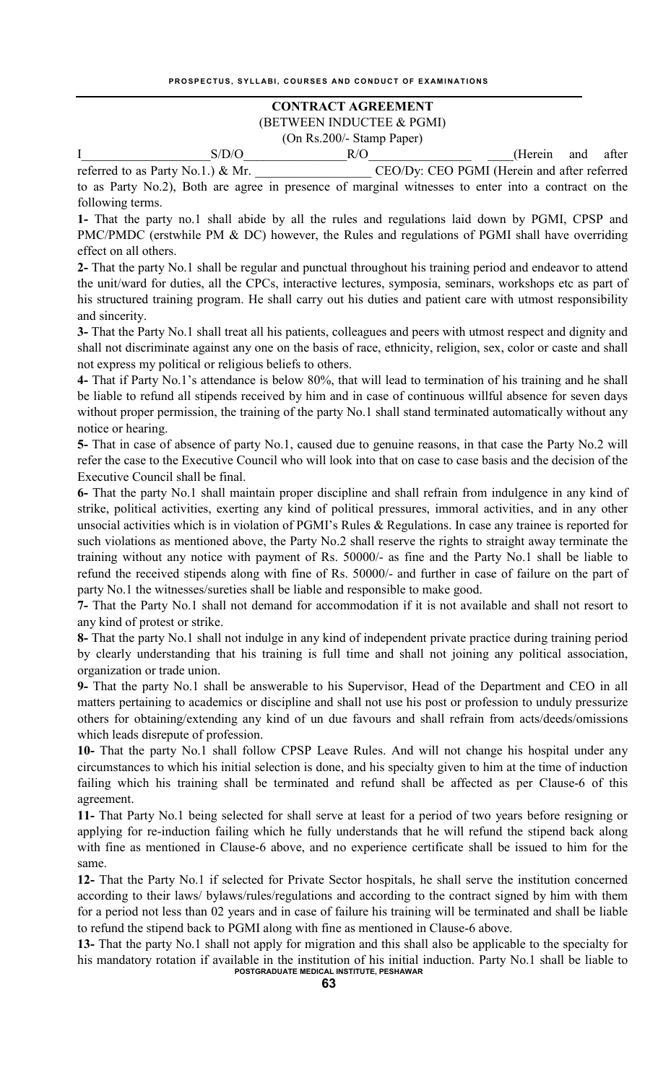## **CONTRACT AGREEMENT**  (BETWEEN INDUCTEE & PGMI)

(On Rs.200/- Stamp Paper)

I\_\_\_\_\_\_\_\_\_\_\_\_\_\_\_\_\_\_\_\_S/D/O\_\_\_\_\_\_\_\_\_\_\_\_\_\_\_\_R/O\_\_\_\_\_\_\_\_\_\_\_\_\_\_\_\_ \_\_\_\_(Herein and after referred to as Party No.1.) & Mr. CEO/Dy: CEO PGMI (Herein and after referred

to as Party No.2), Both are agree in presence of marginal witnesses to enter into a contract on the following terms.

**1-** That the party no.1 shall abide by all the rules and regulations laid down by PGMI, CPSP and PMC/PMDC (erstwhile PM & DC) however, the Rules and regulations of PGMI shall have overriding effect on all others.

**2-** That the party No.1 shall be regular and punctual throughout his training period and endeavor to attend the unit/ward for duties, all the CPCs, interactive lectures, symposia, seminars, workshops etc as part of his structured training program. He shall carry out his duties and patient care with utmost responsibility and sincerity.

**3-** That the Party No.1 shall treat all his patients, colleagues and peers with utmost respect and dignity and shall not discriminate against any one on the basis of race, ethnicity, religion, sex, color or caste and shall not express my political or religious beliefs to others.

**4-** That if Party No.1's attendance is below 80%, that will lead to termination of his training and he shall be liable to refund all stipends received by him and in case of continuous willful absence for seven days without proper permission, the training of the party No.1 shall stand terminated automatically without any notice or hearing.

**5-** That in case of absence of party No.1, caused due to genuine reasons, in that case the Party No.2 will refer the case to the Executive Council who will look into that on case to case basis and the decision of the Executive Council shall be final.

**6-** That the party No.1 shall maintain proper discipline and shall refrain from indulgence in any kind of strike, political activities, exerting any kind of political pressures, immoral activities, and in any other unsocial activities which is in violation of PGMI's Rules & Regulations. In case any trainee is reported for such violations as mentioned above, the Party No.2 shall reserve the rights to straight away terminate the training without any notice with payment of Rs. 50000/- as fine and the Party No.1 shall be liable to refund the received stipends along with fine of Rs. 50000/- and further in case of failure on the part of party No.1 the witnesses/sureties shall be liable and responsible to make good.

**7-** That the Party No.1 shall not demand for accommodation if it is not available and shall not resort to any kind of protest or strike.

**8-** That the party No.1 shall not indulge in any kind of independent private practice during training period by clearly understanding that his training is full time and shall not joining any political association, organization or trade union.

**9-** That the party No.1 shall be answerable to his Supervisor, Head of the Department and CEO in all matters pertaining to academics or discipline and shall not use his post or profession to unduly pressurize others for obtaining/extending any kind of un due favours and shall refrain from acts/deeds/omissions which leads disrepute of profession.

**10-** That the party No.1 shall follow CPSP Leave Rules. And will not change his hospital under any circumstances to which his initial selection is done, and his specialty given to him at the time of induction failing which his training shall be terminated and refund shall be affected as per Clause-6 of this agreement.

**11-** That Party No.1 being selected for shall serve at least for a period of two years before resigning or applying for re-induction failing which he fully understands that he will refund the stipend back along with fine as mentioned in Clause-6 above, and no experience certificate shall be issued to him for the same.

**12-** That the Party No.1 if selected for Private Sector hospitals, he shall serve the institution concerned according to their laws/ bylaws/rules/regulations and according to the contract signed by him with them for a period not less than 02 years and in case of failure his training will be terminated and shall be liable to refund the stipend back to PGMI along with fine as mentioned in Clause-6 above.

**POSTGRADUATE MEDICAL INSTITUTE, PESHAWAR 13-** That the party No.1 shall not apply for migration and this shall also be applicable to the specialty for his mandatory rotation if available in the institution of his initial induction. Party No.1 shall be liable to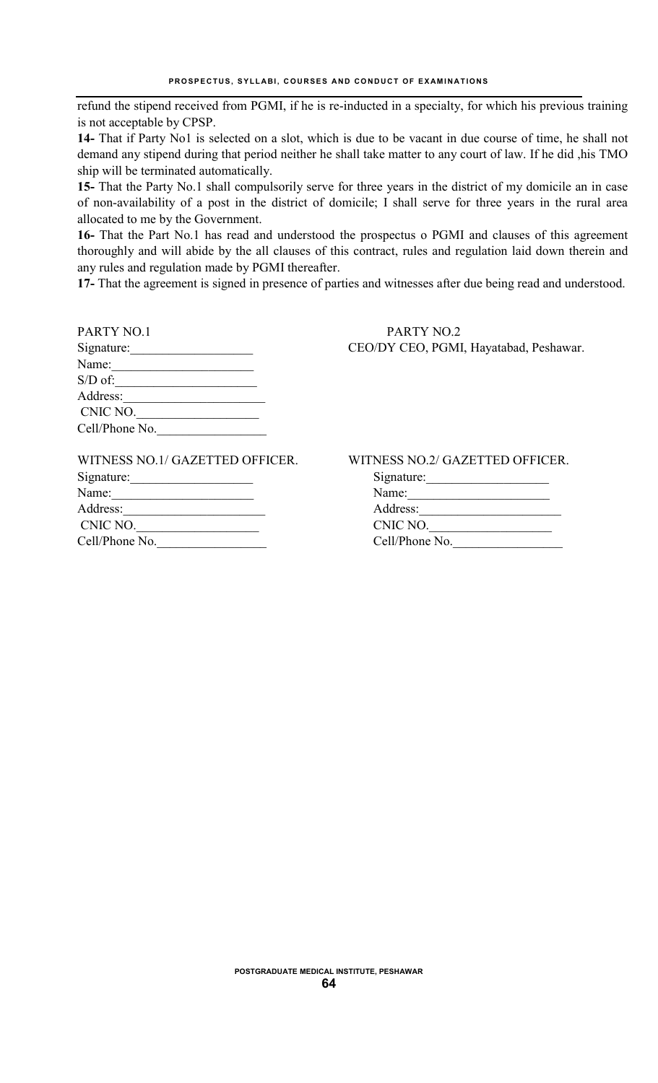refund the stipend received from PGMI, if he is re-inducted in a specialty, for which his previous training is not acceptable by CPSP.

**14-** That if Party No1 is selected on a slot, which is due to be vacant in due course of time, he shall not demand any stipend during that period neither he shall take matter to any court of law. If he did ,his TMO ship will be terminated automatically.

**15-** That the Party No.1 shall compulsorily serve for three years in the district of my domicile an in case of non-availability of a post in the district of domicile; I shall serve for three years in the rural area allocated to me by the Government.

**16-** That the Part No.1 has read and understood the prospectus o PGMI and clauses of this agreement thoroughly and will abide by the all clauses of this contract, rules and regulation laid down therein and any rules and regulation made by PGMI thereafter.

**17-** That the agreement is signed in presence of parties and witnesses after due being read and understood.

| PARTY NO.1     | PARTY NO.2       |
|----------------|------------------|
| Signature:     | CEO/DY CEO, PGMI |
| Name:          |                  |
| $S/D$ of:      |                  |
| Address:       |                  |
| CNIC NO.       |                  |
| Cell/Phone No. |                  |
|                |                  |

| PARTY NO.1 | PARTY NO.2                             |
|------------|----------------------------------------|
| Signature: | CEO/DY CEO, PGMI, Hayatabad, Peshawar. |

| WITNESS NO.1/ GAZETTED OFFICER. |  |
|---------------------------------|--|
| Signature:                      |  |
| Name:                           |  |
| Address:                        |  |
| CNIC NO.                        |  |
| Cell/Phone No.                  |  |

WITNESS NO.2/ GAZETTED OFFICER.

| Signature:     |  |
|----------------|--|
| Name:          |  |
| Address:       |  |
| CNIC NO.       |  |
| Cell/Phone No. |  |